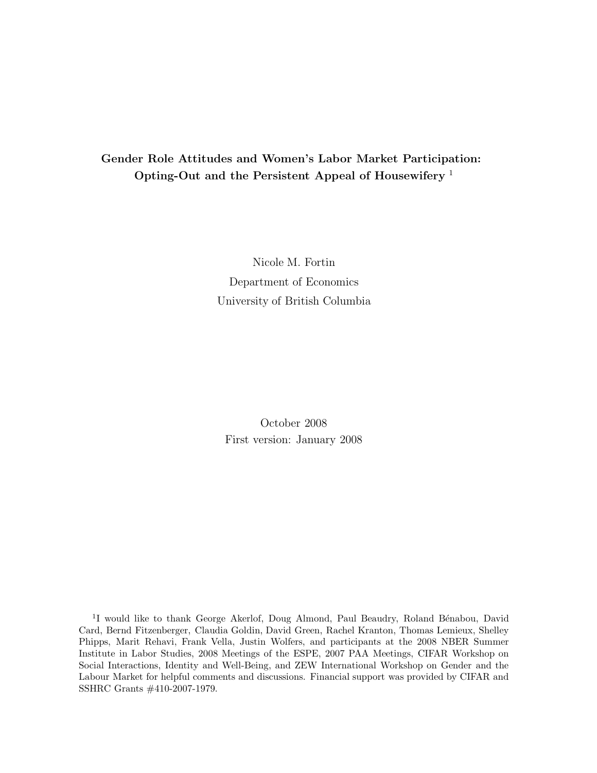## **Gender Role Attitudes and Women's Labor Market Participation: Opting-Out and the Persistent Appeal of Housewifery** <sup>1</sup>

Nicole M. Fortin Department of Economics University of British Columbia

October 2008 First version: January 2008

<sup>1</sup>I would like to thank George Akerlof, Doug Almond, Paul Beaudry, Roland Bénabou, David Card, Bernd Fitzenberger, Claudia Goldin, David Green, Rachel Kranton, Thomas Lemieux, Shelley Phipps, Marit Rehavi, Frank Vella, Justin Wolfers, and participants at the 2008 NBER Summer Institute in Labor Studies, 2008 Meetings of the ESPE, 2007 PAA Meetings, CIFAR Workshop on Social Interactions, Identity and Well-Being, and ZEW International Workshop on Gender and the Labour Market for helpful comments and discussions. Financial support was provided by CIFAR and SSHRC Grants #410-2007-1979.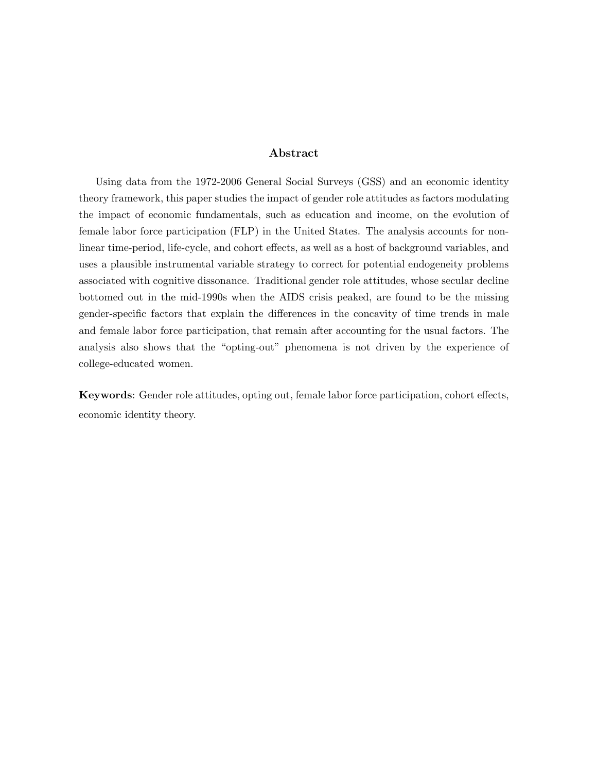### **Abstract**

Using data from the 1972-2006 General Social Surveys (GSS) and an economic identity theory framework, this paper studies the impact of gender role attitudes as factors modulating the impact of economic fundamentals, such as education and income, on the evolution of female labor force participation (FLP) in the United States. The analysis accounts for nonlinear time-period, life-cycle, and cohort effects, as well as a host of background variables, and uses a plausible instrumental variable strategy to correct for potential endogeneity problems associated with cognitive dissonance. Traditional gender role attitudes, whose secular decline bottomed out in the mid-1990s when the AIDS crisis peaked, are found to be the missing gender-specific factors that explain the differences in the concavity of time trends in male and female labor force participation, that remain after accounting for the usual factors. The analysis also shows that the "opting-out" phenomena is not driven by the experience of college-educated women.

**Keywords**: Gender role attitudes, opting out, female labor force participation, cohort effects, economic identity theory.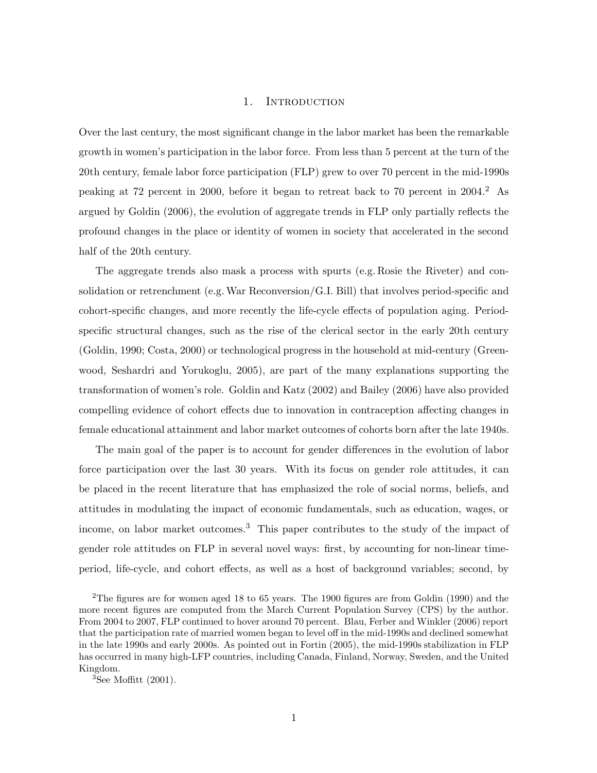### 1. INTRODUCTION

Over the last century, the most significant change in the labor market has been the remarkable growth in women's participation in the labor force. From less than 5 percent at the turn of the 20th century, female labor force participation (FLP) grew to over 70 percent in the mid-1990s peaking at 72 percent in 2000, before it began to retreat back to 70 percent in 2004.<sup>2</sup> As argued by Goldin (2006), the evolution of aggregate trends in FLP only partially reflects the profound changes in the place or identity of women in society that accelerated in the second half of the 20th century.

The aggregate trends also mask a process with spurts (e.g. Rosie the Riveter) and consolidation or retrenchment (e.g.War Reconversion/G.I. Bill) that involves period-specific and cohort-specific changes, and more recently the life-cycle effects of population aging. Periodspecific structural changes, such as the rise of the clerical sector in the early 20th century (Goldin, 1990; Costa, 2000) or technological progress in the household at mid-century (Greenwood, Seshardri and Yorukoglu, 2005), are part of the many explanations supporting the transformation of women's role. Goldin and Katz (2002) and Bailey (2006) have also provided compelling evidence of cohort effects due to innovation in contraception affecting changes in female educational attainment and labor market outcomes of cohorts born after the late 1940s.

The main goal of the paper is to account for gender differences in the evolution of labor force participation over the last 30 years. With its focus on gender role attitudes, it can be placed in the recent literature that has emphasized the role of social norms, beliefs, and attitudes in modulating the impact of economic fundamentals, such as education, wages, or income, on labor market outcomes.<sup>3</sup> This paper contributes to the study of the impact of gender role attitudes on FLP in several novel ways: first, by accounting for non-linear timeperiod, life-cycle, and cohort effects, as well as a host of background variables; second, by

<sup>2</sup>The figures are for women aged 18 to 65 years. The 1900 figures are from Goldin (1990) and the more recent figures are computed from the March Current Population Survey (CPS) by the author. From 2004 to 2007, FLP continued to hover around 70 percent. Blau, Ferber and Winkler (2006) report that the participation rate of married women began to level off in the mid-1990s and declined somewhat in the late 1990s and early 2000s. As pointed out in Fortin (2005), the mid-1990s stabilization in FLP has occurred in many high-LFP countries, including Canada, Finland, Norway, Sweden, and the United Kingdom.

 ${}^{3}$ See Moffitt (2001).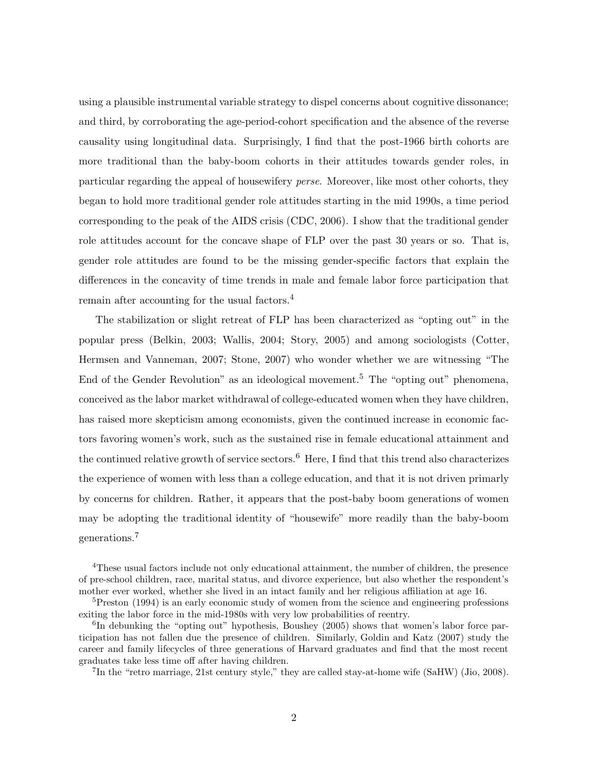using a plausible instrumental variable strategy to dispel concerns about cognitive dissonance; and third, by corroborating the age-period-cohort specification and the absence of the reverse causality using longitudinal data. Surprisingly, I find that the post-1966 birth cohorts are more traditional than the baby-boom cohorts in their attitudes towards gender roles, in particular regarding the appeal of housewifery *perse*. Moreover, like most other cohorts, they began to hold more traditional gender role attitudes starting in the mid 1990s, a time period corresponding to the peak of the AIDS crisis (CDC, 2006). I show that the traditional gender role attitudes account for the concave shape of FLP over the past 30 years or so. That is, gender role attitudes are found to be the missing gender-specific factors that explain the differences in the concavity of time trends in male and female labor force participation that remain after accounting for the usual factors.<sup>4</sup>

The stabilization or slight retreat of FLP has been characterized as "opting out" in the popular press (Belkin, 2003; Wallis, 2004; Story, 2005) and among sociologists (Cotter, Hermsen and Vanneman, 2007; Stone, 2007) who wonder whether we are witnessing "The End of the Gender Revolution" as an ideological movement.<sup>5</sup> The "opting out" phenomena, conceived as the labor market withdrawal of college-educated women when they have children, has raised more skepticism among economists, given the continued increase in economic factors favoring women's work, such as the sustained rise in female educational attainment and the continued relative growth of service sectors.<sup>6</sup> Here, I find that this trend also characterizes the experience of women with less than a college education, and that it is not driven primarly by concerns for children. Rather, it appears that the post-baby boom generations of women may be adopting the traditional identity of "housewife" more readily than the baby-boom generations.<sup>7</sup>

<sup>7</sup>In the "retro marriage, 21st century style," they are called stay-at-home wife (SaHW) (Jio, 2008).

<sup>4</sup>These usual factors include not only educational attainment, the number of children, the presence of pre-school children, race, marital status, and divorce experience, but also whether the respondent's mother ever worked, whether she lived in an intact family and her religious affiliation at age 16.

<sup>&</sup>lt;sup>5</sup>Preston (1994) is an early economic study of women from the science and engineering professions exiting the labor force in the mid-1980s with very low probabilities of reentry.

 $6$ In debunking the "opting out" hypothesis, Boushey (2005) shows that women's labor force participation has not fallen due the presence of children. Similarly, Goldin and Katz (2007) study the career and family lifecycles of three generations of Harvard graduates and find that the most recent graduates take less time off after having children.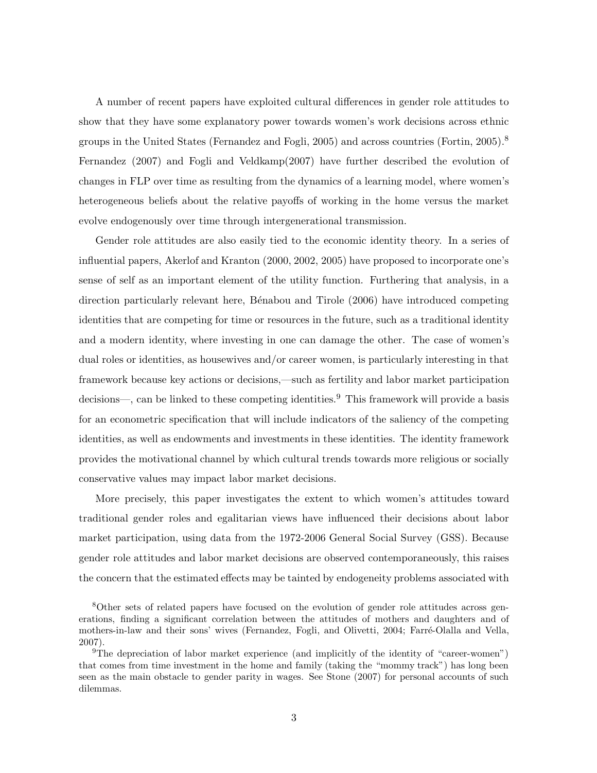A number of recent papers have exploited cultural differences in gender role attitudes to show that they have some explanatory power towards women's work decisions across ethnic groups in the United States (Fernandez and Fogli, 2005) and across countries (Fortin,  $2005$ ).<sup>8</sup> Fernandez (2007) and Fogli and Veldkamp(2007) have further described the evolution of changes in FLP over time as resulting from the dynamics of a learning model, where women's heterogeneous beliefs about the relative payoffs of working in the home versus the market evolve endogenously over time through intergenerational transmission.

Gender role attitudes are also easily tied to the economic identity theory. In a series of influential papers, Akerlof and Kranton (2000, 2002, 2005) have proposed to incorporate one's sense of self as an important element of the utility function. Furthering that analysis, in a direction particularly relevant here, Bénabou and Tirole (2006) have introduced competing identities that are competing for time or resources in the future, such as a traditional identity and a modern identity, where investing in one can damage the other. The case of women's dual roles or identities, as housewives and/or career women, is particularly interesting in that framework because key actions or decisions,—such as fertility and labor market participation decisions—, can be linked to these competing identities.<sup>9</sup> This framework will provide a basis for an econometric specification that will include indicators of the saliency of the competing identities, as well as endowments and investments in these identities. The identity framework provides the motivational channel by which cultural trends towards more religious or socially conservative values may impact labor market decisions.

More precisely, this paper investigates the extent to which women's attitudes toward traditional gender roles and egalitarian views have influenced their decisions about labor market participation, using data from the 1972-2006 General Social Survey (GSS). Because gender role attitudes and labor market decisions are observed contemporaneously, this raises the concern that the estimated effects may be tainted by endogeneity problems associated with

<sup>8</sup>Other sets of related papers have focused on the evolution of gender role attitudes across generations, finding a significant correlation between the attitudes of mothers and daughters and of mothers-in-law and their sons' wives (Fernandez, Fogli, and Olivetti, 2004; Farré-Olalla and Vella, 2007).

<sup>&</sup>lt;sup>9</sup>The depreciation of labor market experience (and implicitly of the identity of "career-women") that comes from time investment in the home and family (taking the "mommy track") has long been seen as the main obstacle to gender parity in wages. See Stone (2007) for personal accounts of such dilemmas.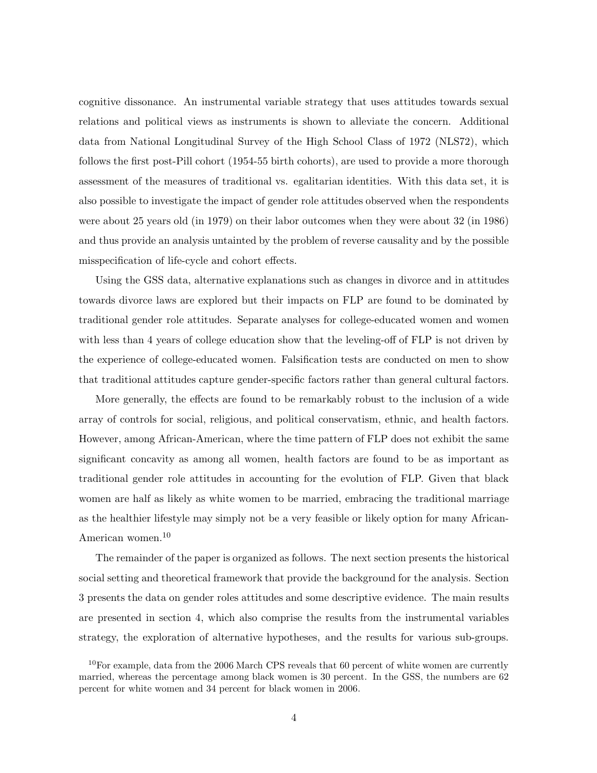cognitive dissonance. An instrumental variable strategy that uses attitudes towards sexual relations and political views as instruments is shown to alleviate the concern. Additional data from National Longitudinal Survey of the High School Class of 1972 (NLS72), which follows the first post-Pill cohort (1954-55 birth cohorts), are used to provide a more thorough assessment of the measures of traditional vs. egalitarian identities. With this data set, it is also possible to investigate the impact of gender role attitudes observed when the respondents were about 25 years old (in 1979) on their labor outcomes when they were about 32 (in 1986) and thus provide an analysis untainted by the problem of reverse causality and by the possible misspecification of life-cycle and cohort effects.

Using the GSS data, alternative explanations such as changes in divorce and in attitudes towards divorce laws are explored but their impacts on FLP are found to be dominated by traditional gender role attitudes. Separate analyses for college-educated women and women with less than 4 years of college education show that the leveling-off of FLP is not driven by the experience of college-educated women. Falsification tests are conducted on men to show that traditional attitudes capture gender-specific factors rather than general cultural factors.

More generally, the effects are found to be remarkably robust to the inclusion of a wide array of controls for social, religious, and political conservatism, ethnic, and health factors. However, among African-American, where the time pattern of FLP does not exhibit the same significant concavity as among all women, health factors are found to be as important as traditional gender role attitudes in accounting for the evolution of FLP. Given that black women are half as likely as white women to be married, embracing the traditional marriage as the healthier lifestyle may simply not be a very feasible or likely option for many African-American women.<sup>10</sup>

The remainder of the paper is organized as follows. The next section presents the historical social setting and theoretical framework that provide the background for the analysis. Section 3 presents the data on gender roles attitudes and some descriptive evidence. The main results are presented in section 4, which also comprise the results from the instrumental variables strategy, the exploration of alternative hypotheses, and the results for various sub-groups.

 $10$ For example, data from the 2006 March CPS reveals that 60 percent of white women are currently married, whereas the percentage among black women is 30 percent. In the GSS, the numbers are 62 percent for white women and 34 percent for black women in 2006.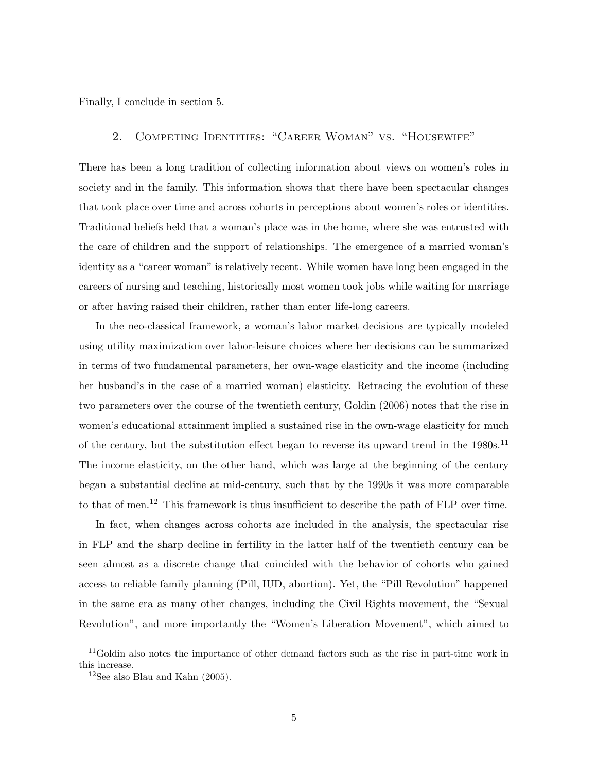Finally, I conclude in section 5.

### 2. Competing Identities: "Career Woman" vs. "Housewife"

There has been a long tradition of collecting information about views on women's roles in society and in the family. This information shows that there have been spectacular changes that took place over time and across cohorts in perceptions about women's roles or identities. Traditional beliefs held that a woman's place was in the home, where she was entrusted with the care of children and the support of relationships. The emergence of a married woman's identity as a "career woman" is relatively recent. While women have long been engaged in the careers of nursing and teaching, historically most women took jobs while waiting for marriage or after having raised their children, rather than enter life-long careers.

In the neo-classical framework, a woman's labor market decisions are typically modeled using utility maximization over labor-leisure choices where her decisions can be summarized in terms of two fundamental parameters, her own-wage elasticity and the income (including her husband's in the case of a married woman) elasticity. Retracing the evolution of these two parameters over the course of the twentieth century, Goldin (2006) notes that the rise in women's educational attainment implied a sustained rise in the own-wage elasticity for much of the century, but the substitution effect began to reverse its upward trend in the  $1980s$ .<sup>11</sup> The income elasticity, on the other hand, which was large at the beginning of the century began a substantial decline at mid-century, such that by the 1990s it was more comparable to that of men.<sup>12</sup> This framework is thus insufficient to describe the path of FLP over time.

In fact, when changes across cohorts are included in the analysis, the spectacular rise in FLP and the sharp decline in fertility in the latter half of the twentieth century can be seen almost as a discrete change that coincided with the behavior of cohorts who gained access to reliable family planning (Pill, IUD, abortion). Yet, the "Pill Revolution" happened in the same era as many other changes, including the Civil Rights movement, the "Sexual Revolution", and more importantly the "Women's Liberation Movement", which aimed to

<sup>&</sup>lt;sup>11</sup>Goldin also notes the importance of other demand factors such as the rise in part-time work in this increase.

<sup>&</sup>lt;sup>12</sup>See also Blau and Kahn  $(2005)$ .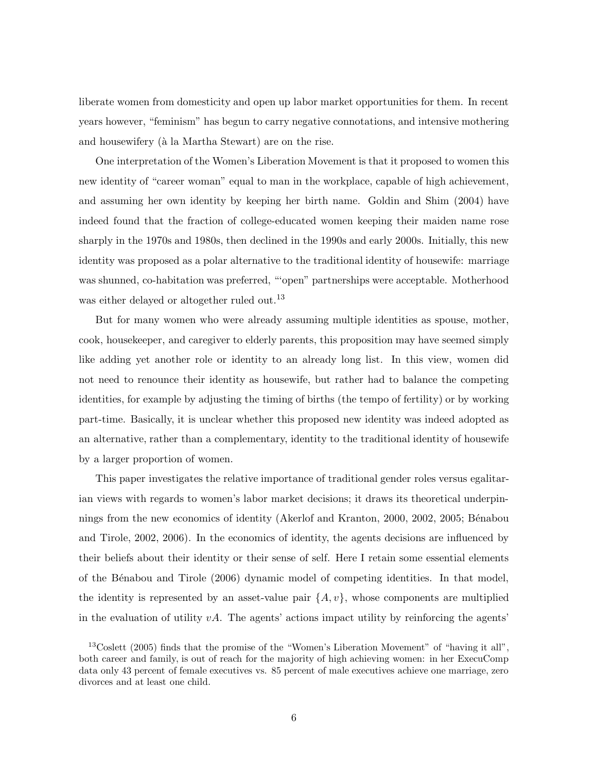liberate women from domesticity and open up labor market opportunities for them. In recent years however, "feminism" has begun to carry negative connotations, and intensive mothering and housewifery (à la Martha Stewart) are on the rise.

One interpretation of the Women's Liberation Movement is that it proposed to women this new identity of "career woman" equal to man in the workplace, capable of high achievement, and assuming her own identity by keeping her birth name. Goldin and Shim (2004) have indeed found that the fraction of college-educated women keeping their maiden name rose sharply in the 1970s and 1980s, then declined in the 1990s and early 2000s. Initially, this new identity was proposed as a polar alternative to the traditional identity of housewife: marriage was shunned, co-habitation was preferred, "'open" partnerships were acceptable. Motherhood was either delayed or altogether ruled out.<sup>13</sup>

But for many women who were already assuming multiple identities as spouse, mother, cook, housekeeper, and caregiver to elderly parents, this proposition may have seemed simply like adding yet another role or identity to an already long list. In this view, women did not need to renounce their identity as housewife, but rather had to balance the competing identities, for example by adjusting the timing of births (the tempo of fertility) or by working part-time. Basically, it is unclear whether this proposed new identity was indeed adopted as an alternative, rather than a complementary, identity to the traditional identity of housewife by a larger proportion of women.

This paper investigates the relative importance of traditional gender roles versus egalitarian views with regards to women's labor market decisions; it draws its theoretical underpinnings from the new economics of identity (Akerlof and Kranton, 2000, 2002, 2005; Bénabou and Tirole, 2002, 2006). In the economics of identity, the agents decisions are influenced by their beliefs about their identity or their sense of self. Here I retain some essential elements of the B´enabou and Tirole (2006) dynamic model of competing identities. In that model, the identity is represented by an asset-value pair  $\{A, v\}$ , whose components are multiplied in the evaluation of utility  $vA$ . The agents' actions impact utility by reinforcing the agents'

<sup>13</sup>Coslett (2005) finds that the promise of the "Women's Liberation Movement" of "having it all", both career and family, is out of reach for the majority of high achieving women: in her ExecuComp data only 43 percent of female executives vs. 85 percent of male executives achieve one marriage, zero divorces and at least one child.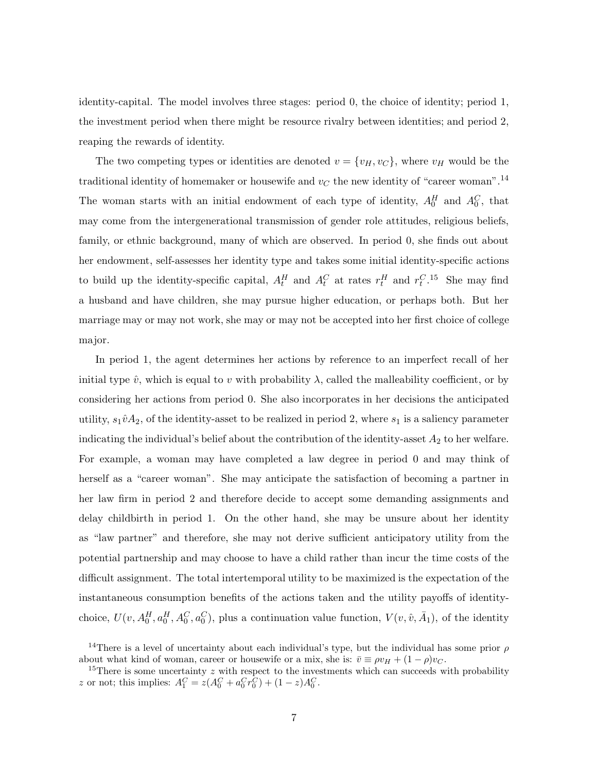identity-capital. The model involves three stages: period 0, the choice of identity; period 1, the investment period when there might be resource rivalry between identities; and period 2, reaping the rewards of identity.

The two competing types or identities are denoted  $v = \{v_H, v_C\}$ , where  $v_H$  would be the traditional identity of homemaker or housewife and  $v_C$  the new identity of "career woman".<sup>14</sup> The woman starts with an initial endowment of each type of identity,  $A_0^H$  and  $A_0^C$ , that may come from the intergenerational transmission of gender role attitudes, religious beliefs, family, or ethnic background, many of which are observed. In period 0, she finds out about her endowment, self-assesses her identity type and takes some initial identity-specific actions to build up the identity-specific capital,  $A_t^H$  and  $A_t^C$  at rates  $r_t^H$  and  $r_t^C$ .<sup>15</sup> She may find a husband and have children, she may pursue higher education, or perhaps both. But her marriage may or may not work, she may or may not be accepted into her first choice of college major.

In period 1, the agent determines her actions by reference to an imperfect recall of her initial type  $\hat{v}$ , which is equal to *v* with probability  $\lambda$ , called the malleability coefficient, or by considering her actions from period 0. She also incorporates in her decisions the anticipated utility,  $s_1\hat{v}A_2$ , of the identity-asset to be realized in period 2, where  $s_1$  is a saliency parameter indicating the individual's belief about the contribution of the identity-asset  $A_2$  to her welfare. For example, a woman may have completed a law degree in period 0 and may think of herself as a "career woman". She may anticipate the satisfaction of becoming a partner in her law firm in period 2 and therefore decide to accept some demanding assignments and delay childbirth in period 1. On the other hand, she may be unsure about her identity as "law partner" and therefore, she may not derive sufficient anticipatory utility from the potential partnership and may choose to have a child rather than incur the time costs of the difficult assignment. The total intertemporal utility to be maximized is the expectation of the instantaneous consumption benefits of the actions taken and the utility payoffs of identitychoice,  $U(v, A_0^H, a_0^H, A_0^C, a_0^C)$ , plus a continuation value function,  $V(v, \hat{v}, \bar{A}_1)$ , of the identity

<sup>&</sup>lt;sup>14</sup>There is a level of uncertainty about each individual's type, but the individual has some prior *ρ* about what kind of woman, career or housewife or a mix, she is:  $\bar{v} \equiv \rho v_H + (1 - \rho) v_C$ . about what kind of woman, career or housewife or a mix, she is:  $\bar{v} \equiv \rho v_H + (1 - \rho) v_C$ .<br><sup>15</sup>There is some uncertainty *z* with respect to the investments which can succeeds with probability

*z* or not; this implies:  $A_1^C = z(A_0^C + a_0^C r_0^C) + (1 - z)A_0^C$ .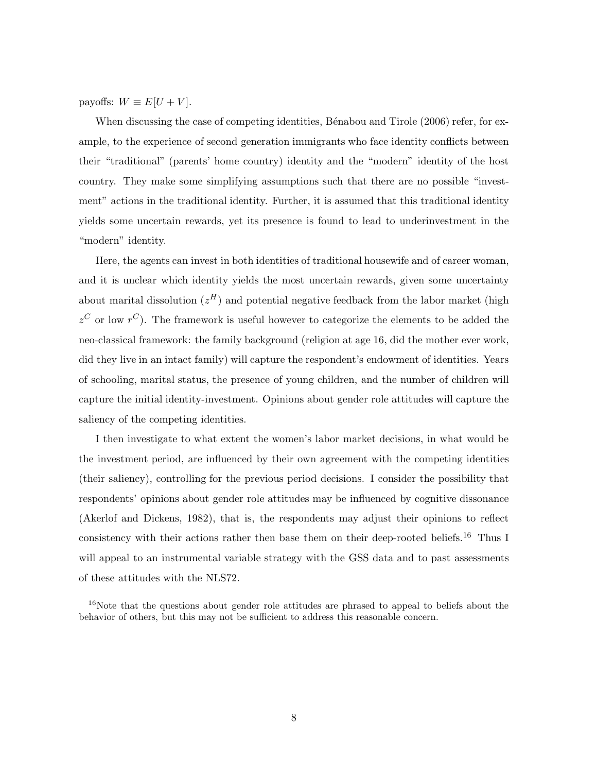payoffs:  $W \equiv E[U + V]$ .

When discussing the case of competing identities, Bénabou and Tirole (2006) refer, for example, to the experience of second generation immigrants who face identity conflicts between their "traditional" (parents' home country) identity and the "modern" identity of the host country. They make some simplifying assumptions such that there are no possible "investment" actions in the traditional identity. Further, it is assumed that this traditional identity yields some uncertain rewards, yet its presence is found to lead to underinvestment in the "modern" identity.

Here, the agents can invest in both identities of traditional housewife and of career woman, and it is unclear which identity yields the most uncertain rewards, given some uncertainty about marital dissolution  $(z^H)$  and potential negative feedback from the labor market (high  $z^C$  or low  $r^C$ ). The framework is useful however to categorize the elements to be added the neo-classical framework: the family background (religion at age 16, did the mother ever work, did they live in an intact family) will capture the respondent's endowment of identities. Years of schooling, marital status, the presence of young children, and the number of children will capture the initial identity-investment. Opinions about gender role attitudes will capture the saliency of the competing identities.

I then investigate to what extent the women's labor market decisions, in what would be the investment period, are influenced by their own agreement with the competing identities (their saliency), controlling for the previous period decisions. I consider the possibility that respondents' opinions about gender role attitudes may be influenced by cognitive dissonance (Akerlof and Dickens, 1982), that is, the respondents may adjust their opinions to reflect consistency with their actions rather then base them on their deep-rooted beliefs.<sup>16</sup> Thus I will appeal to an instrumental variable strategy with the GSS data and to past assessments of these attitudes with the NLS72.

<sup>16</sup>Note that the questions about gender role attitudes are phrased to appeal to beliefs about the behavior of others, but this may not be sufficient to address this reasonable concern.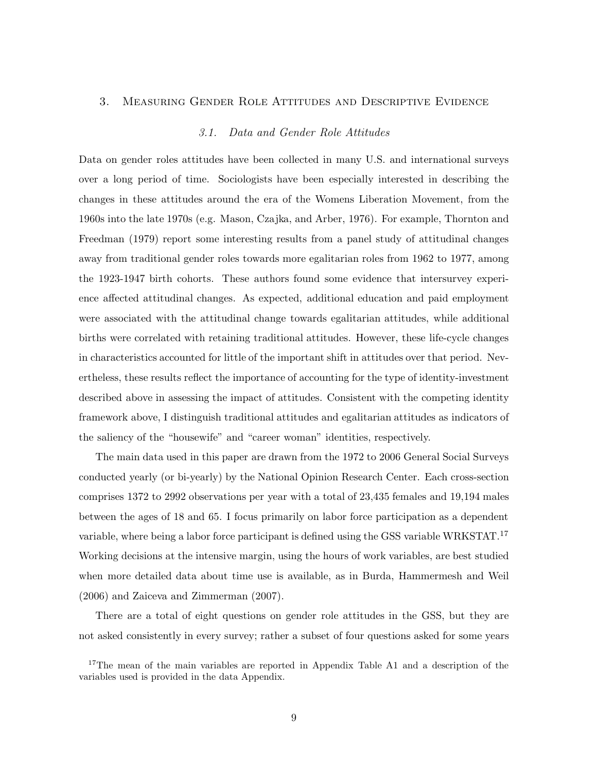### 3. Measuring Gender Role Attitudes and Descriptive Evidence

#### *3.1. Data and Gender Role Attitudes*

Data on gender roles attitudes have been collected in many U.S. and international surveys over a long period of time. Sociologists have been especially interested in describing the changes in these attitudes around the era of the Womens Liberation Movement, from the 1960s into the late 1970s (e.g. Mason, Czajka, and Arber, 1976). For example, Thornton and Freedman (1979) report some interesting results from a panel study of attitudinal changes away from traditional gender roles towards more egalitarian roles from 1962 to 1977, among the 1923-1947 birth cohorts. These authors found some evidence that intersurvey experience affected attitudinal changes. As expected, additional education and paid employment were associated with the attitudinal change towards egalitarian attitudes, while additional births were correlated with retaining traditional attitudes. However, these life-cycle changes in characteristics accounted for little of the important shift in attitudes over that period. Nevertheless, these results reflect the importance of accounting for the type of identity-investment described above in assessing the impact of attitudes. Consistent with the competing identity framework above, I distinguish traditional attitudes and egalitarian attitudes as indicators of the saliency of the "housewife" and "career woman" identities, respectively.

The main data used in this paper are drawn from the 1972 to 2006 General Social Surveys conducted yearly (or bi-yearly) by the National Opinion Research Center. Each cross-section comprises 1372 to 2992 observations per year with a total of 23,435 females and 19,194 males between the ages of 18 and 65. I focus primarily on labor force participation as a dependent variable, where being a labor force participant is defined using the GSS variable WRKSTAT.<sup>17</sup> Working decisions at the intensive margin, using the hours of work variables, are best studied when more detailed data about time use is available, as in Burda, Hammermesh and Weil (2006) and Zaiceva and Zimmerman (2007).

There are a total of eight questions on gender role attitudes in the GSS, but they are not asked consistently in every survey; rather a subset of four questions asked for some years

<sup>&</sup>lt;sup>17</sup>The mean of the main variables are reported in Appendix Table A1 and a description of the variables used is provided in the data Appendix.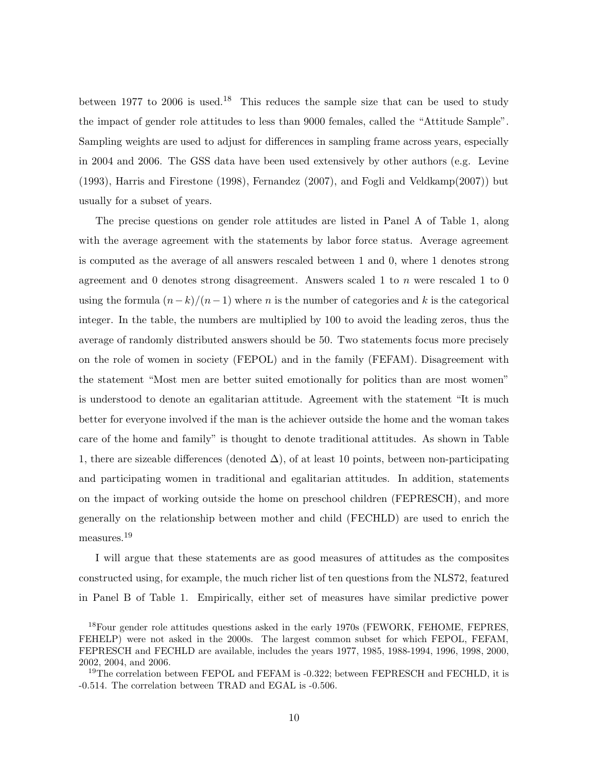between 1977 to 2006 is used.<sup>18</sup> This reduces the sample size that can be used to study the impact of gender role attitudes to less than 9000 females, called the "Attitude Sample". Sampling weights are used to adjust for differences in sampling frame across years, especially in 2004 and 2006. The GSS data have been used extensively by other authors (e.g. Levine (1993), Harris and Firestone (1998), Fernandez (2007), and Fogli and Veldkamp(2007)) but usually for a subset of years.

The precise questions on gender role attitudes are listed in Panel A of Table 1, along with the average agreement with the statements by labor force status. Average agreement is computed as the average of all answers rescaled between 1 and 0, where 1 denotes strong agreement and 0 denotes strong disagreement. Answers scaled 1 to *n* were rescaled 1 to 0 using the formula  $(n-k)/(n-1)$  where *n* is the number of categories and *k* is the categorical integer. In the table, the numbers are multiplied by 100 to avoid the leading zeros, thus the average of randomly distributed answers should be 50. Two statements focus more precisely on the role of women in society (FEPOL) and in the family (FEFAM). Disagreement with the statement "Most men are better suited emotionally for politics than are most women" is understood to denote an egalitarian attitude. Agreement with the statement "It is much better for everyone involved if the man is the achiever outside the home and the woman takes care of the home and family" is thought to denote traditional attitudes. As shown in Table 1, there are sizeable differences (denoted  $\Delta$ ), of at least 10 points, between non-participating and participating women in traditional and egalitarian attitudes. In addition, statements on the impact of working outside the home on preschool children (FEPRESCH), and more generally on the relationship between mother and child (FECHLD) are used to enrich the measures.<sup>19</sup>

I will argue that these statements are as good measures of attitudes as the composites constructed using, for example, the much richer list of ten questions from the NLS72, featured in Panel B of Table 1. Empirically, either set of measures have similar predictive power

<sup>&</sup>lt;sup>18</sup>Four gender role attitudes questions asked in the early 1970s (FEWORK, FEHOME, FEPRES, FEHELP) were not asked in the 2000s. The largest common subset for which FEPOL, FEFAM, FEPRESCH and FECHLD are available, includes the years 1977, 1985, 1988-1994, 1996, 1998, 2000, 2002, 2004, and 2006.

<sup>&</sup>lt;sup>19</sup>The correlation between FEPOL and FEFAM is  $-0.322$ ; between FEPRESCH and FECHLD, it is -0.514. The correlation between TRAD and EGAL is -0.506.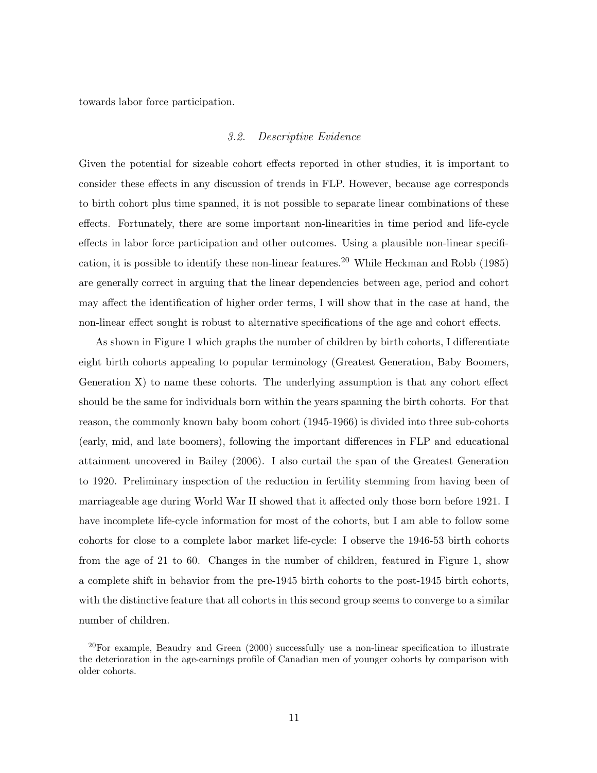towards labor force participation.

#### *3.2. Descriptive Evidence*

Given the potential for sizeable cohort effects reported in other studies, it is important to consider these effects in any discussion of trends in FLP. However, because age corresponds to birth cohort plus time spanned, it is not possible to separate linear combinations of these effects. Fortunately, there are some important non-linearities in time period and life-cycle effects in labor force participation and other outcomes. Using a plausible non-linear specification, it is possible to identify these non-linear features.<sup>20</sup> While Heckman and Robb (1985) are generally correct in arguing that the linear dependencies between age, period and cohort may affect the identification of higher order terms, I will show that in the case at hand, the non-linear effect sought is robust to alternative specifications of the age and cohort effects.

As shown in Figure 1 which graphs the number of children by birth cohorts, I differentiate eight birth cohorts appealing to popular terminology (Greatest Generation, Baby Boomers, Generation  $X$ ) to name these cohorts. The underlying assumption is that any cohort effect should be the same for individuals born within the years spanning the birth cohorts. For that reason, the commonly known baby boom cohort (1945-1966) is divided into three sub-cohorts (early, mid, and late boomers), following the important differences in FLP and educational attainment uncovered in Bailey (2006). I also curtail the span of the Greatest Generation to 1920. Preliminary inspection of the reduction in fertility stemming from having been of marriageable age during World War II showed that it affected only those born before 1921. I have incomplete life-cycle information for most of the cohorts, but I am able to follow some cohorts for close to a complete labor market life-cycle: I observe the 1946-53 birth cohorts from the age of 21 to 60. Changes in the number of children, featured in Figure 1, show a complete shift in behavior from the pre-1945 birth cohorts to the post-1945 birth cohorts, with the distinctive feature that all cohorts in this second group seems to converge to a similar number of children.

 $^{20}$ For example, Beaudry and Green (2000) successfully use a non-linear specification to illustrate the deterioration in the age-earnings profile of Canadian men of younger cohorts by comparison with older cohorts.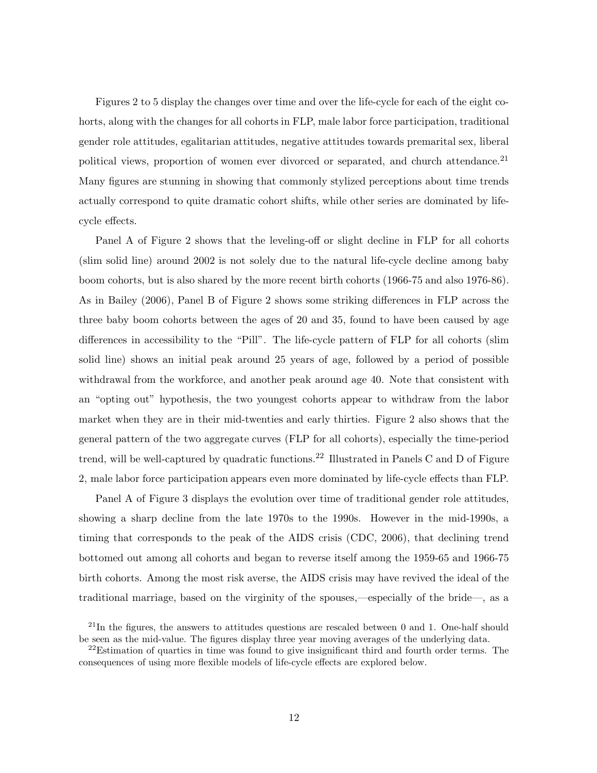Figures 2 to 5 display the changes over time and over the life-cycle for each of the eight cohorts, along with the changes for all cohorts in FLP, male labor force participation, traditional gender role attitudes, egalitarian attitudes, negative attitudes towards premarital sex, liberal political views, proportion of women ever divorced or separated, and church attendance.<sup>21</sup> Many figures are stunning in showing that commonly stylized perceptions about time trends actually correspond to quite dramatic cohort shifts, while other series are dominated by lifecycle effects.

Panel A of Figure 2 shows that the leveling-off or slight decline in FLP for all cohorts (slim solid line) around 2002 is not solely due to the natural life-cycle decline among baby boom cohorts, but is also shared by the more recent birth cohorts (1966-75 and also 1976-86). As in Bailey (2006), Panel B of Figure 2 shows some striking differences in FLP across the three baby boom cohorts between the ages of 20 and 35, found to have been caused by age differences in accessibility to the "Pill". The life-cycle pattern of FLP for all cohorts (slim solid line) shows an initial peak around 25 years of age, followed by a period of possible withdrawal from the workforce, and another peak around age 40. Note that consistent with an "opting out" hypothesis, the two youngest cohorts appear to withdraw from the labor market when they are in their mid-twenties and early thirties. Figure 2 also shows that the general pattern of the two aggregate curves (FLP for all cohorts), especially the time-period trend, will be well-captured by quadratic functions.<sup>22</sup> Illustrated in Panels C and D of Figure 2, male labor force participation appears even more dominated by life-cycle effects than FLP.

Panel A of Figure 3 displays the evolution over time of traditional gender role attitudes, showing a sharp decline from the late 1970s to the 1990s. However in the mid-1990s, a timing that corresponds to the peak of the AIDS crisis (CDC, 2006), that declining trend bottomed out among all cohorts and began to reverse itself among the 1959-65 and 1966-75 birth cohorts. Among the most risk averse, the AIDS crisis may have revived the ideal of the traditional marriage, based on the virginity of the spouses,—especially of the bride—, as a

<sup>&</sup>lt;sup>21</sup>In the figures, the answers to attitudes questions are rescaled between 0 and 1. One-half should be seen as the mid-value. The figures display three year moving averages of the underlying data.

 $^{22}$ Estimation of quartics in time was found to give insignificant third and fourth order terms. The consequences of using more flexible models of life-cycle effects are explored below.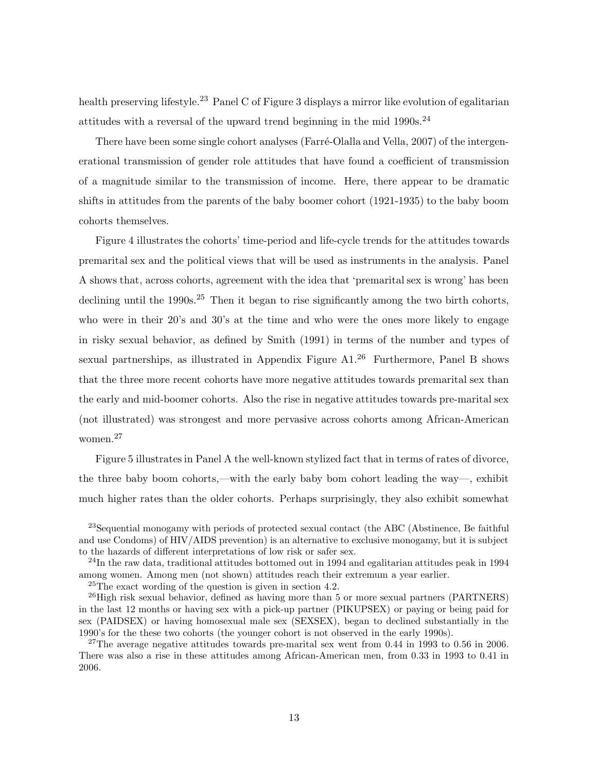health preserving lifestyle.<sup>23</sup> Panel C of Figure 3 displays a mirror like evolution of egalitarian attitudes with a reversal of the upward trend beginning in the mid  $1990s^{24}$ 

There have been some single cohort analyses (Farré-Olalla and Vella, 2007) of the intergenerational transmission of gender role attitudes that have found a coefficient of transmission of a magnitude similar to the transmission of income. Here, there appear to be dramatic shifts in attitudes from the parents of the baby boomer cohort (1921-1935) to the baby boom cohorts themselves.

Figure 4 illustrates the cohorts' time-period and life-cycle trends for the attitudes towards premarital sex and the political views that will be used as instruments in the analysis. Panel A shows that, across cohorts, agreement with the idea that 'premarital sex is wrong' has been declining until the 1990s.<sup>25</sup> Then it began to rise significantly among the two birth cohorts, who were in their 20's and 30's at the time and who were the ones more likely to engage in risky sexual behavior, as defined by Smith (1991) in terms of the number and types of sexual partnerships, as illustrated in Appendix Figure A1.<sup>26</sup> Furthermore, Panel B shows that the three more recent cohorts have more negative attitudes towards premarital sex than the early and mid-boomer cohorts. Also the rise in negative attitudes towards pre-marital sex (not illustrated) was strongest and more pervasive across cohorts among African-American women.<sup>27</sup>

Figure 5 illustrates in Panel A the well-known stylized fact that in terms of rates of divorce, the three baby boom cohorts,—with the early baby bom cohort leading the way—, exhibit much higher rates than the older cohorts. Perhaps surprisingly, they also exhibit somewhat

<sup>23</sup>Sequential monogamy with periods of protected sexual contact (the ABC (Abstinence, Be faithful and use Condoms) of HIV/AIDS prevention) is an alternative to exclusive monogamy, but it is subject to the hazards of different interpretations of low risk or safer sex.

 $^{24}$ In the raw data, traditional attitudes bottomed out in 1994 and egalitarian attitudes peak in 1994 among women. Among men (not shown) attitudes reach their extremum a year earlier.

<sup>25</sup>The exact wording of the question is given in section 4.2.

 $^{26}$ High risk sexual behavior, defined as having more than 5 or more sexual partners (PARTNERS) in the last 12 months or having sex with a pick-up partner (PIKUPSEX) or paying or being paid for sex (PAIDSEX) or having homosexual male sex (SEXSEX), began to declined substantially in the 1990's for the these two cohorts (the younger cohort is not observed in the early 1990s).

<sup>27</sup>The average negative attitudes towards pre-marital sex went from 0.44 in 1993 to 0.56 in 2006. There was also a rise in these attitudes among African-American men, from 0.33 in 1993 to 0.41 in 2006.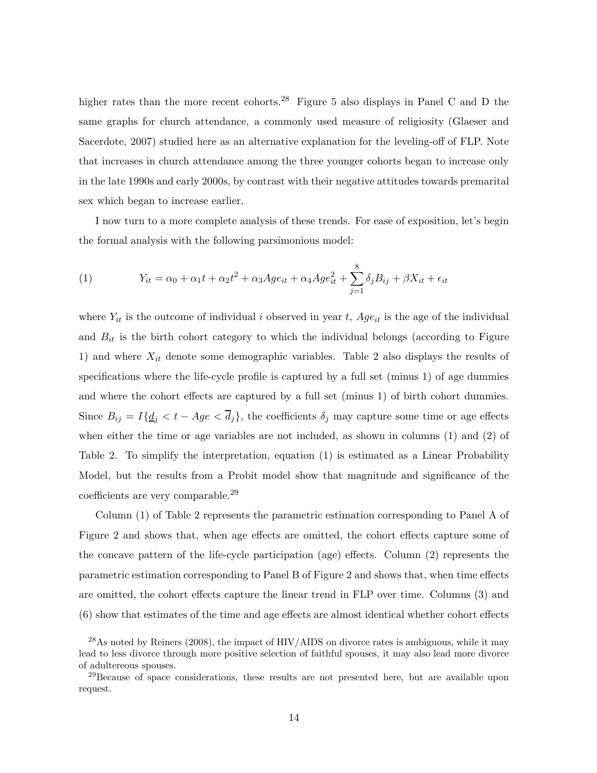higher rates than the more recent cohorts.<sup>28</sup> Figure 5 also displays in Panel C and D the same graphs for church attendance, a commonly used measure of religiosity (Glaeser and Sacerdote, 2007) studied here as an alternative explanation for the leveling-off of FLP. Note that increases in church attendance among the three younger cohorts began to increase only in the late 1990s and early 2000s, by contrast with their negative attitudes towards premarital sex which began to increase earlier.

I now turn to a more complete analysis of these trends. For ease of exposition, let's begin the formal analysis with the following parsimonious model:

(1) 
$$
Y_{it} = \alpha_0 + \alpha_1 t + \alpha_2 t^2 + \alpha_3 A g e_{it} + \alpha_4 A g e_{it}^2 + \sum_{j=1}^8 \delta_j B_{ij} + \beta X_{it} + \epsilon_{it}
$$

where  $Y_{it}$  is the outcome of individual *i* observed in year *t*,  $Age_{it}$  is the age of the individual and  $B_{it}$  is the birth cohort category to which the individual belongs (according to Figure 1) and where *X*it denote some demographic variables. Table 2 also displays the results of specifications where the life-cycle profile is captured by a full set (minus 1) of age dummies and where the cohort effects are captured by a full set (minus 1) of birth cohort dummies. Since  $B_{ij} = I\{\underline{d}_j < t - Age < \overline{d}_j\}$ , the coefficients  $\delta_j$  may capture some time or age effects when either the time or age variables are not included, as shown in columns (1) and (2) of Table 2. To simplify the interpretation, equation (1) is estimated as a Linear Probability Model, but the results from a Probit model show that magnitude and significance of the coefficients are very comparable.<sup>29</sup>

Column (1) of Table 2 represents the parametric estimation corresponding to Panel A of Figure 2 and shows that, when age effects are omitted, the cohort effects capture some of the concave pattern of the life-cycle participation (age) effects. Column (2) represents the parametric estimation corresponding to Panel B of Figure 2 and shows that, when time effects are omitted, the cohort effects capture the linear trend in FLP over time. Columns (3) and (6) show that estimates of the time and age effects are almost identical whether cohort effects

 $^{28}\text{As}$  noted by Reiners (2008), the impact of HIV/AIDS on divorce rates is ambiguous, while it may lead to less divorce through more positive selection of faithful spouses, it may also lead more divorce of adultereous spouses.

 $29$ Because of space considerations, these results are not presented here, but are available upon request.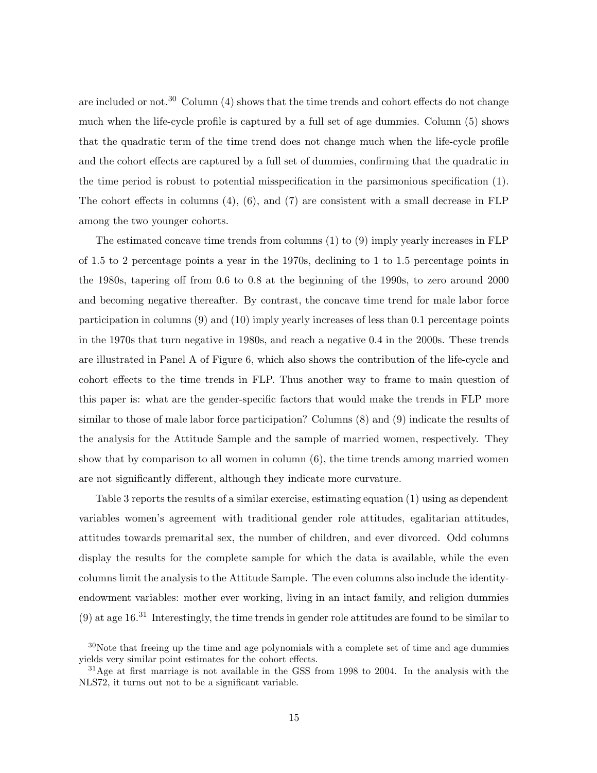are included or not.<sup>30</sup> Column  $(4)$  shows that the time trends and cohort effects do not change much when the life-cycle profile is captured by a full set of age dummies. Column (5) shows that the quadratic term of the time trend does not change much when the life-cycle profile and the cohort effects are captured by a full set of dummies, confirming that the quadratic in the time period is robust to potential misspecification in the parsimonious specification (1). The cohort effects in columns  $(4)$ ,  $(6)$ , and  $(7)$  are consistent with a small decrease in FLP among the two younger cohorts.

The estimated concave time trends from columns (1) to (9) imply yearly increases in FLP of 1.5 to 2 percentage points a year in the 1970s, declining to 1 to 1.5 percentage points in the 1980s, tapering off from 0.6 to 0.8 at the beginning of the 1990s, to zero around 2000 and becoming negative thereafter. By contrast, the concave time trend for male labor force participation in columns (9) and (10) imply yearly increases of less than 0.1 percentage points in the 1970s that turn negative in 1980s, and reach a negative 0.4 in the 2000s. These trends are illustrated in Panel A of Figure 6, which also shows the contribution of the life-cycle and cohort effects to the time trends in FLP. Thus another way to frame to main question of this paper is: what are the gender-specific factors that would make the trends in FLP more similar to those of male labor force participation? Columns (8) and (9) indicate the results of the analysis for the Attitude Sample and the sample of married women, respectively. They show that by comparison to all women in column (6), the time trends among married women are not significantly different, although they indicate more curvature.

Table 3 reports the results of a similar exercise, estimating equation (1) using as dependent variables women's agreement with traditional gender role attitudes, egalitarian attitudes, attitudes towards premarital sex, the number of children, and ever divorced. Odd columns display the results for the complete sample for which the data is available, while the even columns limit the analysis to the Attitude Sample. The even columns also include the identityendowment variables: mother ever working, living in an intact family, and religion dummies  $(9)$  at age 16.<sup>31</sup> Interestingly, the time trends in gender role attitudes are found to be similar to

<sup>&</sup>lt;sup>30</sup>Note that freeing up the time and age polynomials with a complete set of time and age dummies yields very similar point estimates for the cohort effects.

 $31$ Age at first marriage is not available in the GSS from 1998 to 2004. In the analysis with the NLS72, it turns out not to be a significant variable.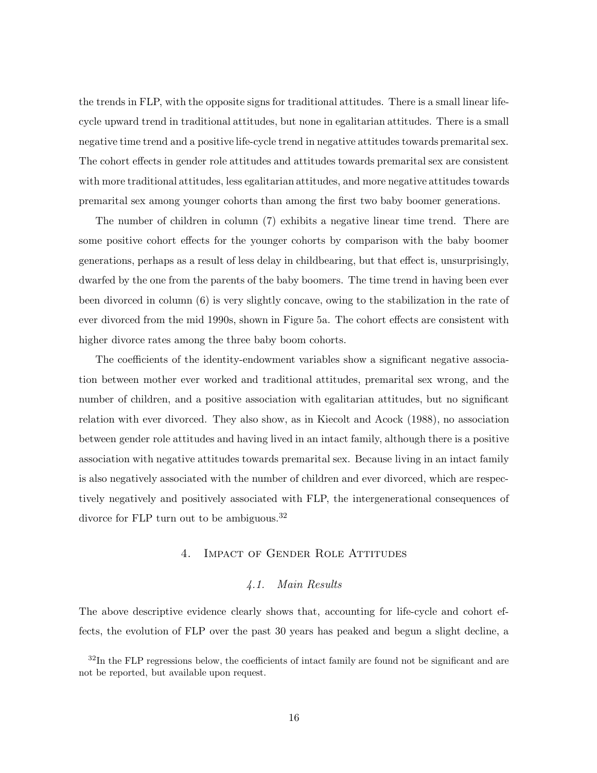the trends in FLP, with the opposite signs for traditional attitudes. There is a small linear lifecycle upward trend in traditional attitudes, but none in egalitarian attitudes. There is a small negative time trend and a positive life-cycle trend in negative attitudes towards premarital sex. The cohort effects in gender role attitudes and attitudes towards premarital sex are consistent with more traditional attitudes, less egalitarian attitudes, and more negative attitudes towards premarital sex among younger cohorts than among the first two baby boomer generations.

The number of children in column (7) exhibits a negative linear time trend. There are some positive cohort effects for the younger cohorts by comparison with the baby boomer generations, perhaps as a result of less delay in childbearing, but that effect is, unsurprisingly, dwarfed by the one from the parents of the baby boomers. The time trend in having been ever been divorced in column (6) is very slightly concave, owing to the stabilization in the rate of ever divorced from the mid 1990s, shown in Figure 5a. The cohort effects are consistent with higher divorce rates among the three baby boom cohorts.

The coefficients of the identity-endowment variables show a significant negative association between mother ever worked and traditional attitudes, premarital sex wrong, and the number of children, and a positive association with egalitarian attitudes, but no significant relation with ever divorced. They also show, as in Kiecolt and Acock (1988), no association between gender role attitudes and having lived in an intact family, although there is a positive association with negative attitudes towards premarital sex. Because living in an intact family is also negatively associated with the number of children and ever divorced, which are respectively negatively and positively associated with FLP, the intergenerational consequences of divorce for FLP turn out to be ambiguous.<sup>32</sup>

### 4. Impact of Gender Role Attitudes

### *4.1. Main Results*

The above descriptive evidence clearly shows that, accounting for life-cycle and cohort effects, the evolution of FLP over the past 30 years has peaked and begun a slight decline, a

<sup>&</sup>lt;sup>32</sup>In the FLP regressions below, the coefficients of intact family are found not be significant and are not be reported, but available upon request.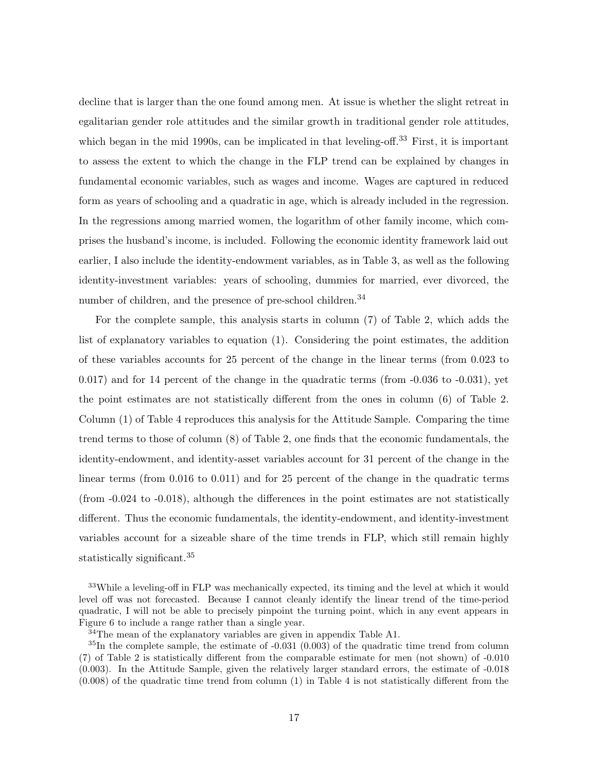decline that is larger than the one found among men. At issue is whether the slight retreat in egalitarian gender role attitudes and the similar growth in traditional gender role attitudes, which began in the mid 1990s, can be implicated in that leveling-off.<sup>33</sup> First, it is important to assess the extent to which the change in the FLP trend can be explained by changes in fundamental economic variables, such as wages and income. Wages are captured in reduced form as years of schooling and a quadratic in age, which is already included in the regression. In the regressions among married women, the logarithm of other family income, which comprises the husband's income, is included. Following the economic identity framework laid out earlier, I also include the identity-endowment variables, as in Table 3, as well as the following identity-investment variables: years of schooling, dummies for married, ever divorced, the number of children, and the presence of pre-school children.<sup>34</sup>

For the complete sample, this analysis starts in column (7) of Table 2, which adds the list of explanatory variables to equation (1). Considering the point estimates, the addition of these variables accounts for 25 percent of the change in the linear terms (from 0.023 to 0.017) and for 14 percent of the change in the quadratic terms (from -0.036 to -0.031), yet the point estimates are not statistically different from the ones in column (6) of Table 2. Column (1) of Table 4 reproduces this analysis for the Attitude Sample. Comparing the time trend terms to those of column (8) of Table 2, one finds that the economic fundamentals, the identity-endowment, and identity-asset variables account for 31 percent of the change in the linear terms (from 0.016 to 0.011) and for 25 percent of the change in the quadratic terms (from -0.024 to -0.018), although the differences in the point estimates are not statistically different. Thus the economic fundamentals, the identity-endowment, and identity-investment variables account for a sizeable share of the time trends in FLP, which still remain highly statistically significant.<sup>35</sup>

<sup>33</sup>While a leveling-off in FLP was mechanically expected, its timing and the level at which it would level off was not forecasted. Because I cannot cleanly identify the linear trend of the time-period quadratic, I will not be able to precisely pinpoint the turning point, which in any event appears in Figure 6 to include a range rather than a single year.

<sup>34</sup>The mean of the explanatory variables are given in appendix Table A1.

<sup>&</sup>lt;sup>35</sup>In the complete sample, the estimate of -0.031 (0.003) of the quadratic time trend from column (7) of Table 2 is statistically different from the comparable estimate for men (not shown) of -0.010 (0.003). In the Attitude Sample, given the relatively larger standard errors, the estimate of -0.018 (0.008) of the quadratic time trend from column (1) in Table 4 is not statistically different from the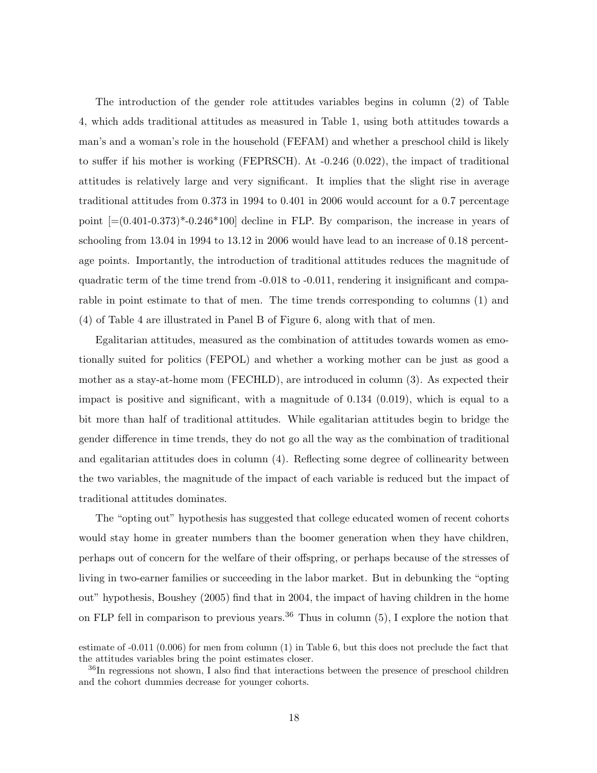The introduction of the gender role attitudes variables begins in column (2) of Table 4, which adds traditional attitudes as measured in Table 1, using both attitudes towards a man's and a woman's role in the household (FEFAM) and whether a preschool child is likely to suffer if his mother is working (FEPRSCH). At -0.246 (0.022), the impact of traditional attitudes is relatively large and very significant. It implies that the slight rise in average traditional attitudes from 0.373 in 1994 to 0.401 in 2006 would account for a 0.7 percentage point  $[=(0.401-0.373)^* -0.246*100]$  decline in FLP. By comparison, the increase in years of schooling from 13.04 in 1994 to 13.12 in 2006 would have lead to an increase of 0.18 percentage points. Importantly, the introduction of traditional attitudes reduces the magnitude of quadratic term of the time trend from -0.018 to -0.011, rendering it insignificant and comparable in point estimate to that of men. The time trends corresponding to columns (1) and (4) of Table 4 are illustrated in Panel B of Figure 6, along with that of men.

Egalitarian attitudes, measured as the combination of attitudes towards women as emotionally suited for politics (FEPOL) and whether a working mother can be just as good a mother as a stay-at-home mom (FECHLD), are introduced in column (3). As expected their impact is positive and significant, with a magnitude of 0.134 (0.019), which is equal to a bit more than half of traditional attitudes. While egalitarian attitudes begin to bridge the gender difference in time trends, they do not go all the way as the combination of traditional and egalitarian attitudes does in column (4). Reflecting some degree of collinearity between the two variables, the magnitude of the impact of each variable is reduced but the impact of traditional attitudes dominates.

The "opting out" hypothesis has suggested that college educated women of recent cohorts would stay home in greater numbers than the boomer generation when they have children, perhaps out of concern for the welfare of their offspring, or perhaps because of the stresses of living in two-earner families or succeeding in the labor market. But in debunking the "opting out" hypothesis, Boushey (2005) find that in 2004, the impact of having children in the home on FLP fell in comparison to previous years.<sup>36</sup> Thus in column  $(5)$ , I explore the notion that

estimate of -0.011 (0.006) for men from column (1) in Table 6, but this does not preclude the fact that the attitudes variables bring the point estimates closer.

<sup>&</sup>lt;sup>36</sup>In regressions not shown, I also find that interactions between the presence of preschool children and the cohort dummies decrease for younger cohorts.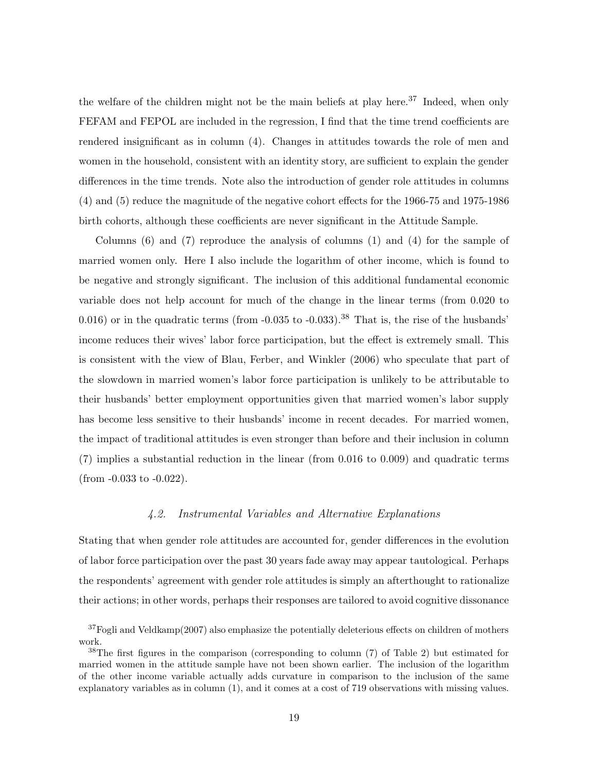the welfare of the children might not be the main beliefs at play here.<sup>37</sup> Indeed, when only FEFAM and FEPOL are included in the regression, I find that the time trend coefficients are rendered insignificant as in column (4). Changes in attitudes towards the role of men and women in the household, consistent with an identity story, are sufficient to explain the gender differences in the time trends. Note also the introduction of gender role attitudes in columns (4) and (5) reduce the magnitude of the negative cohort effects for the 1966-75 and 1975-1986 birth cohorts, although these coefficients are never significant in the Attitude Sample.

Columns (6) and (7) reproduce the analysis of columns (1) and (4) for the sample of married women only. Here I also include the logarithm of other income, which is found to be negative and strongly significant. The inclusion of this additional fundamental economic variable does not help account for much of the change in the linear terms (from 0.020 to 0.016) or in the quadratic terms (from  $-0.035$  to  $-0.033$ ).<sup>38</sup> That is, the rise of the husbands' income reduces their wives' labor force participation, but the effect is extremely small. This is consistent with the view of Blau, Ferber, and Winkler (2006) who speculate that part of the slowdown in married women's labor force participation is unlikely to be attributable to their husbands' better employment opportunities given that married women's labor supply has become less sensitive to their husbands' income in recent decades. For married women, the impact of traditional attitudes is even stronger than before and their inclusion in column (7) implies a substantial reduction in the linear (from 0.016 to 0.009) and quadratic terms (from -0.033 to -0.022).

### *4.2. Instrumental Variables and Alternative Explanations*

Stating that when gender role attitudes are accounted for, gender differences in the evolution of labor force participation over the past 30 years fade away may appear tautological. Perhaps the respondents' agreement with gender role attitudes is simply an afterthought to rationalize their actions; in other words, perhaps their responses are tailored to avoid cognitive dissonance

 $37F$ ogli and Veldkamp $(2007)$  also emphasize the potentially deleterious effects on children of mothers work.

<sup>38</sup>The first figures in the comparison (corresponding to column (7) of Table 2) but estimated for married women in the attitude sample have not been shown earlier. The inclusion of the logarithm of the other income variable actually adds curvature in comparison to the inclusion of the same explanatory variables as in column (1), and it comes at a cost of 719 observations with missing values.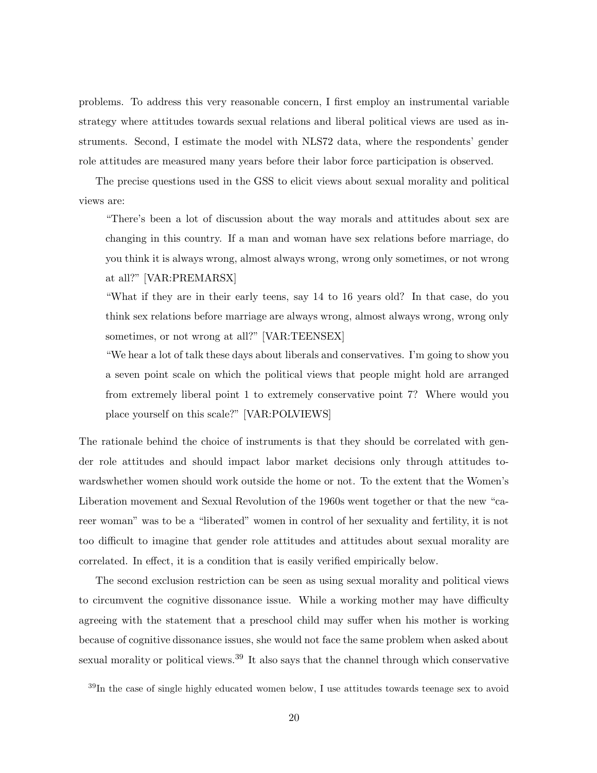problems. To address this very reasonable concern, I first employ an instrumental variable strategy where attitudes towards sexual relations and liberal political views are used as instruments. Second, I estimate the model with NLS72 data, where the respondents' gender role attitudes are measured many years before their labor force participation is observed.

The precise questions used in the GSS to elicit views about sexual morality and political views are:

"There's been a lot of discussion about the way morals and attitudes about sex are changing in this country. If a man and woman have sex relations before marriage, do you think it is always wrong, almost always wrong, wrong only sometimes, or not wrong at all?" [VAR:PREMARSX]

"What if they are in their early teens, say 14 to 16 years old? In that case, do you think sex relations before marriage are always wrong, almost always wrong, wrong only sometimes, or not wrong at all?" [VAR:TEENSEX]

"We hear a lot of talk these days about liberals and conservatives. I'm going to show you a seven point scale on which the political views that people might hold are arranged from extremely liberal point 1 to extremely conservative point 7? Where would you place yourself on this scale?" [VAR:POLVIEWS]

The rationale behind the choice of instruments is that they should be correlated with gender role attitudes and should impact labor market decisions only through attitudes towardswhether women should work outside the home or not. To the extent that the Women's Liberation movement and Sexual Revolution of the 1960s went together or that the new "career woman" was to be a "liberated" women in control of her sexuality and fertility, it is not too difficult to imagine that gender role attitudes and attitudes about sexual morality are correlated. In effect, it is a condition that is easily verified empirically below.

The second exclusion restriction can be seen as using sexual morality and political views to circumvent the cognitive dissonance issue. While a working mother may have difficulty agreeing with the statement that a preschool child may suffer when his mother is working because of cognitive dissonance issues, she would not face the same problem when asked about sexual morality or political views.<sup>39</sup> It also says that the channel through which conservative

<sup>39</sup>In the case of single highly educated women below, I use attitudes towards teenage sex to avoid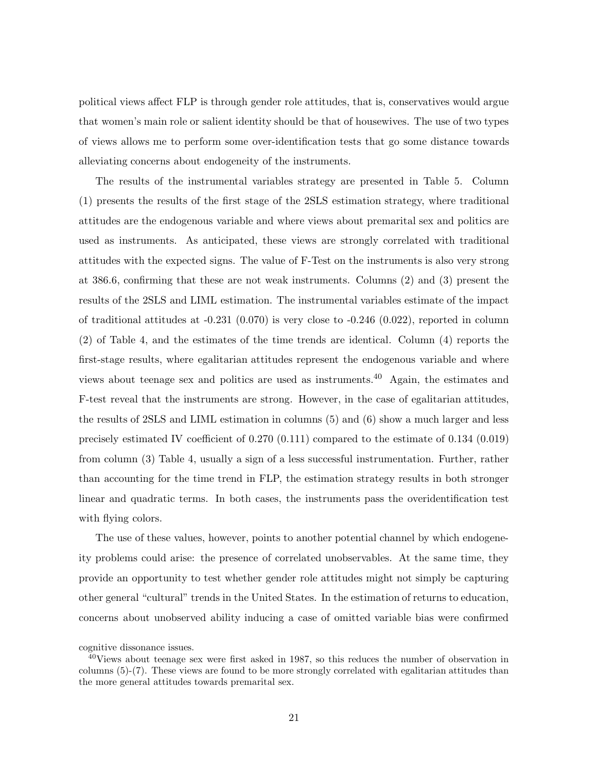political views affect FLP is through gender role attitudes, that is, conservatives would argue that women's main role or salient identity should be that of housewives. The use of two types of views allows me to perform some over-identification tests that go some distance towards alleviating concerns about endogeneity of the instruments.

The results of the instrumental variables strategy are presented in Table 5. Column (1) presents the results of the first stage of the 2SLS estimation strategy, where traditional attitudes are the endogenous variable and where views about premarital sex and politics are used as instruments. As anticipated, these views are strongly correlated with traditional attitudes with the expected signs. The value of F-Test on the instruments is also very strong at 386.6, confirming that these are not weak instruments. Columns (2) and (3) present the results of the 2SLS and LIML estimation. The instrumental variables estimate of the impact of traditional attitudes at  $-0.231$  (0.070) is very close to  $-0.246$  (0.022), reported in column (2) of Table 4, and the estimates of the time trends are identical. Column (4) reports the first-stage results, where egalitarian attitudes represent the endogenous variable and where views about teenage sex and politics are used as instruments.<sup>40</sup> Again, the estimates and F-test reveal that the instruments are strong. However, in the case of egalitarian attitudes, the results of 2SLS and LIML estimation in columns (5) and (6) show a much larger and less precisely estimated IV coefficient of 0.270 (0.111) compared to the estimate of 0.134 (0.019) from column (3) Table 4, usually a sign of a less successful instrumentation. Further, rather than accounting for the time trend in FLP, the estimation strategy results in both stronger linear and quadratic terms. In both cases, the instruments pass the overidentification test with flying colors.

The use of these values, however, points to another potential channel by which endogeneity problems could arise: the presence of correlated unobservables. At the same time, they provide an opportunity to test whether gender role attitudes might not simply be capturing other general "cultural" trends in the United States. In the estimation of returns to education, concerns about unobserved ability inducing a case of omitted variable bias were confirmed

cognitive dissonance issues.

<sup>40</sup>Views about teenage sex were first asked in 1987, so this reduces the number of observation in columns (5)-(7). These views are found to be more strongly correlated with egalitarian attitudes than the more general attitudes towards premarital sex.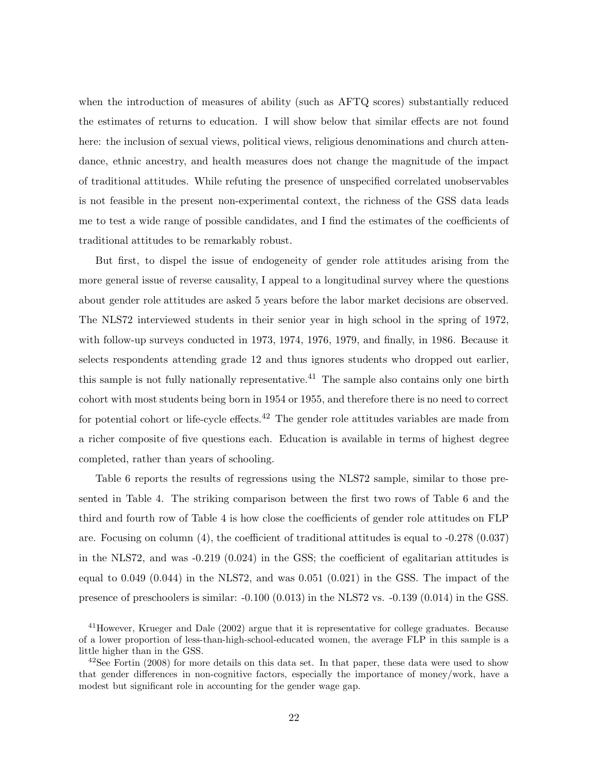when the introduction of measures of ability (such as AFTQ scores) substantially reduced the estimates of returns to education. I will show below that similar effects are not found here: the inclusion of sexual views, political views, religious denominations and church attendance, ethnic ancestry, and health measures does not change the magnitude of the impact of traditional attitudes. While refuting the presence of unspecified correlated unobservables is not feasible in the present non-experimental context, the richness of the GSS data leads me to test a wide range of possible candidates, and I find the estimates of the coefficients of traditional attitudes to be remarkably robust.

But first, to dispel the issue of endogeneity of gender role attitudes arising from the more general issue of reverse causality, I appeal to a longitudinal survey where the questions about gender role attitudes are asked 5 years before the labor market decisions are observed. The NLS72 interviewed students in their senior year in high school in the spring of 1972, with follow-up surveys conducted in 1973, 1974, 1976, 1979, and finally, in 1986. Because it selects respondents attending grade 12 and thus ignores students who dropped out earlier, this sample is not fully nationally representative.<sup>41</sup> The sample also contains only one birth cohort with most students being born in 1954 or 1955, and therefore there is no need to correct for potential cohort or life-cycle effects.<sup>42</sup> The gender role attitudes variables are made from a richer composite of five questions each. Education is available in terms of highest degree completed, rather than years of schooling.

Table 6 reports the results of regressions using the NLS72 sample, similar to those presented in Table 4. The striking comparison between the first two rows of Table 6 and the third and fourth row of Table 4 is how close the coefficients of gender role attitudes on FLP are. Focusing on column (4), the coefficient of traditional attitudes is equal to -0.278 (0.037) in the NLS72, and was  $-0.219$  (0.024) in the GSS; the coefficient of egalitarian attitudes is equal to  $0.049$   $(0.044)$  in the NLS72, and was  $0.051$   $(0.021)$  in the GSS. The impact of the presence of preschoolers is similar:  $-0.100$  (0.013) in the NLS72 vs.  $-0.139$  (0.014) in the GSS.

<sup>&</sup>lt;sup>41</sup>However, Krueger and Dale (2002) argue that it is representative for college graduates. Because of a lower proportion of less-than-high-school-educated women, the average FLP in this sample is a little higher than in the GSS.

 $^{42}$ See Fortin (2008) for more details on this data set. In that paper, these data were used to show that gender differences in non-cognitive factors, especially the importance of money/work, have a modest but significant role in accounting for the gender wage gap.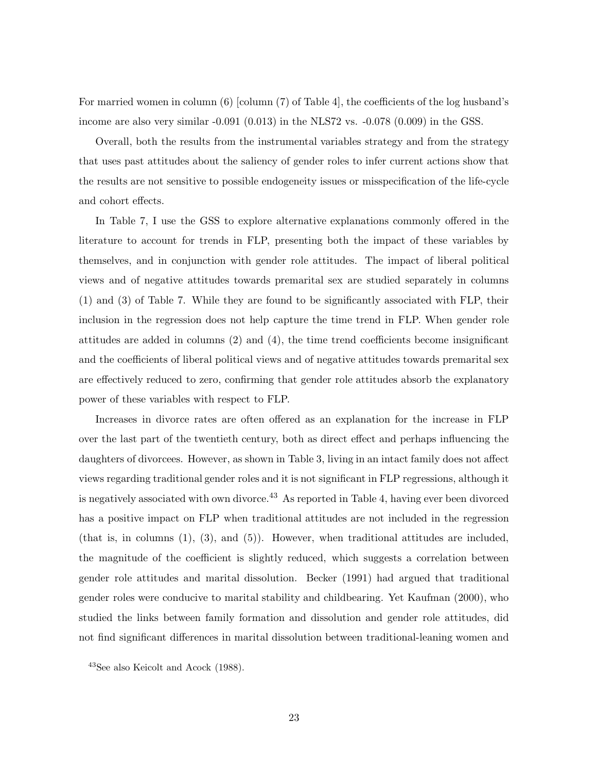For married women in column (6) [column (7) of Table 4], the coefficients of the log husband's income are also very similar -0.091 (0.013) in the NLS72 vs. -0.078 (0.009) in the GSS.

Overall, both the results from the instrumental variables strategy and from the strategy that uses past attitudes about the saliency of gender roles to infer current actions show that the results are not sensitive to possible endogeneity issues or misspecification of the life-cycle and cohort effects.

In Table 7, I use the GSS to explore alternative explanations commonly offered in the literature to account for trends in FLP, presenting both the impact of these variables by themselves, and in conjunction with gender role attitudes. The impact of liberal political views and of negative attitudes towards premarital sex are studied separately in columns (1) and (3) of Table 7. While they are found to be significantly associated with FLP, their inclusion in the regression does not help capture the time trend in FLP. When gender role attitudes are added in columns (2) and (4), the time trend coefficients become insignificant and the coefficients of liberal political views and of negative attitudes towards premarital sex are effectively reduced to zero, confirming that gender role attitudes absorb the explanatory power of these variables with respect to FLP.

Increases in divorce rates are often offered as an explanation for the increase in FLP over the last part of the twentieth century, both as direct effect and perhaps influencing the daughters of divorcees. However, as shown in Table 3, living in an intact family does not affect views regarding traditional gender roles and it is not significant in FLP regressions, although it is negatively associated with own divorce.<sup>43</sup> As reported in Table 4, having ever been divorced has a positive impact on FLP when traditional attitudes are not included in the regression (that is, in columns  $(1)$ ,  $(3)$ , and  $(5)$ ). However, when traditional attitudes are included, the magnitude of the coefficient is slightly reduced, which suggests a correlation between gender role attitudes and marital dissolution. Becker (1991) had argued that traditional gender roles were conducive to marital stability and childbearing. Yet Kaufman (2000), who studied the links between family formation and dissolution and gender role attitudes, did not find significant differences in marital dissolution between traditional-leaning women and

<sup>43</sup>See also Keicolt and Acock (1988).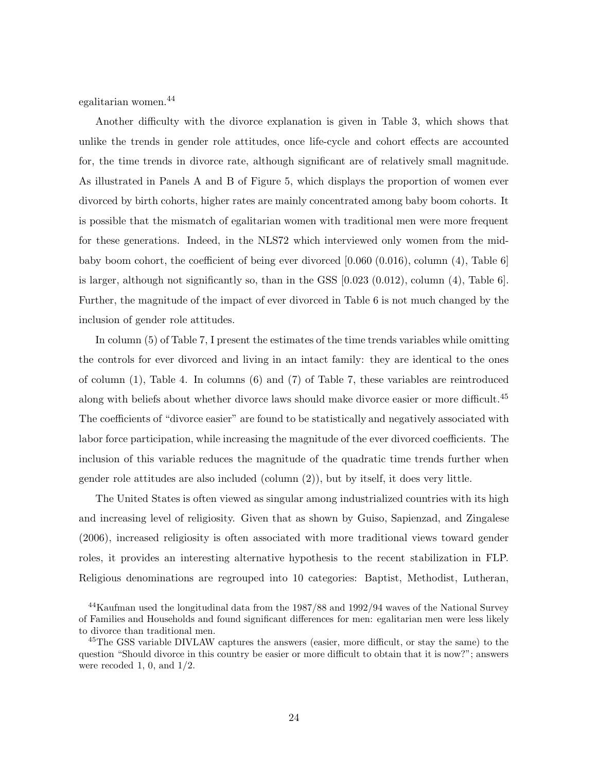egalitarian women.<sup>44</sup>

Another difficulty with the divorce explanation is given in Table 3, which shows that unlike the trends in gender role attitudes, once life-cycle and cohort effects are accounted for, the time trends in divorce rate, although significant are of relatively small magnitude. As illustrated in Panels A and B of Figure 5, which displays the proportion of women ever divorced by birth cohorts, higher rates are mainly concentrated among baby boom cohorts. It is possible that the mismatch of egalitarian women with traditional men were more frequent for these generations. Indeed, in the NLS72 which interviewed only women from the midbaby boom cohort, the coefficient of being ever divorced [0.060 (0.016), column (4), Table 6] is larger, although not significantly so, than in the GSS [0.023 (0.012), column (4), Table 6]. Further, the magnitude of the impact of ever divorced in Table 6 is not much changed by the inclusion of gender role attitudes.

In column (5) of Table 7, I present the estimates of the time trends variables while omitting the controls for ever divorced and living in an intact family: they are identical to the ones of column (1), Table 4. In columns (6) and (7) of Table 7, these variables are reintroduced along with beliefs about whether divorce laws should make divorce easier or more difficult.<sup>45</sup> The coefficients of "divorce easier" are found to be statistically and negatively associated with labor force participation, while increasing the magnitude of the ever divorced coefficients. The inclusion of this variable reduces the magnitude of the quadratic time trends further when gender role attitudes are also included (column (2)), but by itself, it does very little.

The United States is often viewed as singular among industrialized countries with its high and increasing level of religiosity. Given that as shown by Guiso, Sapienzad, and Zingalese (2006), increased religiosity is often associated with more traditional views toward gender roles, it provides an interesting alternative hypothesis to the recent stabilization in FLP. Religious denominations are regrouped into 10 categories: Baptist, Methodist, Lutheran,

<sup>44</sup>Kaufman used the longitudinal data from the 1987/88 and 1992/94 waves of the National Survey of Families and Households and found significant differences for men: egalitarian men were less likely to divorce than traditional men.

<sup>&</sup>lt;sup>45</sup>The GSS variable DIVLAW captures the answers (easier, more difficult, or stay the same) to the question "Should divorce in this country be easier or more difficult to obtain that it is now?"; answers were recoded 1, 0, and  $1/2$ .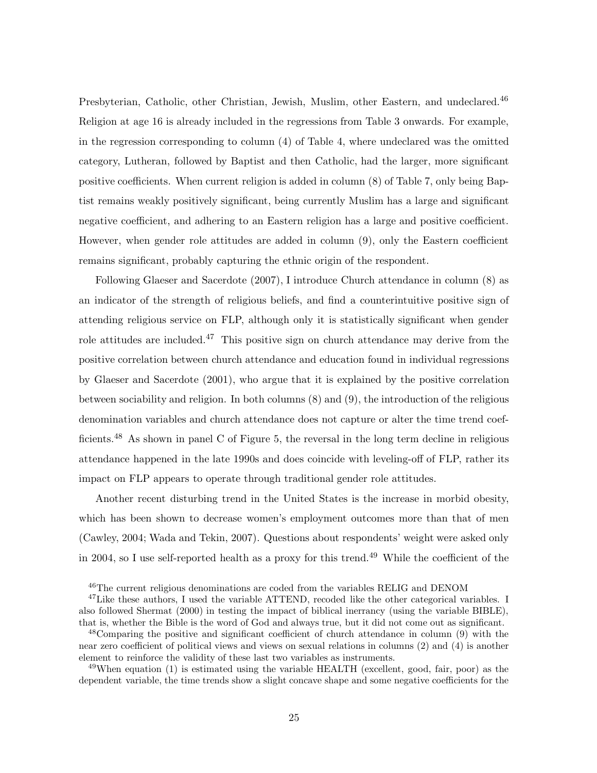Presbyterian, Catholic, other Christian, Jewish, Muslim, other Eastern, and undeclared.<sup>46</sup> Religion at age 16 is already included in the regressions from Table 3 onwards. For example, in the regression corresponding to column (4) of Table 4, where undeclared was the omitted category, Lutheran, followed by Baptist and then Catholic, had the larger, more significant positive coefficients. When current religion is added in column (8) of Table 7, only being Baptist remains weakly positively significant, being currently Muslim has a large and significant negative coefficient, and adhering to an Eastern religion has a large and positive coefficient. However, when gender role attitudes are added in column (9), only the Eastern coefficient remains significant, probably capturing the ethnic origin of the respondent.

Following Glaeser and Sacerdote (2007), I introduce Church attendance in column (8) as an indicator of the strength of religious beliefs, and find a counterintuitive positive sign of attending religious service on FLP, although only it is statistically significant when gender role attitudes are included.<sup>47</sup> This positive sign on church attendance may derive from the positive correlation between church attendance and education found in individual regressions by Glaeser and Sacerdote (2001), who argue that it is explained by the positive correlation between sociability and religion. In both columns (8) and (9), the introduction of the religious denomination variables and church attendance does not capture or alter the time trend coefficients.<sup>48</sup> As shown in panel C of Figure 5, the reversal in the long term decline in religious attendance happened in the late 1990s and does coincide with leveling-off of FLP, rather its impact on FLP appears to operate through traditional gender role attitudes.

Another recent disturbing trend in the United States is the increase in morbid obesity, which has been shown to decrease women's employment outcomes more than that of men (Cawley, 2004; Wada and Tekin, 2007). Questions about respondents' weight were asked only in 2004, so I use self-reported health as a proxy for this trend.<sup>49</sup> While the coefficient of the

 $^{49}$ When equation (1) is estimated using the variable HEALTH (excellent, good, fair, poor) as the dependent variable, the time trends show a slight concave shape and some negative coefficients for the

<sup>&</sup>lt;sup>46</sup>The current religious denominations are coded from the variables RELIG and DENOM

<sup>&</sup>lt;sup>47</sup>Like these authors, I used the variable ATTEND, recoded like the other categorical variables. I also followed Shermat (2000) in testing the impact of biblical inerrancy (using the variable BIBLE), that is, whether the Bible is the word of God and always true, but it did not come out as significant.

<sup>48</sup>Comparing the positive and significant coefficient of church attendance in column (9) with the near zero coefficient of political views and views on sexual relations in columns (2) and (4) is another element to reinforce the validity of these last two variables as instruments.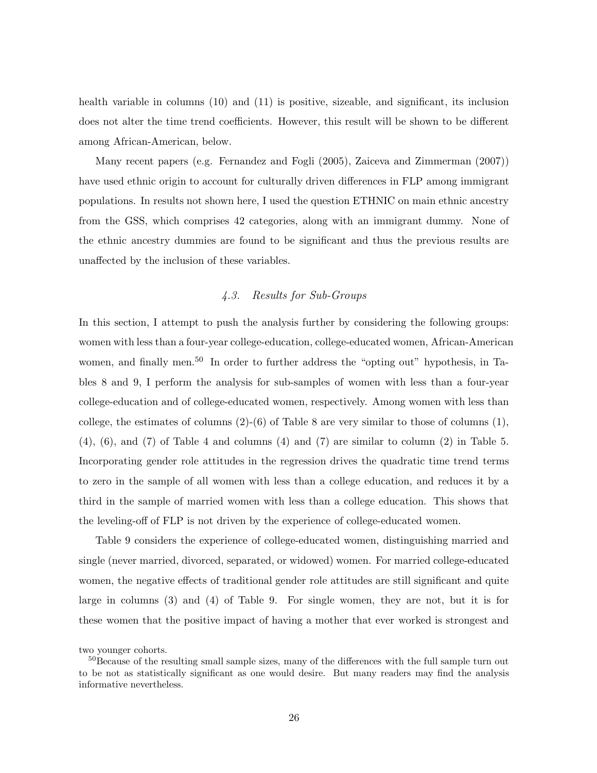health variable in columns (10) and (11) is positive, sizeable, and significant, its inclusion does not alter the time trend coefficients. However, this result will be shown to be different among African-American, below.

Many recent papers (e.g. Fernandez and Fogli (2005), Zaiceva and Zimmerman (2007)) have used ethnic origin to account for culturally driven differences in FLP among immigrant populations. In results not shown here, I used the question ETHNIC on main ethnic ancestry from the GSS, which comprises 42 categories, along with an immigrant dummy. None of the ethnic ancestry dummies are found to be significant and thus the previous results are unaffected by the inclusion of these variables.

### *4.3. Results for Sub-Groups*

In this section, I attempt to push the analysis further by considering the following groups: women with less than a four-year college-education, college-educated women, African-American women, and finally men.<sup>50</sup> In order to further address the "opting out" hypothesis, in Tables 8 and 9, I perform the analysis for sub-samples of women with less than a four-year college-education and of college-educated women, respectively. Among women with less than college, the estimates of columns  $(2)-(6)$  of Table 8 are very similar to those of columns  $(1)$ , (4), (6), and (7) of Table 4 and columns (4) and (7) are similar to column (2) in Table 5. Incorporating gender role attitudes in the regression drives the quadratic time trend terms to zero in the sample of all women with less than a college education, and reduces it by a third in the sample of married women with less than a college education. This shows that the leveling-off of FLP is not driven by the experience of college-educated women.

Table 9 considers the experience of college-educated women, distinguishing married and single (never married, divorced, separated, or widowed) women. For married college-educated women, the negative effects of traditional gender role attitudes are still significant and quite large in columns (3) and (4) of Table 9. For single women, they are not, but it is for these women that the positive impact of having a mother that ever worked is strongest and

two younger cohorts.

<sup>&</sup>lt;sup>50</sup>Because of the resulting small sample sizes, many of the differences with the full sample turn out to be not as statistically significant as one would desire. But many readers may find the analysis informative nevertheless.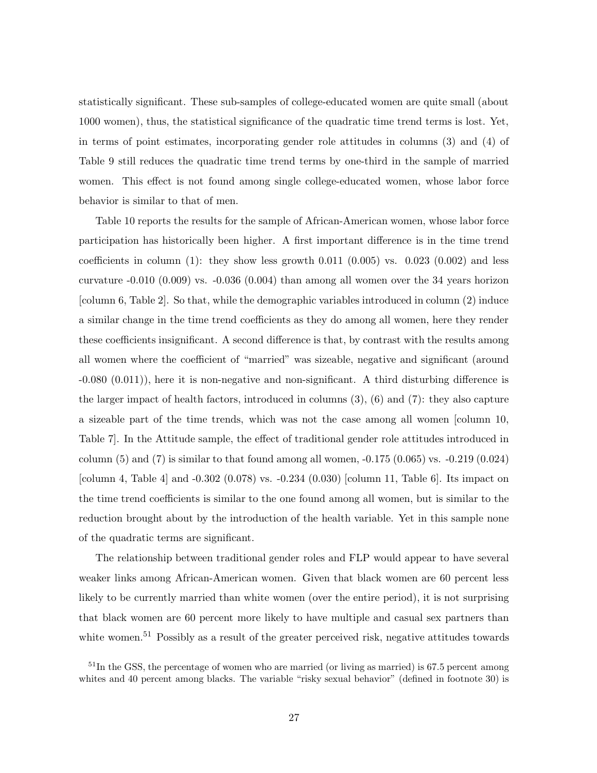statistically significant. These sub-samples of college-educated women are quite small (about 1000 women), thus, the statistical significance of the quadratic time trend terms is lost. Yet, in terms of point estimates, incorporating gender role attitudes in columns (3) and (4) of Table 9 still reduces the quadratic time trend terms by one-third in the sample of married women. This effect is not found among single college-educated women, whose labor force behavior is similar to that of men.

Table 10 reports the results for the sample of African-American women, whose labor force participation has historically been higher. A first important difference is in the time trend coefficients in column  $(1)$ : they show less growth 0.011  $(0.005)$  vs. 0.023  $(0.002)$  and less curvature  $-0.010$  (0.009) vs.  $-0.036$  (0.004) than among all women over the 34 years horizon [column 6, Table 2]. So that, while the demographic variables introduced in column (2) induce a similar change in the time trend coefficients as they do among all women, here they render these coefficients insignificant. A second difference is that, by contrast with the results among all women where the coefficient of "married" was sizeable, negative and significant (around -0.080 (0.011)), here it is non-negative and non-significant. A third disturbing difference is the larger impact of health factors, introduced in columns (3), (6) and (7): they also capture a sizeable part of the time trends, which was not the case among all women [column 10, Table 7]. In the Attitude sample, the effect of traditional gender role attitudes introduced in column  $(5)$  and  $(7)$  is similar to that found among all women,  $-0.175$   $(0.065)$  vs.  $-0.219$   $(0.024)$ [column 4, Table 4] and -0.302 (0.078) vs. -0.234 (0.030) [column 11, Table 6]. Its impact on the time trend coefficients is similar to the one found among all women, but is similar to the reduction brought about by the introduction of the health variable. Yet in this sample none of the quadratic terms are significant.

The relationship between traditional gender roles and FLP would appear to have several weaker links among African-American women. Given that black women are 60 percent less likely to be currently married than white women (over the entire period), it is not surprising that black women are 60 percent more likely to have multiple and casual sex partners than white women.<sup>51</sup> Possibly as a result of the greater perceived risk, negative attitudes towards

 $51$ In the GSS, the percentage of women who are married (or living as married) is 67.5 percent among whites and 40 percent among blacks. The variable "risky sexual behavior" (defined in footnote 30) is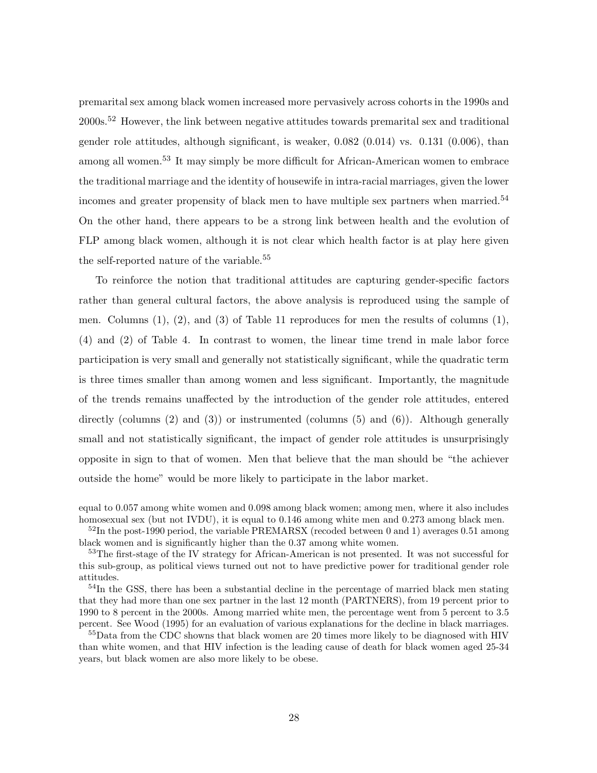premarital sex among black women increased more pervasively across cohorts in the 1990s and 2000s.<sup>52</sup> However, the link between negative attitudes towards premarital sex and traditional gender role attitudes, although significant, is weaker, 0.082 (0.014) vs. 0.131 (0.006), than among all women.<sup>53</sup> It may simply be more difficult for African-American women to embrace the traditional marriage and the identity of housewife in intra-racial marriages, given the lower incomes and greater propensity of black men to have multiple sex partners when married.<sup>54</sup> On the other hand, there appears to be a strong link between health and the evolution of FLP among black women, although it is not clear which health factor is at play here given the self-reported nature of the variable.<sup>55</sup>

To reinforce the notion that traditional attitudes are capturing gender-specific factors rather than general cultural factors, the above analysis is reproduced using the sample of men. Columns  $(1)$ ,  $(2)$ , and  $(3)$  of Table 11 reproduces for men the results of columns  $(1)$ , (4) and (2) of Table 4. In contrast to women, the linear time trend in male labor force participation is very small and generally not statistically significant, while the quadratic term is three times smaller than among women and less significant. Importantly, the magnitude of the trends remains unaffected by the introduction of the gender role attitudes, entered directly (columns  $(2)$  and  $(3)$ ) or instrumented (columns  $(5)$  and  $(6)$ ). Although generally small and not statistically significant, the impact of gender role attitudes is unsurprisingly opposite in sign to that of women. Men that believe that the man should be "the achiever outside the home" would be more likely to participate in the labor market.

equal to 0.057 among white women and 0.098 among black women; among men, where it also includes homosexual sex (but not IVDU), it is equal to  $0.146$  among white men and  $0.273$  among black men.

 $52$ In the post-1990 period, the variable PREMARSX (recoded between 0 and 1) averages 0.51 among black women and is significantly higher than the 0.37 among white women.

<sup>53</sup>The first-stage of the IV strategy for African-American is not presented. It was not successful for this sub-group, as political views turned out not to have predictive power for traditional gender role attitudes.

<sup>54</sup>In the GSS, there has been a substantial decline in the percentage of married black men stating that they had more than one sex partner in the last 12 month (PARTNERS), from 19 percent prior to 1990 to 8 percent in the 2000s. Among married white men, the percentage went from 5 percent to 3.5 percent. See Wood (1995) for an evaluation of various explanations for the decline in black marriages.

<sup>55</sup>Data from the CDC showns that black women are 20 times more likely to be diagnosed with HIV than white women, and that HIV infection is the leading cause of death for black women aged 25-34 years, but black women are also more likely to be obese.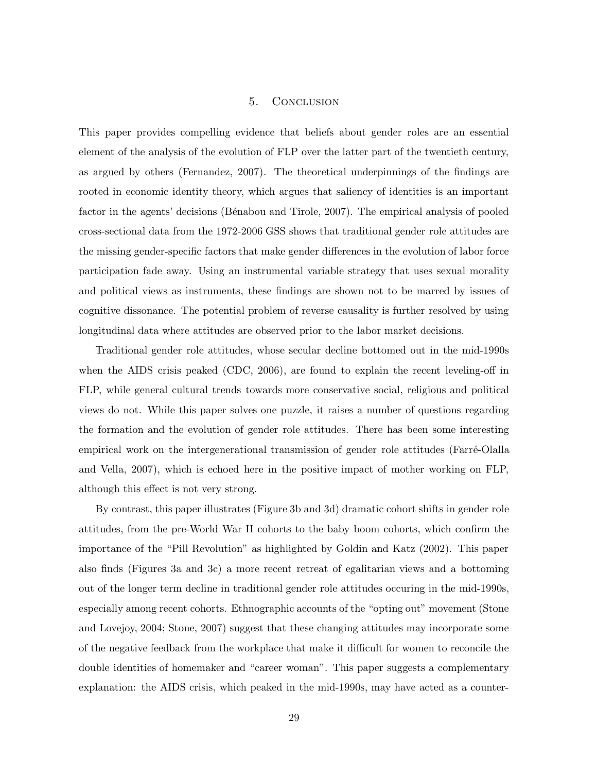### 5. Conclusion

This paper provides compelling evidence that beliefs about gender roles are an essential element of the analysis of the evolution of FLP over the latter part of the twentieth century, as argued by others (Fernandez, 2007). The theoretical underpinnings of the findings are rooted in economic identity theory, which argues that saliency of identities is an important factor in the agents' decisions (Bénabou and Tirole, 2007). The empirical analysis of pooled cross-sectional data from the 1972-2006 GSS shows that traditional gender role attitudes are the missing gender-specific factors that make gender differences in the evolution of labor force participation fade away. Using an instrumental variable strategy that uses sexual morality and political views as instruments, these findings are shown not to be marred by issues of cognitive dissonance. The potential problem of reverse causality is further resolved by using longitudinal data where attitudes are observed prior to the labor market decisions.

Traditional gender role attitudes, whose secular decline bottomed out in the mid-1990s when the AIDS crisis peaked (CDC, 2006), are found to explain the recent leveling-off in FLP, while general cultural trends towards more conservative social, religious and political views do not. While this paper solves one puzzle, it raises a number of questions regarding the formation and the evolution of gender role attitudes. There has been some interesting empirical work on the intergenerational transmission of gender role attitudes (Farré-Olalla and Vella, 2007), which is echoed here in the positive impact of mother working on FLP, although this effect is not very strong.

By contrast, this paper illustrates (Figure 3b and 3d) dramatic cohort shifts in gender role attitudes, from the pre-World War II cohorts to the baby boom cohorts, which confirm the importance of the "Pill Revolution" as highlighted by Goldin and Katz (2002). This paper also finds (Figures 3a and 3c) a more recent retreat of egalitarian views and a bottoming out of the longer term decline in traditional gender role attitudes occuring in the mid-1990s, especially among recent cohorts. Ethnographic accounts of the "opting out" movement (Stone and Lovejoy, 2004; Stone, 2007) suggest that these changing attitudes may incorporate some of the negative feedback from the workplace that make it difficult for women to reconcile the double identities of homemaker and "career woman". This paper suggests a complementary explanation: the AIDS crisis, which peaked in the mid-1990s, may have acted as a counter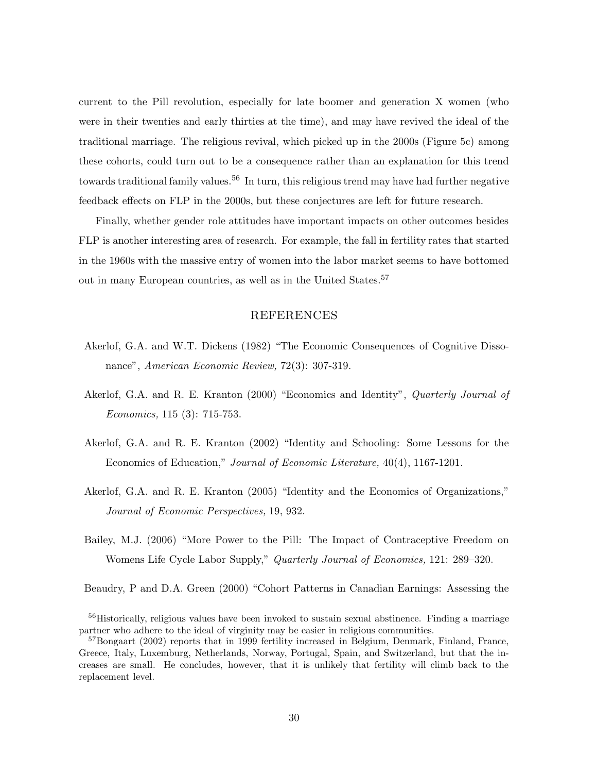current to the Pill revolution, especially for late boomer and generation X women (who were in their twenties and early thirties at the time), and may have revived the ideal of the traditional marriage. The religious revival, which picked up in the 2000s (Figure 5c) among these cohorts, could turn out to be a consequence rather than an explanation for this trend towards traditional family values.<sup>56</sup> In turn, this religious trend may have had further negative feedback effects on FLP in the 2000s, but these conjectures are left for future research.

Finally, whether gender role attitudes have important impacts on other outcomes besides FLP is another interesting area of research. For example, the fall in fertility rates that started in the 1960s with the massive entry of women into the labor market seems to have bottomed out in many European countries, as well as in the United States.<sup>57</sup>

#### REFERENCES

- Akerlof, G.A. and W.T. Dickens (1982) "The Economic Consequences of Cognitive Dissonance", *American Economic Review,* 72(3): 307-319.
- Akerlof, G.A. and R. E. Kranton (2000) "Economics and Identity", *Quarterly Journal of Economics,* 115 (3): 715-753.
- Akerlof, G.A. and R. E. Kranton (2002) "Identity and Schooling: Some Lessons for the Economics of Education," *Journal of Economic Literature,* 40(4), 1167-1201.
- Akerlof, G.A. and R. E. Kranton (2005) "Identity and the Economics of Organizations," *Journal of Economic Perspectives,* 19, 932.
- Bailey, M.J. (2006) "More Power to the Pill: The Impact of Contraceptive Freedom on Womens Life Cycle Labor Supply," *Quarterly Journal of Economics,* 121: 289–320.

Beaudry, P and D.A. Green (2000) "Cohort Patterns in Canadian Earnings: Assessing the

<sup>&</sup>lt;sup>56</sup>Historically, religious values have been invoked to sustain sexual abstinence. Finding a marriage partner who adhere to the ideal of virginity may be easier in religious communities.

<sup>&</sup>lt;sup>57</sup>Bongaart (2002) reports that in 1999 fertility increased in Belgium, Denmark, Finland, France, Greece, Italy, Luxemburg, Netherlands, Norway, Portugal, Spain, and Switzerland, but that the increases are small. He concludes, however, that it is unlikely that fertility will climb back to the replacement level.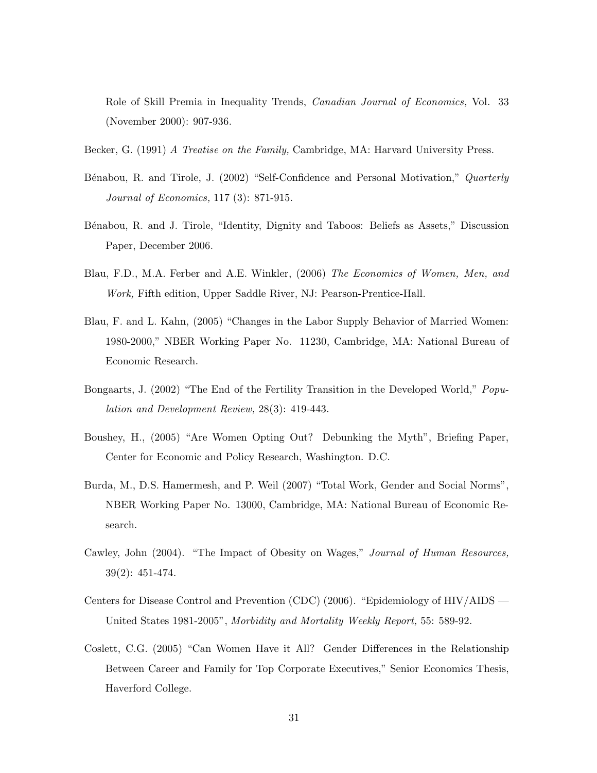Role of Skill Premia in Inequality Trends, *Canadian Journal of Economics,* Vol. 33 (November 2000): 907-936.

- Becker, G. (1991) *A Treatise on the Family,* Cambridge, MA: Harvard University Press.
- B´enabou, R. and Tirole, J. (2002) "Self-Confidence and Personal Motivation," *Quarterly Journal of Economics,* 117 (3): 871-915.
- B´enabou, R. and J. Tirole, "Identity, Dignity and Taboos: Beliefs as Assets," Discussion Paper, December 2006.
- Blau, F.D., M.A. Ferber and A.E. Winkler, (2006) *The Economics of Women, Men, and Work,* Fifth edition, Upper Saddle River, NJ: Pearson-Prentice-Hall.
- Blau, F. and L. Kahn, (2005) "Changes in the Labor Supply Behavior of Married Women: 1980-2000," NBER Working Paper No. 11230, Cambridge, MA: National Bureau of Economic Research.
- Bongaarts, J. (2002) "The End of the Fertility Transition in the Developed World," *Population and Development Review,* 28(3): 419-443.
- Boushey, H., (2005) "Are Women Opting Out? Debunking the Myth", Briefing Paper, Center for Economic and Policy Research, Washington. D.C.
- Burda, M., D.S. Hamermesh, and P. Weil (2007) "Total Work, Gender and Social Norms", NBER Working Paper No. 13000, Cambridge, MA: National Bureau of Economic Research.
- Cawley, John (2004). "The Impact of Obesity on Wages," *Journal of Human Resources,* 39(2): 451-474.
- Centers for Disease Control and Prevention (CDC) (2006). "Epidemiology of HIV/AIDS United States 1981-2005", *Morbidity and Mortality Weekly Report,* 55: 589-92.
- Coslett, C.G. (2005) "Can Women Have it All? Gender Differences in the Relationship Between Career and Family for Top Corporate Executives," Senior Economics Thesis, Haverford College.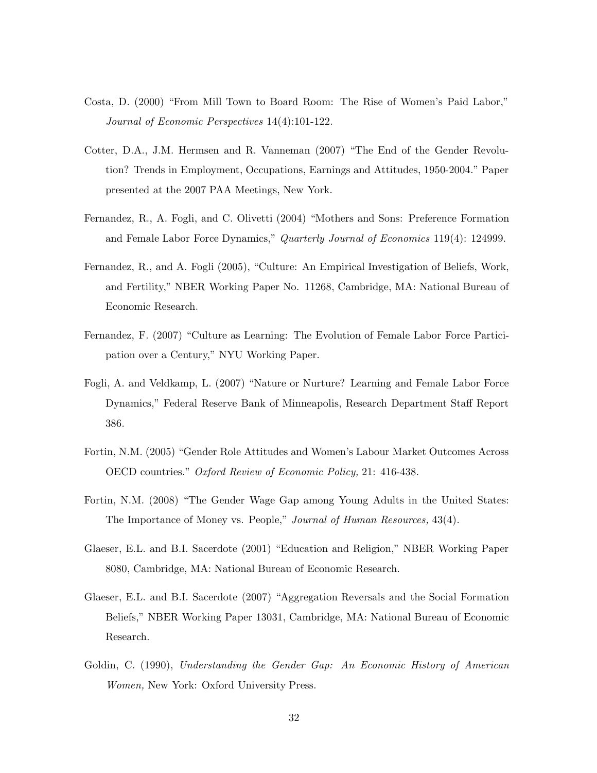- Costa, D. (2000) "From Mill Town to Board Room: The Rise of Women's Paid Labor," *Journal of Economic Perspectives* 14(4):101-122.
- Cotter, D.A., J.M. Hermsen and R. Vanneman (2007) "The End of the Gender Revolution? Trends in Employment, Occupations, Earnings and Attitudes, 1950-2004." Paper presented at the 2007 PAA Meetings, New York.
- Fernandez, R., A. Fogli, and C. Olivetti (2004) "Mothers and Sons: Preference Formation and Female Labor Force Dynamics," *Quarterly Journal of Economics* 119(4): 124999.
- Fernandez, R., and A. Fogli (2005), "Culture: An Empirical Investigation of Beliefs, Work, and Fertility," NBER Working Paper No. 11268, Cambridge, MA: National Bureau of Economic Research.
- Fernandez, F. (2007) "Culture as Learning: The Evolution of Female Labor Force Participation over a Century," NYU Working Paper.
- Fogli, A. and Veldkamp, L. (2007) "Nature or Nurture? Learning and Female Labor Force Dynamics," Federal Reserve Bank of Minneapolis, Research Department Staff Report 386.
- Fortin, N.M. (2005) "Gender Role Attitudes and Women's Labour Market Outcomes Across OECD countries." *Oxford Review of Economic Policy,* 21: 416-438.
- Fortin, N.M. (2008) "The Gender Wage Gap among Young Adults in the United States: The Importance of Money vs. People," *Journal of Human Resources,* 43(4).
- Glaeser, E.L. and B.I. Sacerdote (2001) "Education and Religion," NBER Working Paper 8080, Cambridge, MA: National Bureau of Economic Research.
- Glaeser, E.L. and B.I. Sacerdote (2007) "Aggregation Reversals and the Social Formation Beliefs," NBER Working Paper 13031, Cambridge, MA: National Bureau of Economic Research.
- Goldin, C. (1990), *Understanding the Gender Gap: An Economic History of American Women,* New York: Oxford University Press.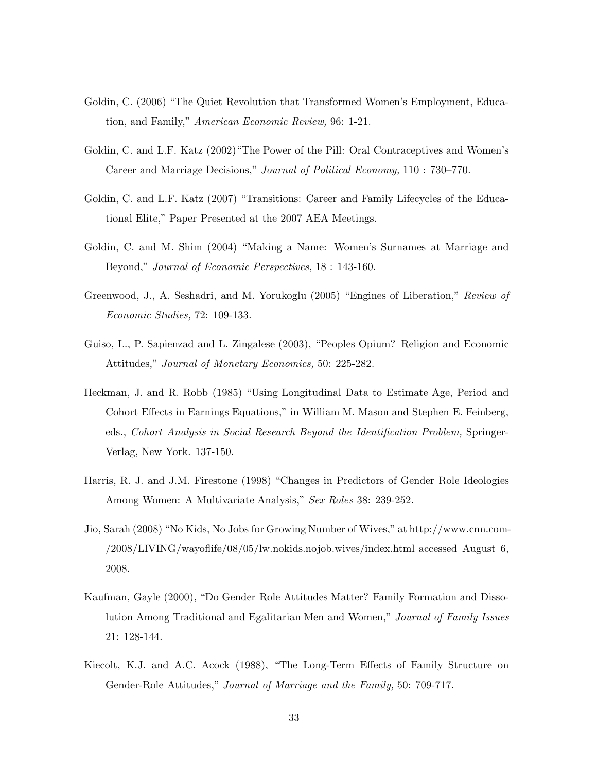- Goldin, C. (2006) "The Quiet Revolution that Transformed Women's Employment, Education, and Family," *American Economic Review,* 96: 1-21.
- Goldin, C. and L.F. Katz (2002)"The Power of the Pill: Oral Contraceptives and Women's Career and Marriage Decisions," *Journal of Political Economy,* 110 : 730–770.
- Goldin, C. and L.F. Katz (2007) "Transitions: Career and Family Lifecycles of the Educational Elite," Paper Presented at the 2007 AEA Meetings.
- Goldin, C. and M. Shim (2004) "Making a Name: Women's Surnames at Marriage and Beyond," *Journal of Economic Perspectives,* 18 : 143-160.
- Greenwood, J., A. Seshadri, and M. Yorukoglu (2005) "Engines of Liberation," *Review of Economic Studies,* 72: 109-133.
- Guiso, L., P. Sapienzad and L. Zingalese (2003), "Peoples Opium? Religion and Economic Attitudes," *Journal of Monetary Economics,* 50: 225-282.
- Heckman, J. and R. Robb (1985) "Using Longitudinal Data to Estimate Age, Period and Cohort Effects in Earnings Equations," in William M. Mason and Stephen E. Feinberg, eds., *Cohort Analysis in Social Research Beyond the Identification Problem,* Springer-Verlag, New York. 137-150.
- Harris, R. J. and J.M. Firestone (1998) "Changes in Predictors of Gender Role Ideologies Among Women: A Multivariate Analysis," *Sex Roles* 38: 239-252.
- Jio, Sarah (2008) "No Kids, No Jobs for Growing Number of Wives," at http://www.cnn.com- /2008/LIVING/wayoflife/08/05/lw.nokids.nojob.wives/index.html accessed August 6, 2008.
- Kaufman, Gayle (2000), "Do Gender Role Attitudes Matter? Family Formation and Dissolution Among Traditional and Egalitarian Men and Women," *Journal of Family Issues* 21: 128-144.
- Kiecolt, K.J. and A.C. Acock (1988), "The Long-Term Effects of Family Structure on Gender-Role Attitudes," *Journal of Marriage and the Family,* 50: 709-717.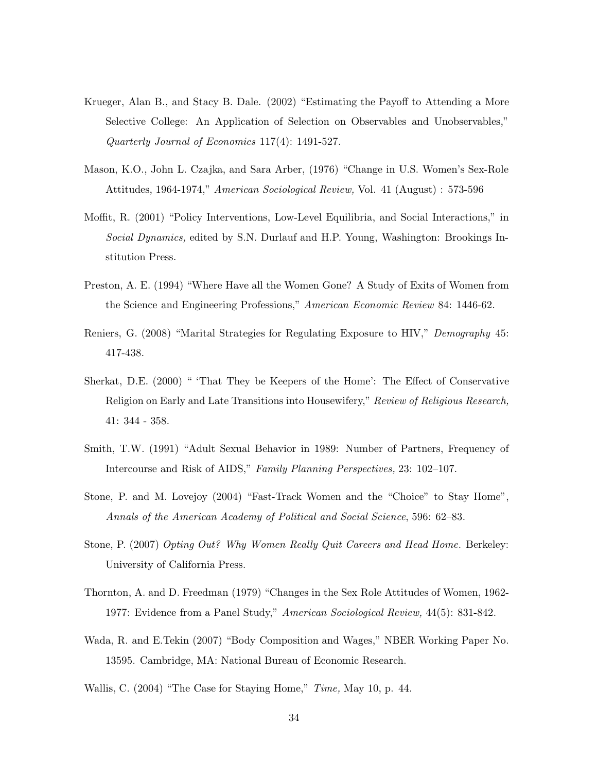- Krueger, Alan B., and Stacy B. Dale. (2002) "Estimating the Payoff to Attending a More Selective College: An Application of Selection on Observables and Unobservables," *Quarterly Journal of Economics* 117(4): 1491-527.
- Mason, K.O., John L. Czajka, and Sara Arber, (1976) "Change in U.S. Women's Sex-Role Attitudes, 1964-1974," *American Sociological Review,* Vol. 41 (August) : 573-596
- Moffit, R. (2001) "Policy Interventions, Low-Level Equilibria, and Social Interactions," in *Social Dynamics,* edited by S.N. Durlauf and H.P. Young, Washington: Brookings Institution Press.
- Preston, A. E. (1994) "Where Have all the Women Gone? A Study of Exits of Women from the Science and Engineering Professions," *American Economic Review* 84: 1446-62.
- Reniers, G. (2008) "Marital Strategies for Regulating Exposure to HIV," *Demography* 45: 417-438.
- Sherkat, D.E. (2000) " 'That They be Keepers of the Home': The Effect of Conservative Religion on Early and Late Transitions into Housewifery," *Review of Religious Research,* 41: 344 - 358.
- Smith, T.W. (1991) "Adult Sexual Behavior in 1989: Number of Partners, Frequency of Intercourse and Risk of AIDS," *Family Planning Perspectives,* 23: 102–107.
- Stone, P. and M. Lovejoy (2004) "Fast-Track Women and the "Choice" to Stay Home", *Annals of the American Academy of Political and Social Science*, 596: 62–83.
- Stone, P. (2007) *Opting Out? Why Women Really Quit Careers and Head Home.* Berkeley: University of California Press.
- Thornton, A. and D. Freedman (1979) "Changes in the Sex Role Attitudes of Women, 1962- 1977: Evidence from a Panel Study," *American Sociological Review,* 44(5): 831-842.
- Wada, R. and E.Tekin (2007) "Body Composition and Wages," NBER Working Paper No. 13595. Cambridge, MA: National Bureau of Economic Research.
- Wallis, C. (2004) "The Case for Staying Home," *Time,* May 10, p. 44.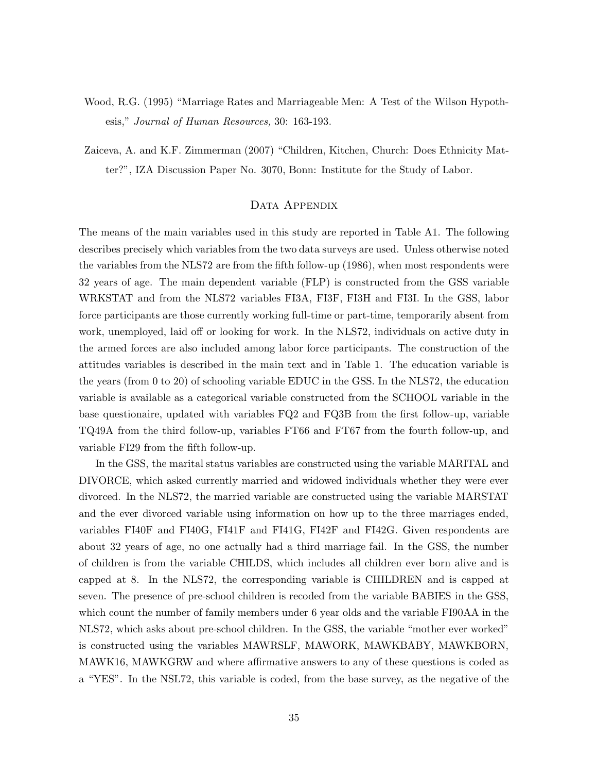- Wood, R.G. (1995) "Marriage Rates and Marriageable Men: A Test of the Wilson Hypothesis," *Journal of Human Resources,* 30: 163-193.
- Zaiceva, A. and K.F. Zimmerman (2007) "Children, Kitchen, Church: Does Ethnicity Matter?", IZA Discussion Paper No. 3070, Bonn: Institute for the Study of Labor.

#### DATA APPENDIX

The means of the main variables used in this study are reported in Table A1. The following describes precisely which variables from the two data surveys are used. Unless otherwise noted the variables from the NLS72 are from the fifth follow-up (1986), when most respondents were 32 years of age. The main dependent variable (FLP) is constructed from the GSS variable WRKSTAT and from the NLS72 variables FI3A, FI3F, FI3H and FI3I. In the GSS, labor force participants are those currently working full-time or part-time, temporarily absent from work, unemployed, laid off or looking for work. In the NLS72, individuals on active duty in the armed forces are also included among labor force participants. The construction of the attitudes variables is described in the main text and in Table 1. The education variable is the years (from 0 to 20) of schooling variable EDUC in the GSS. In the NLS72, the education variable is available as a categorical variable constructed from the SCHOOL variable in the base questionaire, updated with variables FQ2 and FQ3B from the first follow-up, variable TQ49A from the third follow-up, variables FT66 and FT67 from the fourth follow-up, and variable FI29 from the fifth follow-up.

In the GSS, the marital status variables are constructed using the variable MARITAL and DIVORCE, which asked currently married and widowed individuals whether they were ever divorced. In the NLS72, the married variable are constructed using the variable MARSTAT and the ever divorced variable using information on how up to the three marriages ended, variables FI40F and FI40G, FI41F and FI41G, FI42F and FI42G. Given respondents are about 32 years of age, no one actually had a third marriage fail. In the GSS, the number of children is from the variable CHILDS, which includes all children ever born alive and is capped at 8. In the NLS72, the corresponding variable is CHILDREN and is capped at seven. The presence of pre-school children is recoded from the variable BABIES in the GSS, which count the number of family members under 6 year olds and the variable FI90AA in the NLS72, which asks about pre-school children. In the GSS, the variable "mother ever worked" is constructed using the variables MAWRSLF, MAWORK, MAWKBABY, MAWKBORN, MAWK16, MAWKGRW and where affirmative answers to any of these questions is coded as a "YES". In the NSL72, this variable is coded, from the base survey, as the negative of the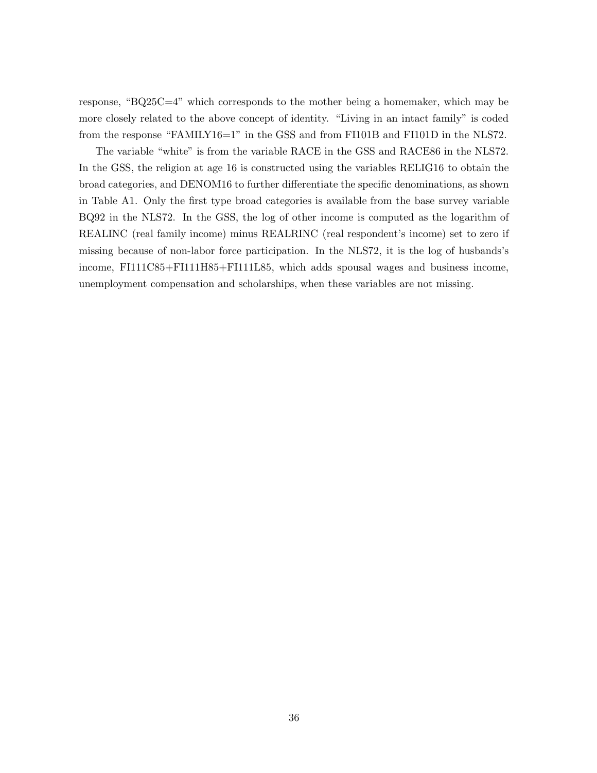response, "BQ25C=4" which corresponds to the mother being a homemaker, which may be more closely related to the above concept of identity. "Living in an intact family" is coded from the response "FAMILY16=1" in the GSS and from FI101B and FI101D in the NLS72.

The variable "white" is from the variable RACE in the GSS and RACE86 in the NLS72. In the GSS, the religion at age 16 is constructed using the variables RELIG16 to obtain the broad categories, and DENOM16 to further differentiate the specific denominations, as shown in Table A1. Only the first type broad categories is available from the base survey variable BQ92 in the NLS72. In the GSS, the log of other income is computed as the logarithm of REALINC (real family income) minus REALRINC (real respondent's income) set to zero if missing because of non-labor force participation. In the NLS72, it is the log of husbands's income, FI111C85+FI111H85+FI111L85, which adds spousal wages and business income, unemployment compensation and scholarships, when these variables are not missing.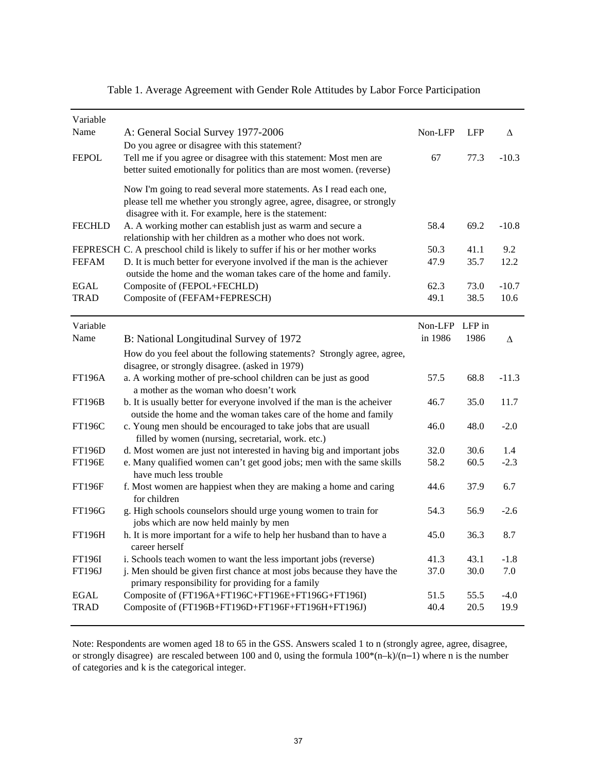| Variable      |                                                                                                                                                                                                        |                |            |         |
|---------------|--------------------------------------------------------------------------------------------------------------------------------------------------------------------------------------------------------|----------------|------------|---------|
| Name          | A: General Social Survey 1977-2006<br>Do you agree or disagree with this statement?                                                                                                                    | Non-LFP        | <b>LFP</b> | Δ       |
| <b>FEPOL</b>  | Tell me if you agree or disagree with this statement: Most men are<br>better suited emotionally for politics than are most women. (reverse)                                                            | 67             | 77.3       | $-10.3$ |
|               | Now I'm going to read several more statements. As I read each one,<br>please tell me whether you strongly agree, agree, disagree, or strongly<br>disagree with it. For example, here is the statement: |                |            |         |
| <b>FECHLD</b> | A. A working mother can establish just as warm and secure a<br>relationship with her children as a mother who does not work.                                                                           | 58.4           | 69.2       | $-10.8$ |
|               | FEPRESCH C. A preschool child is likely to suffer if his or her mother works                                                                                                                           | 50.3           | 41.1       | 9.2     |
| <b>FEFAM</b>  | D. It is much better for everyone involved if the man is the achiever<br>outside the home and the woman takes care of the home and family.                                                             | 47.9           | 35.7       | 12.2    |
| EGAL          | Composite of (FEPOL+FECHLD)                                                                                                                                                                            | 62.3           | 73.0       | $-10.7$ |
| <b>TRAD</b>   | Composite of (FEFAM+FEPRESCH)                                                                                                                                                                          | 49.1           | 38.5       | 10.6    |
| Variable      |                                                                                                                                                                                                        | Non-LFP LFP in |            |         |
| Name          | B: National Longitudinal Survey of 1972                                                                                                                                                                | in 1986        | 1986       | Δ       |
|               | How do you feel about the following statements? Strongly agree, agree,                                                                                                                                 |                |            |         |
|               | disagree, or strongly disagree. (asked in 1979)                                                                                                                                                        |                |            |         |
| <b>FT196A</b> | a. A working mother of pre-school children can be just as good<br>a mother as the woman who doesn't work                                                                                               | 57.5           | 68.8       | $-11.3$ |
| <b>FT196B</b> | b. It is usually better for everyone involved if the man is the acheiver<br>outside the home and the woman takes care of the home and family                                                           | 46.7           | 35.0       | 11.7    |
| <b>FT196C</b> | c. Young men should be encouraged to take jobs that are usuall<br>filled by women (nursing, secretarial, work. etc.)                                                                                   | 46.0           | 48.0       | $-2.0$  |
| <b>FT196D</b> | d. Most women are just not interested in having big and important jobs                                                                                                                                 | 32.0           | 30.6       | 1.4     |
| <b>FT196E</b> | e. Many qualified women can't get good jobs; men with the same skills<br>have much less trouble                                                                                                        | 58.2           | 60.5       | $-2.3$  |
| <b>FT196F</b> | f. Most women are happiest when they are making a home and caring<br>for children                                                                                                                      | 44.6           | 37.9       | 6.7     |
| <b>FT196G</b> | g. High schools counselors should urge young women to train for<br>jobs which are now held mainly by men                                                                                               | 54.3           | 56.9       | $-2.6$  |
| <b>FT196H</b> | h. It is more important for a wife to help her husband than to have a<br>career herself                                                                                                                | 45.0           | 36.3       | 8.7     |
| FT196I        | i. Schools teach women to want the less important jobs (reverse)                                                                                                                                       | 41.3           | 43.1       | $-1.8$  |
| FT196J        | j. Men should be given first chance at most jobs because they have the<br>primary responsibility for providing for a family                                                                            | 37.0           | 30.0       | 7.0     |
| <b>EGAL</b>   | Composite of (FT196A+FT196C+FT196E+FT196G+FT196I)                                                                                                                                                      | 51.5           | 55.5       | $-4.0$  |
| <b>TRAD</b>   | Composite of (FT196B+FT196D+FT196F+FT196H+FT196J)                                                                                                                                                      | 40.4           | 20.5       | 19.9    |

Table 1. Average Agreement with Gender Role Attitudes by Labor Force Participation

Note: Respondents are women aged 18 to 65 in the GSS. Answers scaled 1 to n (strongly agree, agree, disagree, or strongly disagree) are rescaled between 100 and 0, using the formula 100\*(n–k)/(n–1) where n is the number of categories and k is the categorical integer.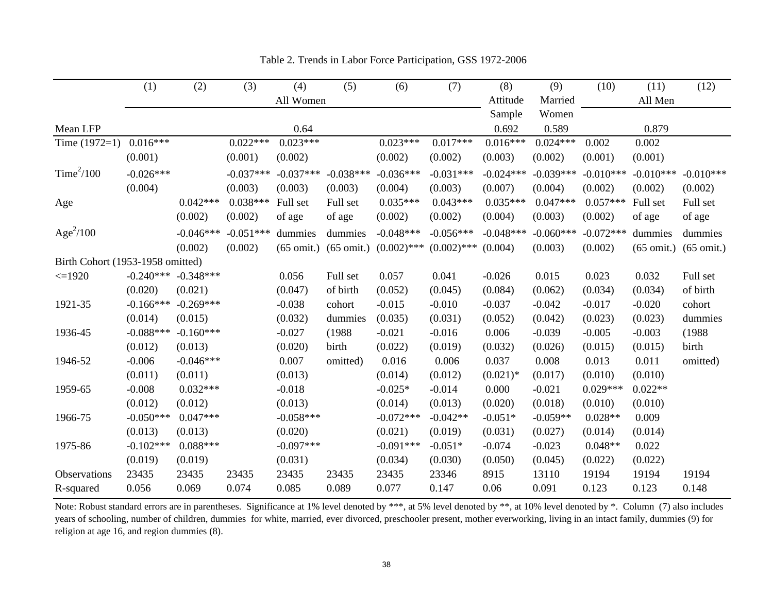|                                  | (1)         | (2)         | (3)         | (4)                  | (5)                  | (6)           | (7)           | (8)         | (9)         | (10)        | (11)                 | (12)                 |
|----------------------------------|-------------|-------------|-------------|----------------------|----------------------|---------------|---------------|-------------|-------------|-------------|----------------------|----------------------|
|                                  |             |             |             | All Women            |                      |               |               | Attitude    | Married     |             | All Men              |                      |
|                                  |             |             |             |                      |                      |               |               | Sample      | Women       |             |                      |                      |
| Mean LFP                         |             |             |             | 0.64                 |                      |               |               | 0.692       | 0.589       |             | 0.879                |                      |
| Time $(1972=1)$                  | $0.016***$  |             | $0.022***$  | $0.023***$           |                      | $0.023***$    | $0.017***$    | $0.016***$  | $0.024***$  | 0.002       | 0.002                |                      |
|                                  | (0.001)     |             | (0.001)     | (0.002)              |                      | (0.002)       | (0.002)       | (0.003)     | (0.002)     | (0.001)     | (0.001)              |                      |
| Time $^{2}/100$                  | $-0.026***$ |             | $-0.037***$ | $-0.037***$          | $-0.038***$          | $-0.036***$   | $-0.031***$   | $-0.024***$ | $-0.039***$ | $-0.010***$ | $-0.010***$          | $-0.010***$          |
|                                  | (0.004)     |             | (0.003)     | (0.003)              | (0.003)              | (0.004)       | (0.003)       | (0.007)     | (0.004)     | (0.002)     | (0.002)              | (0.002)              |
| Age                              |             | $0.042***$  | $0.038***$  | Full set             | Full set             | $0.035***$    | $0.043***$    | $0.035***$  | $0.047***$  | $0.057***$  | Full set             | Full set             |
|                                  |             | (0.002)     | (0.002)     | of age               | of age               | (0.002)       | (0.002)       | (0.004)     | (0.003)     | (0.002)     | of age               | of age               |
| Age $^{2}/100$                   |             | $-0.046***$ | $-0.051***$ | dummies              | dummies              | $-0.048***$   | $-0.056***$   | $-0.048***$ | $-0.060***$ | $-0.072***$ | dummies              | dummies              |
|                                  |             | (0.002)     | (0.002)     | $(65 \text{ omit.})$ | $(65 \text{ omit.})$ | $(0.002)$ *** | $(0.002)$ *** | (0.004)     | (0.003)     | (0.002)     | $(65 \text{ omit.})$ | $(65 \text{ omit.})$ |
| Birth Cohort (1953-1958 omitted) |             |             |             |                      |                      |               |               |             |             |             |                      |                      |
| $\leq$ 1920                      | $-0.240***$ | $-0.348***$ |             | 0.056                | Full set             | 0.057         | 0.041         | $-0.026$    | 0.015       | 0.023       | 0.032                | Full set             |
|                                  | (0.020)     | (0.021)     |             | (0.047)              | of birth             | (0.052)       | (0.045)       | (0.084)     | (0.062)     | (0.034)     | (0.034)              | of birth             |
| 1921-35                          | $-0.166***$ | $-0.269***$ |             | $-0.038$             | cohort               | $-0.015$      | $-0.010$      | $-0.037$    | $-0.042$    | $-0.017$    | $-0.020$             | cohort               |
|                                  | (0.014)     | (0.015)     |             | (0.032)              | dummies              | (0.035)       | (0.031)       | (0.052)     | (0.042)     | (0.023)     | (0.023)              | dummies              |
| 1936-45                          | $-0.088***$ | $-0.160***$ |             | $-0.027$             | (1988)               | $-0.021$      | $-0.016$      | 0.006       | $-0.039$    | $-0.005$    | $-0.003$             | (1988)               |
|                                  | (0.012)     | (0.013)     |             | (0.020)              | birth                | (0.022)       | (0.019)       | (0.032)     | (0.026)     | (0.015)     | (0.015)              | birth                |
| 1946-52                          | $-0.006$    | $-0.046***$ |             | 0.007                | omitted)             | 0.016         | 0.006         | 0.037       | 0.008       | 0.013       | 0.011                | omitted)             |
|                                  | (0.011)     | (0.011)     |             | (0.013)              |                      | (0.014)       | (0.012)       | $(0.021)*$  | (0.017)     | (0.010)     | (0.010)              |                      |
| 1959-65                          | $-0.008$    | $0.032***$  |             | $-0.018$             |                      | $-0.025*$     | $-0.014$      | 0.000       | $-0.021$    | $0.029***$  | $0.022**$            |                      |
|                                  | (0.012)     | (0.012)     |             | (0.013)              |                      | (0.014)       | (0.013)       | (0.020)     | (0.018)     | (0.010)     | (0.010)              |                      |
| 1966-75                          | $-0.050***$ | $0.047***$  |             | $-0.058***$          |                      | $-0.072***$   | $-0.042**$    | $-0.051*$   | $-0.059**$  | $0.028**$   | 0.009                |                      |
|                                  | (0.013)     | (0.013)     |             | (0.020)              |                      | (0.021)       | (0.019)       | (0.031)     | (0.027)     | (0.014)     | (0.014)              |                      |
| 1975-86                          | $-0.102***$ | $0.088***$  |             | $-0.097***$          |                      | $-0.091***$   | $-0.051*$     | $-0.074$    | $-0.023$    | $0.048**$   | 0.022                |                      |
|                                  | (0.019)     | (0.019)     |             | (0.031)              |                      | (0.034)       | (0.030)       | (0.050)     | (0.045)     | (0.022)     | (0.022)              |                      |
| Observations                     | 23435       | 23435       | 23435       | 23435                | 23435                | 23435         | 23346         | 8915        | 13110       | 19194       | 19194                | 19194                |
| R-squared                        | 0.056       | 0.069       | 0.074       | 0.085                | 0.089                | 0.077         | 0.147         | 0.06        | 0.091       | 0.123       | 0.123                | 0.148                |

| Table 2. Trends in Labor Force Participation, GSS 1972-2006 |
|-------------------------------------------------------------|
|-------------------------------------------------------------|

Note: Robust standard errors are in parentheses. Significance at 1% level denoted by \*\*\*, at 5% level denoted by \*\*, at 10% level denoted by \*. Column (7) also includes years of schooling, number of children, dummies for white, married, ever divorced, preschooler present, mother everworking, living in an intact family, dummies (9) for religion at age 16, and region dummies (8).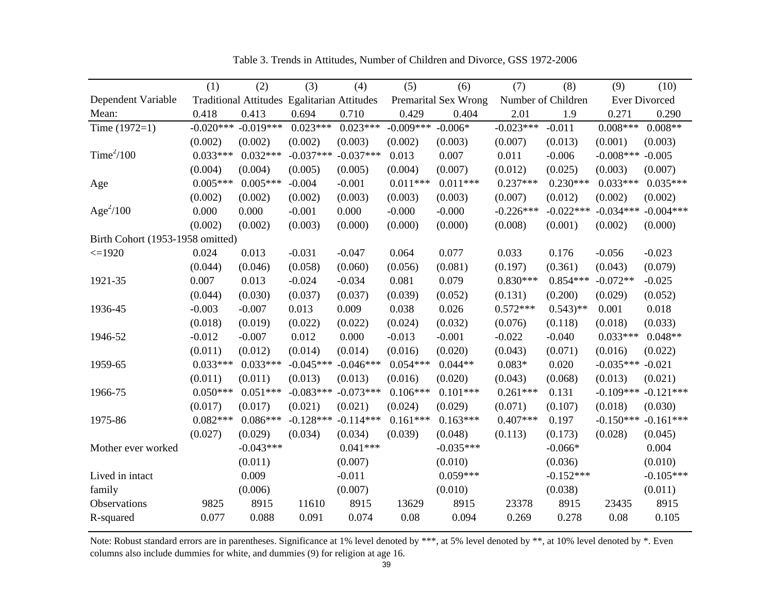|                                  | (1)         | (2)         | (3)                                         | (4)         | (5)         | (6)                  | (7)         | (8)                   | (9)         | (10)                 |
|----------------------------------|-------------|-------------|---------------------------------------------|-------------|-------------|----------------------|-------------|-----------------------|-------------|----------------------|
| Dependent Variable               |             |             | Traditional Attitudes Egalitarian Attitudes |             |             | Premarital Sex Wrong |             | Number of Children    |             | <b>Ever Divorced</b> |
| Mean:                            | 0.418       | 0.413       | 0.694                                       | 0.710       | 0.429       | 0.404                | 2.01        | 1.9                   | 0.271       | 0.290                |
| Time $(1972=1)$                  | $-0.020***$ | $-0.019***$ | $0.023***$                                  | $0.023***$  | $-0.009***$ | $-0.006*$            | $-0.023***$ | $-0.011$              | $0.008***$  | $0.008**$            |
|                                  | (0.002)     | (0.002)     | (0.002)                                     | (0.003)     | (0.002)     | (0.003)              | (0.007)     | (0.013)               | (0.001)     | (0.003)              |
| Time $^{2}/100$                  | $0.033***$  | $0.032***$  | $-0.037***$                                 | $-0.037***$ | 0.013       | 0.007                | 0.011       | $-0.006$              | $-0.008***$ | $-0.005$             |
|                                  | (0.004)     | (0.004)     | (0.005)                                     | (0.005)     | (0.004)     | (0.007)              | (0.012)     | (0.025)               | (0.003)     | (0.007)              |
| Age                              | $0.005***$  | $0.005***$  | $-0.004$                                    | $-0.001$    | $0.011***$  | $0.011***$           | $0.237***$  | $0.230***$            | $0.033***$  | $0.035***$           |
|                                  | (0.002)     | (0.002)     | (0.002)                                     | (0.003)     | (0.003)     | (0.003)              | (0.007)     | (0.012)               | (0.002)     | (0.002)              |
| Age <sup>2</sup> /100            | 0.000       | 0.000       | $-0.001$                                    | 0.000       | $-0.000$    | $-0.000$             | $-0.226***$ | $-0.022***$           | $-0.034***$ | $-0.004***$          |
|                                  | (0.002)     | (0.002)     | (0.003)                                     | (0.000)     | (0.000)     | (0.000)              | (0.008)     | (0.001)               | (0.002)     | (0.000)              |
| Birth Cohort (1953-1958 omitted) |             |             |                                             |             |             |                      |             |                       |             |                      |
| $\leq$ 1920                      | 0.024       | 0.013       | $-0.031$                                    | $-0.047$    | 0.064       | 0.077                | 0.033       | 0.176                 | $-0.056$    | $-0.023$             |
|                                  | (0.044)     | (0.046)     | (0.058)                                     | (0.060)     | (0.056)     | (0.081)              | (0.197)     | (0.361)               | (0.043)     | (0.079)              |
| 1921-35                          | 0.007       | 0.013       | $-0.024$                                    | $-0.034$    | 0.081       | 0.079                | $0.830***$  | $0.854***$            | $-0.072**$  | $-0.025$             |
|                                  | (0.044)     | (0.030)     | (0.037)                                     | (0.037)     | (0.039)     | (0.052)              | (0.131)     | (0.200)               | (0.029)     | (0.052)              |
| 1936-45                          | $-0.003$    | $-0.007$    | 0.013                                       | 0.009       | 0.038       | 0.026                | $0.572***$  | $0.543$ <sup>**</sup> | 0.001       | 0.018                |
|                                  | (0.018)     | (0.019)     | (0.022)                                     | (0.022)     | (0.024)     | (0.032)              | (0.076)     | (0.118)               | (0.018)     | (0.033)              |
| 1946-52                          | $-0.012$    | $-0.007$    | 0.012                                       | 0.000       | $-0.013$    | $-0.001$             | $-0.022$    | $-0.040$              | $0.033***$  | $0.048**$            |
|                                  | (0.011)     | (0.012)     | (0.014)                                     | (0.014)     | (0.016)     | (0.020)              | (0.043)     | (0.071)               | (0.016)     | (0.022)              |
| 1959-65                          | $0.033***$  | $0.033***$  | $-0.045***$                                 | $-0.046***$ | $0.054***$  | $0.044**$            | $0.083*$    | 0.020                 | $-0.035***$ | $-0.021$             |
|                                  | (0.011)     | (0.011)     | (0.013)                                     | (0.013)     | (0.016)     | (0.020)              | (0.043)     | (0.068)               | (0.013)     | (0.021)              |
| 1966-75                          | $0.050***$  | $0.051***$  | $-0.083***$                                 | $-0.073***$ | $0.106***$  | $0.101***$           | $0.261***$  | 0.131                 | $-0.109***$ | $-0.121***$          |
|                                  | (0.017)     | (0.017)     | (0.021)                                     | (0.021)     | (0.024)     | (0.029)              | (0.071)     | (0.107)               | (0.018)     | (0.030)              |
| 1975-86                          | $0.082***$  | $0.086***$  | $-0.128***$                                 | $-0.114***$ | $0.161***$  | $0.163***$           | $0.407***$  | 0.197                 | $-0.150***$ | $-0.161***$          |
|                                  | (0.027)     | (0.029)     | (0.034)                                     | (0.034)     | (0.039)     | (0.048)              | (0.113)     | (0.173)               | (0.028)     | (0.045)              |
| Mother ever worked               |             | $-0.043***$ |                                             | $0.041***$  |             | $-0.035***$          |             | $-0.066*$             |             | 0.004                |
|                                  |             | (0.011)     |                                             | (0.007)     |             | (0.010)              |             | (0.036)               |             | (0.010)              |
| Lived in intact                  |             | 0.009       |                                             | $-0.011$    |             | $0.059***$           |             | $-0.152***$           |             | $-0.105***$          |
| family                           |             | (0.006)     |                                             | (0.007)     |             | (0.010)              |             | (0.038)               |             | (0.011)              |
| Observations                     | 9825        | 8915        | 11610                                       | 8915        | 13629       | 8915                 | 23378       | 8915                  | 23435       | 8915                 |
| R-squared                        | 0.077       | 0.088       | 0.091                                       | 0.074       | 0.08        | 0.094                | 0.269       | 0.278                 | 0.08        | 0.105                |

Table 3. Trends in Attitudes, Number of Children and Divorce, GSS 1972-2006

Note: Robust standard errors are in parentheses. Significance at 1% level denoted by \*\*\*, at 5% level denoted by \*\*, at 10% level denoted by \*. Even columns also include dummies for white, and dummies (9) for religion at age 16.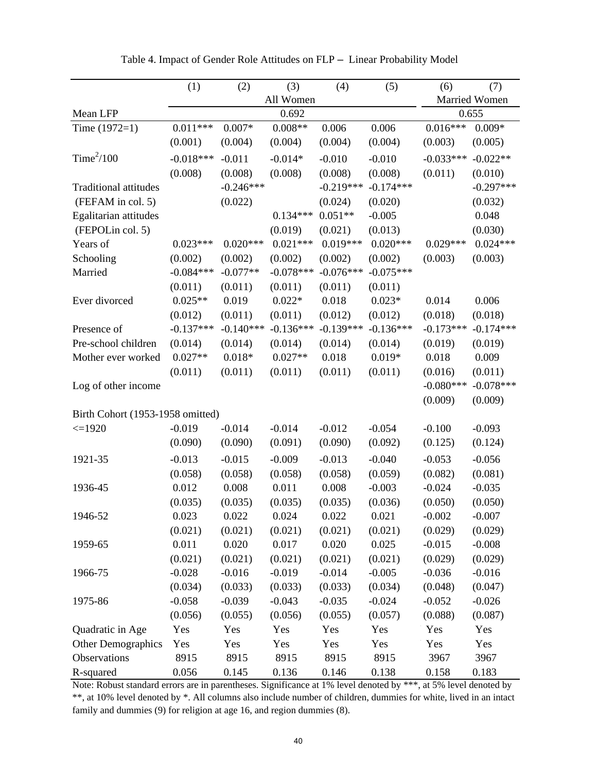|                                  | (1)         | (2)         | (3)         | (4)         | (5)         | (6)         | (7)           |
|----------------------------------|-------------|-------------|-------------|-------------|-------------|-------------|---------------|
|                                  |             |             | All Women   |             |             |             | Married Women |
| Mean LFP                         |             |             | 0.692       |             |             |             | 0.655         |
| Time $(1972=1)$                  | $0.011***$  | $0.007*$    | $0.008**$   | 0.006       | 0.006       | $0.016***$  | $0.009*$      |
|                                  | (0.001)     | (0.004)     | (0.004)     | (0.004)     | (0.004)     | (0.003)     | (0.005)       |
| Time <sup>2</sup> /100           | $-0.018***$ | $-0.011$    | $-0.014*$   | $-0.010$    | $-0.010$    | $-0.033***$ | $-0.022**$    |
|                                  | (0.008)     | (0.008)     | (0.008)     | (0.008)     | (0.008)     | (0.011)     | (0.010)       |
| <b>Traditional attitudes</b>     |             | $-0.246***$ |             | $-0.219***$ | $-0.174***$ |             | $-0.297***$   |
| (FEFAM in col. 5)                |             | (0.022)     |             | (0.024)     | (0.020)     |             | (0.032)       |
| Egalitarian attitudes            |             |             | $0.134***$  | $0.051**$   | $-0.005$    |             | 0.048         |
| (FEPOLin col. 5)                 |             |             | (0.019)     | (0.021)     | (0.013)     |             | (0.030)       |
| Years of                         | $0.023***$  | $0.020***$  | $0.021***$  | $0.019***$  | $0.020***$  | $0.029***$  | $0.024***$    |
| Schooling                        | (0.002)     | (0.002)     | (0.002)     | (0.002)     | (0.002)     | (0.003)     | (0.003)       |
| Married                          | $-0.084***$ | $-0.077**$  | $-0.078***$ | $-0.076***$ | $-0.075***$ |             |               |
|                                  | (0.011)     | (0.011)     | (0.011)     | (0.011)     | (0.011)     |             |               |
| Ever divorced                    | $0.025**$   | 0.019       | $0.022*$    | 0.018       | $0.023*$    | 0.014       | 0.006         |
|                                  | (0.012)     | (0.011)     | (0.011)     | (0.012)     | (0.012)     | (0.018)     | (0.018)       |
| Presence of                      | $-0.137***$ | $-0.140***$ | $-0.136***$ | $-0.139***$ | $-0.136***$ | $-0.173***$ | $-0.174***$   |
| Pre-school children              | (0.014)     | (0.014)     | (0.014)     | (0.014)     | (0.014)     | (0.019)     | (0.019)       |
| Mother ever worked               | $0.027**$   | $0.018*$    | $0.027**$   | 0.018       | $0.019*$    | 0.018       | 0.009         |
|                                  | (0.011)     | (0.011)     | (0.011)     | (0.011)     | (0.011)     | (0.016)     | (0.011)       |
| Log of other income              |             |             |             |             |             | $-0.080***$ | $-0.078***$   |
|                                  |             |             |             |             |             | (0.009)     | (0.009)       |
| Birth Cohort (1953-1958 omitted) |             |             |             |             |             |             |               |
| $\leq$ 1920                      | $-0.019$    | $-0.014$    | $-0.014$    | $-0.012$    | $-0.054$    | $-0.100$    | $-0.093$      |
|                                  | (0.090)     | (0.090)     | (0.091)     | (0.090)     | (0.092)     | (0.125)     | (0.124)       |
| 1921-35                          | $-0.013$    | $-0.015$    | $-0.009$    | $-0.013$    | $-0.040$    | $-0.053$    | $-0.056$      |
|                                  | (0.058)     | (0.058)     | (0.058)     | (0.058)     | (0.059)     | (0.082)     | (0.081)       |
| 1936-45                          | 0.012       | 0.008       | 0.011       | 0.008       | $-0.003$    | $-0.024$    | $-0.035$      |
|                                  | (0.035)     | (0.035)     | (0.035)     | (0.035)     | (0.036)     | (0.050)     | (0.050)       |
| 1946-52                          | 0.023       | 0.022       | 0.024       | 0.022       | 0.021       | $-0.002$    | $-0.007$      |
|                                  | (0.021)     | (0.021)     | (0.021)     | (0.021)     | (0.021)     | (0.029)     | (0.029)       |
| 1959-65                          | 0.011       | 0.020       | 0.017       | 0.020       | 0.025       | $-0.015$    | $-0.008$      |
|                                  | (0.021)     | (0.021)     | (0.021)     | (0.021)     | (0.021)     | (0.029)     | (0.029)       |
| 1966-75                          | $-0.028$    | $-0.016$    | $-0.019$    | $-0.014$    | $-0.005$    | $-0.036$    | $-0.016$      |
|                                  | (0.034)     | (0.033)     | (0.033)     | (0.033)     | (0.034)     | (0.048)     | (0.047)       |
| 1975-86                          | $-0.058$    | $-0.039$    | $-0.043$    | $-0.035$    | $-0.024$    | $-0.052$    | $-0.026$      |
|                                  | (0.056)     | (0.055)     | (0.056)     | (0.055)     | (0.057)     | (0.088)     | (0.087)       |
| Quadratic in Age                 | Yes         | Yes         | Yes         | Yes         | Yes         | Yes         | Yes           |
| Other Demographics               | Yes         | Yes         | Yes         | Yes         | Yes         | Yes         | Yes           |
| Observations                     | 8915        | 8915        | 8915        | 8915        | 8915        | 3967        | 3967          |
| R-squared                        | 0.056       | 0.145       | 0.136       | 0.146       | 0.138       | 0.158       | 0.183         |

Table 4. Impact of Gender Role Attitudes on FLP – Linear Probability Model

Note: Robust standard errors are in parentheses. Significance at 1% level denoted by \*\*\*, at 5% level denoted by \*\*, at 10% level denoted by \*. All columns also include number of children, dummies for white, lived in an intact family and dummies (9) for religion at age 16, and region dummies (8).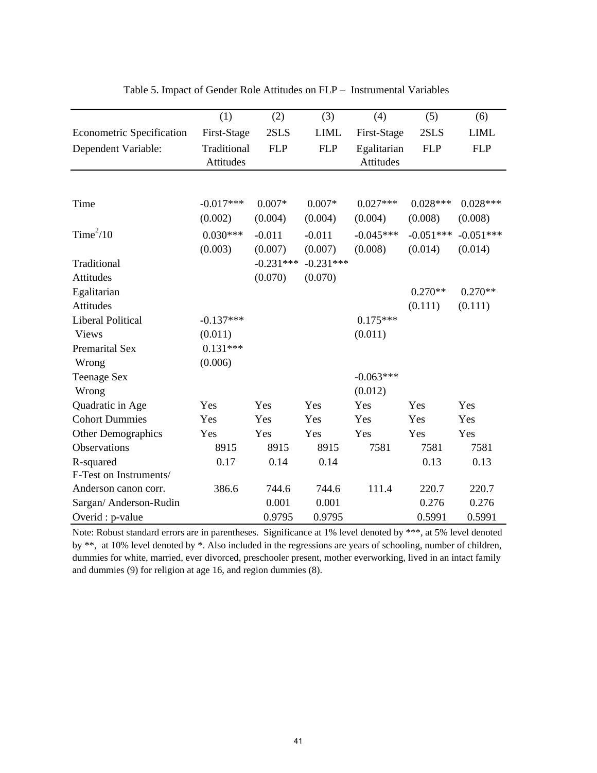|                                  | (1)         | (2)         | (3)         | (4)         | (5)         | (6)         |
|----------------------------------|-------------|-------------|-------------|-------------|-------------|-------------|
| <b>Econometric Specification</b> | First-Stage | 2SLS        | <b>LIML</b> | First-Stage | 2SLS        | <b>LIML</b> |
| Dependent Variable:              | Traditional | <b>FLP</b>  | <b>FLP</b>  | Egalitarian | <b>FLP</b>  | <b>FLP</b>  |
|                                  | Attitudes   |             |             | Attitudes   |             |             |
|                                  |             |             |             |             |             |             |
| Time                             | $-0.017***$ | $0.007*$    | $0.007*$    | $0.027***$  | $0.028***$  | $0.028***$  |
|                                  | (0.002)     | (0.004)     | (0.004)     | (0.004)     | (0.008)     | (0.008)     |
|                                  |             |             |             |             |             |             |
| Time <sup>2</sup> /10            | $0.030***$  | $-0.011$    | $-0.011$    | $-0.045***$ | $-0.051***$ | $-0.051***$ |
|                                  | (0.003)     | (0.007)     | (0.007)     | (0.008)     | (0.014)     | (0.014)     |
| Traditional                      |             | $-0.231***$ | $-0.231***$ |             |             |             |
| Attitudes                        |             | (0.070)     | (0.070)     |             |             |             |
| Egalitarian                      |             |             |             |             | $0.270**$   | $0.270**$   |
| Attitudes                        |             |             |             |             | (0.111)     | (0.111)     |
| <b>Liberal Political</b>         | $-0.137***$ |             |             | $0.175***$  |             |             |
| <b>Views</b>                     | (0.011)     |             |             | (0.011)     |             |             |
| Premarital Sex                   | $0.131***$  |             |             |             |             |             |
| Wrong                            | (0.006)     |             |             |             |             |             |
| <b>Teenage Sex</b>               |             |             |             | $-0.063***$ |             |             |
| Wrong                            |             |             |             | (0.012)     |             |             |
| Quadratic in Age                 | Yes         | Yes         | Yes         | Yes         | Yes         | Yes         |
| <b>Cohort Dummies</b>            | Yes         | Yes         | Yes         | Yes         | Yes         | Yes         |
| Other Demographics               | Yes         | Yes         | Yes         | Yes         | Yes         | Yes         |
| <b>Observations</b>              | 8915        | 8915        | 8915        | 7581        | 7581        | 7581        |
| R-squared                        | 0.17        | 0.14        | 0.14        |             | 0.13        | 0.13        |
| F-Test on Instruments/           |             |             |             |             |             |             |
| Anderson canon corr.             | 386.6       | 744.6       | 744.6       | 111.4       | 220.7       | 220.7       |
| Sargan/ Anderson-Rudin           |             | 0.001       | 0.001       |             | 0.276       | 0.276       |
| Overid : p-value                 |             | 0.9795      | 0.9795      |             | 0.5991      | 0.5991      |

Table 5. Impact of Gender Role Attitudes on FLP – Instrumental Variables

Note: Robust standard errors are in parentheses. Significance at 1% level denoted by \*\*\*, at 5% level denoted by \*\*, at 10% level denoted by \*. Also included in the regressions are years of schooling, number of children, dummies for white, married, ever divorced, preschooler present, mother everworking, lived in an intact family and dummies (9) for religion at age 16, and region dummies (8).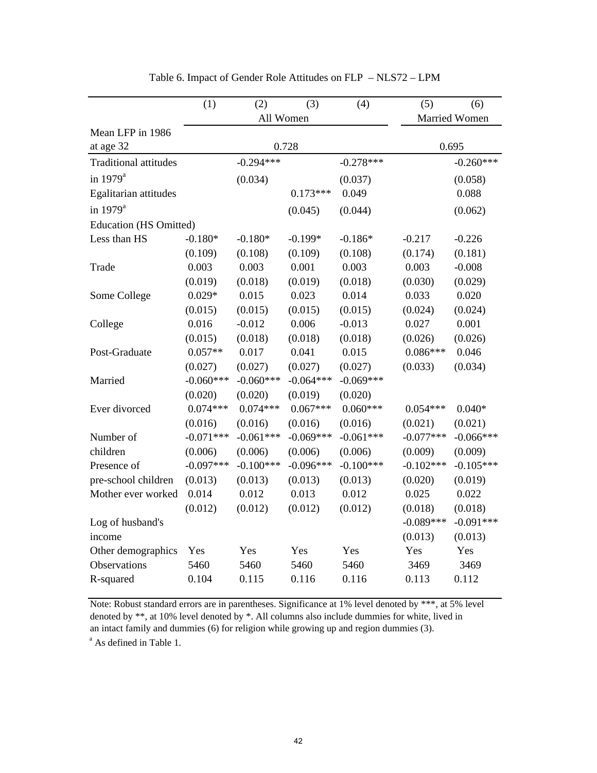|                               | (1)         | (2)         | (3)         | (4)         | (5)         | (6)           |
|-------------------------------|-------------|-------------|-------------|-------------|-------------|---------------|
|                               |             | All Women   |             |             |             | Married Women |
| Mean LFP in 1986              |             |             |             |             |             |               |
| at age 32                     |             |             | 0.728       |             |             | 0.695         |
| <b>Traditional attitudes</b>  |             | $-0.294***$ |             | $-0.278***$ |             | $-0.260***$   |
| in $1979^a$                   |             | (0.034)     |             | (0.037)     |             | (0.058)       |
| Egalitarian attitudes         |             |             | $0.173***$  | 0.049       |             | 0.088         |
| in 1979 <sup>a</sup>          |             |             | (0.045)     | (0.044)     |             | (0.062)       |
| <b>Education (HS Omitted)</b> |             |             |             |             |             |               |
| Less than HS                  | $-0.180*$   | $-0.180*$   | $-0.199*$   | $-0.186*$   | $-0.217$    | $-0.226$      |
|                               | (0.109)     | (0.108)     | (0.109)     | (0.108)     | (0.174)     | (0.181)       |
| Trade                         | 0.003       | 0.003       | 0.001       | 0.003       | 0.003       | $-0.008$      |
|                               | (0.019)     | (0.018)     | (0.019)     | (0.018)     | (0.030)     | (0.029)       |
| Some College                  | $0.029*$    | 0.015       | 0.023       | 0.014       | 0.033       | 0.020         |
|                               | (0.015)     | (0.015)     | (0.015)     | (0.015)     | (0.024)     | (0.024)       |
| College                       | 0.016       | $-0.012$    | 0.006       | $-0.013$    | 0.027       | 0.001         |
|                               | (0.015)     | (0.018)     | (0.018)     | (0.018)     | (0.026)     | (0.026)       |
| Post-Graduate                 | $0.057**$   | 0.017       | 0.041       | 0.015       | $0.086***$  | 0.046         |
|                               | (0.027)     | (0.027)     | (0.027)     | (0.027)     | (0.033)     | (0.034)       |
| Married                       | $-0.060***$ | $-0.060***$ | $-0.064***$ | $-0.069***$ |             |               |
|                               | (0.020)     | (0.020)     | (0.019)     | (0.020)     |             |               |
| Ever divorced                 | $0.074***$  | $0.074***$  | $0.067***$  | $0.060***$  | $0.054***$  | $0.040*$      |
|                               | (0.016)     | (0.016)     | (0.016)     | (0.016)     | (0.021)     | (0.021)       |
| Number of                     | $-0.071***$ | $-0.061***$ | $-0.069***$ | $-0.061***$ | $-0.077***$ | $-0.066***$   |
| children                      | (0.006)     | (0.006)     | (0.006)     | (0.006)     | (0.009)     | (0.009)       |
| Presence of                   | $-0.097***$ | $-0.100***$ | $-0.096***$ | $-0.100***$ | $-0.102***$ | $-0.105***$   |
| pre-school children           | (0.013)     | (0.013)     | (0.013)     | (0.013)     | (0.020)     | (0.019)       |
| Mother ever worked            | 0.014       | 0.012       | 0.013       | 0.012       | 0.025       | 0.022         |
|                               | (0.012)     | (0.012)     | (0.012)     | (0.012)     | (0.018)     | (0.018)       |
| Log of husband's              |             |             |             |             | $-0.089***$ | $-0.091***$   |
| income                        |             |             |             |             | (0.013)     | (0.013)       |
| Other demographics            | Yes         | Yes         | Yes         | Yes         | Yes         | Yes           |
| <b>Observations</b>           | 5460        | 5460        | 5460        | 5460        | 3469        | 3469          |
| R-squared                     | 0.104       | 0.115       | 0.116       | 0.116       | 0.113       | 0.112         |

Table 6. Impact of Gender Role Attitudes on FLP – NLS72 – LPM

Note: Robust standard errors are in parentheses. Significance at 1% level denoted by \*\*\*, at 5% level denoted by \*\*, at 10% level denoted by \*. All columns also include dummies for white, lived in an intact family and dummies (6) for religion while growing up and region dummies (3).

<sup>a</sup> As defined in Table 1.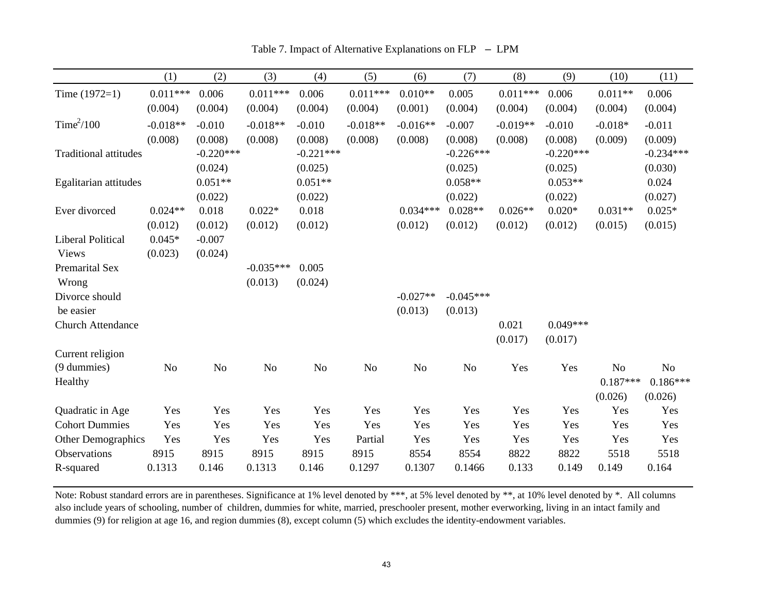|                              | (1)        | (2)            | (3)         | (4)         | (5)            | (6)            | (7)         | (8)        | (9)         | (10)       | (11)        |
|------------------------------|------------|----------------|-------------|-------------|----------------|----------------|-------------|------------|-------------|------------|-------------|
| Time $(1972=1)$              | $0.011***$ | 0.006          | $0.011***$  | 0.006       | $0.011***$     | $0.010**$      | 0.005       | $0.011***$ | 0.006       | $0.011**$  | 0.006       |
|                              | (0.004)    | (0.004)        | (0.004)     | (0.004)     | (0.004)        | (0.001)        | (0.004)     | (0.004)    | (0.004)     | (0.004)    | (0.004)     |
| Time <sup>2</sup> /100       | $-0.018**$ | $-0.010$       | $-0.018**$  | $-0.010$    | $-0.018**$     | $-0.016**$     | $-0.007$    | $-0.019**$ | $-0.010$    | $-0.018*$  | $-0.011$    |
|                              | (0.008)    | (0.008)        | (0.008)     | (0.008)     | (0.008)        | (0.008)        | (0.008)     | (0.008)    | (0.008)     | (0.009)    | (0.009)     |
| <b>Traditional attitudes</b> |            | $-0.220***$    |             | $-0.221***$ |                |                | $-0.226***$ |            | $-0.220***$ |            | $-0.234***$ |
|                              |            | (0.024)        |             | (0.025)     |                |                | (0.025)     |            | (0.025)     |            | (0.030)     |
| Egalitarian attitudes        |            | $0.051**$      |             | $0.051**$   |                |                | $0.058**$   |            | $0.053**$   |            | 0.024       |
|                              |            | (0.022)        |             | (0.022)     |                |                | (0.022)     |            | (0.022)     |            | (0.027)     |
| Ever divorced                | $0.024**$  | 0.018          | $0.022*$    | 0.018       |                | $0.034***$     | $0.028**$   | $0.026**$  | $0.020*$    | $0.031**$  | $0.025*$    |
|                              | (0.012)    | (0.012)        | (0.012)     | (0.012)     |                | (0.012)        | (0.012)     | (0.012)    | (0.012)     | (0.015)    | (0.015)     |
| <b>Liberal Political</b>     | $0.045*$   | $-0.007$       |             |             |                |                |             |            |             |            |             |
| <b>Views</b>                 | (0.023)    | (0.024)        |             |             |                |                |             |            |             |            |             |
| <b>Premarital Sex</b>        |            |                | $-0.035***$ | 0.005       |                |                |             |            |             |            |             |
| Wrong                        |            |                | (0.013)     | (0.024)     |                |                |             |            |             |            |             |
| Divorce should               |            |                |             |             |                | $-0.027**$     | $-0.045***$ |            |             |            |             |
| be easier                    |            |                |             |             |                | (0.013)        | (0.013)     |            |             |            |             |
| <b>Church Attendance</b>     |            |                |             |             |                |                |             | 0.021      | $0.049***$  |            |             |
|                              |            |                |             |             |                |                |             | (0.017)    | (0.017)     |            |             |
| Current religion             |            |                |             |             |                |                |             |            |             |            |             |
| (9 dummies)                  | No         | N <sub>0</sub> | No          | No          | N <sub>o</sub> | N <sub>o</sub> | No          | Yes        | Yes         | No         | $\rm No$    |
| Healthy                      |            |                |             |             |                |                |             |            |             | $0.187***$ | $0.186***$  |
|                              |            |                |             |             |                |                |             |            |             | (0.026)    | (0.026)     |
| Quadratic in Age             | Yes        | Yes            | Yes         | Yes         | Yes            | Yes            | Yes         | Yes        | Yes         | Yes        | Yes         |
| <b>Cohort Dummies</b>        | Yes        | Yes            | Yes         | Yes         | Yes            | Yes            | Yes         | Yes        | Yes         | Yes        | Yes         |
| Other Demographics           | Yes        | Yes            | Yes         | Yes         | Partial        | Yes            | Yes         | Yes        | Yes         | Yes        | Yes         |
| Observations                 | 8915       | 8915           | 8915        | 8915        | 8915           | 8554           | 8554        | 8822       | 8822        | 5518       | 5518        |
| R-squared                    | 0.1313     | 0.146          | 0.1313      | 0.146       | 0.1297         | 0.1307         | 0.1466      | 0.133      | 0.149       | 0.149      | 0.164       |

Table 7. Impact of Alternative Explanations on FLP – LPM

Note: Robust standard errors are in parentheses. Significance at 1% level denoted by \*\*\*, at 5% level denoted by \*\*, at 10% level denoted by \*. All columns also include years of schooling, number of children, dummies for white, married, preschooler present, mother everworking, living in an intact family and dummies (9) for religion at age 16, and region dummies (8), except column (5) which excludes the identity-endowment variables.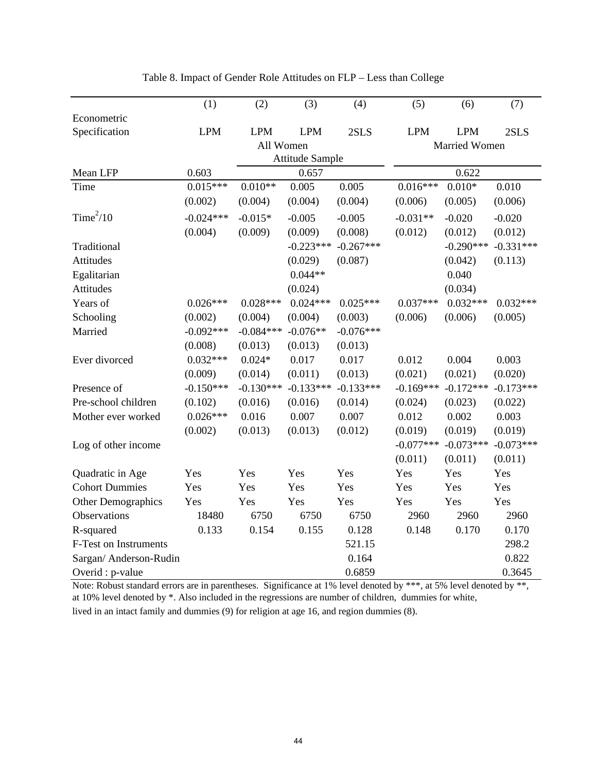|                        | (1)         | (2)         | (3)                    | (4)         | (5)         | (6)                  | (7)         |
|------------------------|-------------|-------------|------------------------|-------------|-------------|----------------------|-------------|
| Econometric            |             |             |                        |             |             |                      |             |
| Specification          | <b>LPM</b>  | <b>LPM</b>  | <b>LPM</b>             | 2SLS        | <b>LPM</b>  | <b>LPM</b>           | 2SLS        |
|                        |             | All Women   |                        |             |             | <b>Married Women</b> |             |
|                        |             |             | <b>Attitude Sample</b> |             |             |                      |             |
| Mean LFP               | 0.603       |             | 0.657                  |             |             | 0.622                |             |
| Time                   | $0.015***$  | $0.010**$   | 0.005                  | 0.005       | $0.016***$  | $0.010*$             | 0.010       |
|                        | (0.002)     | (0.004)     | (0.004)                | (0.004)     | (0.006)     | (0.005)              | (0.006)     |
| Time <sup>2</sup> /10  | $-0.024***$ | $-0.015*$   | $-0.005$               | $-0.005$    | $-0.031**$  | $-0.020$             | $-0.020$    |
|                        | (0.004)     | (0.009)     | (0.009)                | (0.008)     | (0.012)     | (0.012)              | (0.012)     |
| Traditional            |             |             | $-0.223***$            | $-0.267***$ |             | $-0.290***$          | $-0.331***$ |
| Attitudes              |             |             | (0.029)                | (0.087)     |             | (0.042)              | (0.113)     |
| Egalitarian            |             |             | $0.044**$              |             |             | 0.040                |             |
| <b>Attitudes</b>       |             |             | (0.024)                |             |             | (0.034)              |             |
| Years of               | $0.026***$  | $0.028***$  | $0.024***$             | $0.025***$  | $0.037***$  | $0.032***$           | $0.032***$  |
| Schooling              | (0.002)     | (0.004)     | (0.004)                | (0.003)     | (0.006)     | (0.006)              | (0.005)     |
| Married                | $-0.092***$ | $-0.084***$ | $-0.076**$             | $-0.076***$ |             |                      |             |
|                        | (0.008)     | (0.013)     | (0.013)                | (0.013)     |             |                      |             |
| Ever divorced          | $0.032***$  | $0.024*$    | 0.017                  | 0.017       | 0.012       | 0.004                | 0.003       |
|                        | (0.009)     | (0.014)     | (0.011)                | (0.013)     | (0.021)     | (0.021)              | (0.020)     |
| Presence of            | $-0.150***$ | $-0.130***$ | $-0.133***$            | $-0.133***$ | $-0.169***$ | $-0.172***$          | $-0.173***$ |
| Pre-school children    | (0.102)     | (0.016)     | (0.016)                | (0.014)     | (0.024)     | (0.023)              | (0.022)     |
| Mother ever worked     | $0.026***$  | 0.016       | 0.007                  | 0.007       | 0.012       | 0.002                | 0.003       |
|                        | (0.002)     | (0.013)     | (0.013)                | (0.012)     | (0.019)     | (0.019)              | (0.019)     |
| Log of other income    |             |             |                        |             | $-0.077***$ | $-0.073***$          | $-0.073***$ |
|                        |             |             |                        |             | (0.011)     | (0.011)              | (0.011)     |
| Quadratic in Age       | Yes         | Yes         | Yes                    | Yes         | Yes         | Yes                  | Yes         |
| <b>Cohort Dummies</b>  | Yes         | Yes         | Yes                    | Yes         | Yes         | Yes                  | Yes         |
| Other Demographics     | Yes         | Yes         | Yes                    | Yes         | Yes         | Yes                  | Yes         |
| Observations           | 18480       | 6750        | 6750                   | 6750        | 2960        | 2960                 | 2960        |
| R-squared              | 0.133       | 0.154       | 0.155                  | 0.128       | 0.148       | 0.170                | 0.170       |
| F-Test on Instruments  |             |             |                        | 521.15      |             |                      | 298.2       |
| Sargan/ Anderson-Rudin |             |             |                        | 0.164       |             |                      | 0.822       |
| Overid : p-value       |             |             |                        | 0.6859      |             |                      | 0.3645      |

Table 8. Impact of Gender Role Attitudes on FLP – Less than College

Note: Robust standard errors are in parentheses. Significance at 1% level denoted by \*\*\*, at 5% level denoted by \*\*, at 10% level denoted by \*. Also included in the regressions are number of children, dummies for white, lived in an intact family and dummies (9) for religion at age 16, and region dummies (8).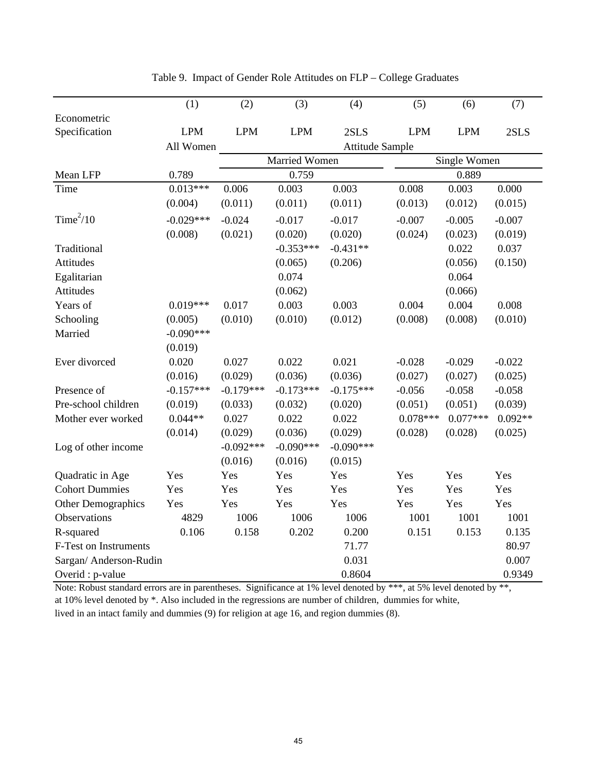|                        | (1)         | (2)         | (3)                  | (4)                    | (5)        | (6)          | (7)       |
|------------------------|-------------|-------------|----------------------|------------------------|------------|--------------|-----------|
| Econometric            |             |             |                      |                        |            |              |           |
| Specification          | <b>LPM</b>  | <b>LPM</b>  | <b>LPM</b>           | 2SLS                   | <b>LPM</b> | <b>LPM</b>   | 2SLS      |
|                        | All Women   |             |                      | <b>Attitude Sample</b> |            |              |           |
|                        |             |             | <b>Married Women</b> |                        |            | Single Women |           |
| Mean LFP               | 0.789       |             | 0.759                |                        |            | 0.889        |           |
| Time                   | $0.013***$  | 0.006       | 0.003                | 0.003                  | 0.008      | 0.003        | 0.000     |
|                        | (0.004)     | (0.011)     | (0.011)              | (0.011)                | (0.013)    | (0.012)      | (0.015)   |
| Time <sup>2</sup> /10  | $-0.029***$ | $-0.024$    | $-0.017$             | $-0.017$               | $-0.007$   | $-0.005$     | $-0.007$  |
|                        | (0.008)     | (0.021)     | (0.020)              | (0.020)                | (0.024)    | (0.023)      | (0.019)   |
| Traditional            |             |             | $-0.353***$          | $-0.431**$             |            | 0.022        | 0.037     |
| Attitudes              |             |             | (0.065)              | (0.206)                |            | (0.056)      | (0.150)   |
| Egalitarian            |             |             | 0.074                |                        |            | 0.064        |           |
| Attitudes              |             |             | (0.062)              |                        |            | (0.066)      |           |
| Years of               | $0.019***$  | 0.017       | 0.003                | 0.003                  | 0.004      | 0.004        | 0.008     |
| Schooling              | (0.005)     | (0.010)     | (0.010)              | (0.012)                | (0.008)    | (0.008)      | (0.010)   |
| Married                | $-0.090***$ |             |                      |                        |            |              |           |
|                        | (0.019)     |             |                      |                        |            |              |           |
| Ever divorced          | 0.020       | 0.027       | 0.022                | 0.021                  | $-0.028$   | $-0.029$     | $-0.022$  |
|                        | (0.016)     | (0.029)     | (0.036)              | (0.036)                | (0.027)    | (0.027)      | (0.025)   |
| Presence of            | $-0.157***$ | $-0.179***$ | $-0.173***$          | $-0.175***$            | $-0.056$   | $-0.058$     | $-0.058$  |
| Pre-school children    | (0.019)     | (0.033)     | (0.032)              | (0.020)                | (0.051)    | (0.051)      | (0.039)   |
| Mother ever worked     | $0.044**$   | 0.027       | 0.022                | 0.022                  | $0.078***$ | $0.077***$   | $0.092**$ |
|                        | (0.014)     | (0.029)     | (0.036)              | (0.029)                | (0.028)    | (0.028)      | (0.025)   |
| Log of other income    |             | $-0.092***$ | $-0.090***$          | $-0.090***$            |            |              |           |
|                        |             | (0.016)     | (0.016)              | (0.015)                |            |              |           |
| Quadratic in Age       | Yes         | Yes         | Yes                  | Yes                    | Yes        | Yes          | Yes       |
| <b>Cohort Dummies</b>  | Yes         | Yes         | Yes                  | Yes                    | Yes        | Yes          | Yes       |
| Other Demographics     | Yes         | Yes         | Yes                  | Yes                    | Yes        | Yes          | Yes       |
| Observations           | 4829        | 1006        | 1006                 | 1006                   | 1001       | 1001         | 1001      |
| R-squared              | 0.106       | 0.158       | 0.202                | 0.200                  | 0.151      | 0.153        | 0.135     |
| F-Test on Instruments  |             |             |                      | 71.77                  |            |              | 80.97     |
| Sargan/ Anderson-Rudin |             |             |                      | 0.031                  |            |              | 0.007     |
| Overid : p-value       |             |             |                      | 0.8604                 |            |              | 0.9349    |

Table 9. Impact of Gender Role Attitudes on FLP – College Graduates

Note: Robust standard errors are in parentheses. Significance at 1% level denoted by \*\*\*, at 5% level denoted by \*\*, at 10% level denoted by \*. Also included in the regressions are number of children, dummies for white, lived in an intact family and dummies (9) for religion at age 16, and region dummies (8).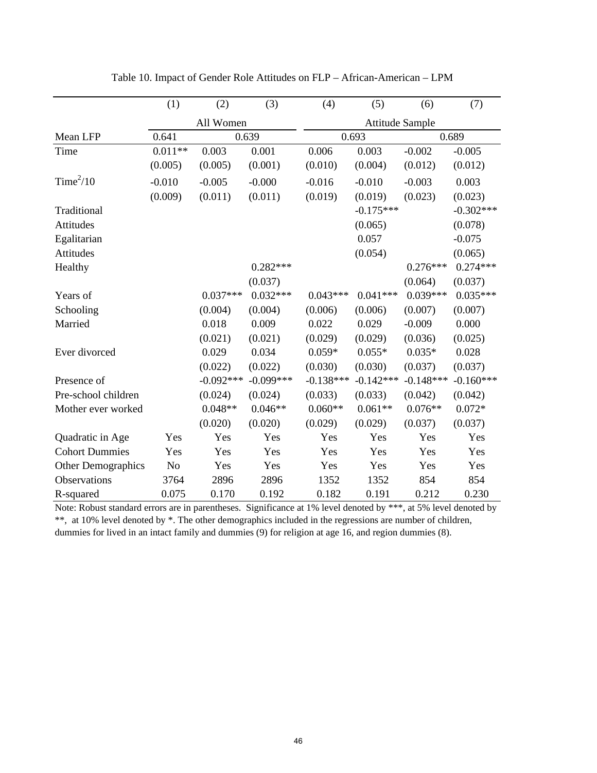|                       | (1)            | (2)         | (3)         | (4)         | (5)                    | (6)         | (7)         |
|-----------------------|----------------|-------------|-------------|-------------|------------------------|-------------|-------------|
|                       |                | All Women   |             |             | <b>Attitude Sample</b> |             |             |
| Mean LFP              | 0.641          | 0.639       |             |             | 0.693                  |             | 0.689       |
| Time                  | $0.011**$      | 0.003       | 0.001       | 0.006       | 0.003                  | $-0.002$    | $-0.005$    |
|                       | (0.005)        | (0.005)     | (0.001)     | (0.010)     | (0.004)                | (0.012)     | (0.012)     |
| Time $^{2}/10$        | $-0.010$       | $-0.005$    | $-0.000$    | $-0.016$    | $-0.010$               | $-0.003$    | 0.003       |
|                       | (0.009)        | (0.011)     | (0.011)     | (0.019)     | (0.019)                | (0.023)     | (0.023)     |
| Traditional           |                |             |             |             | $-0.175***$            |             | $-0.302***$ |
| <b>Attitudes</b>      |                |             |             |             | (0.065)                |             | (0.078)     |
| Egalitarian           |                |             |             |             | 0.057                  |             | $-0.075$    |
| <b>Attitudes</b>      |                |             |             |             | (0.054)                |             | (0.065)     |
| Healthy               |                |             | $0.282***$  |             |                        | $0.276***$  | $0.274***$  |
|                       |                |             | (0.037)     |             |                        | (0.064)     | (0.037)     |
| Years of              |                | $0.037***$  | $0.032***$  | $0.043***$  | $0.041***$             | $0.039***$  | $0.035***$  |
| Schooling             |                | (0.004)     | (0.004)     | (0.006)     | (0.006)                | (0.007)     | (0.007)     |
| Married               |                | 0.018       | 0.009       | 0.022       | 0.029                  | $-0.009$    | 0.000       |
|                       |                | (0.021)     | (0.021)     | (0.029)     | (0.029)                | (0.036)     | (0.025)     |
| Ever divorced         |                | 0.029       | 0.034       | $0.059*$    | $0.055*$               | $0.035*$    | 0.028       |
|                       |                | (0.022)     | (0.022)     | (0.030)     | (0.030)                | (0.037)     | (0.037)     |
| Presence of           |                | $-0.092***$ | $-0.099***$ | $-0.138***$ | $-0.142***$            | $-0.148***$ | $-0.160***$ |
| Pre-school children   |                | (0.024)     | (0.024)     | (0.033)     | (0.033)                | (0.042)     | (0.042)     |
| Mother ever worked    |                | $0.048**$   | $0.046**$   | $0.060**$   | $0.061**$              | $0.076**$   | $0.072*$    |
|                       |                | (0.020)     | (0.020)     | (0.029)     | (0.029)                | (0.037)     | (0.037)     |
| Quadratic in Age      | Yes            | Yes         | Yes         | Yes         | Yes                    | Yes         | Yes         |
| <b>Cohort Dummies</b> | Yes            | Yes         | Yes         | Yes         | Yes                    | Yes         | Yes         |
| Other Demographics    | N <sub>o</sub> | Yes         | Yes         | Yes         | Yes                    | Yes         | Yes         |
| Observations          | 3764           | 2896        | 2896        | 1352        | 1352                   | 854         | 854         |
| R-squared             | 0.075          | 0.170       | 0.192       | 0.182       | 0.191                  | 0.212       | 0.230       |

Table 10. Impact of Gender Role Attitudes on FLP – African-American – LPM

Note: Robust standard errors are in parentheses. Significance at 1% level denoted by \*\*\*, at 5% level denoted by \*\*, at 10% level denoted by \*. The other demographics included in the regressions are number of children, dummies for lived in an intact family and dummies (9) for religion at age 16, and region dummies (8).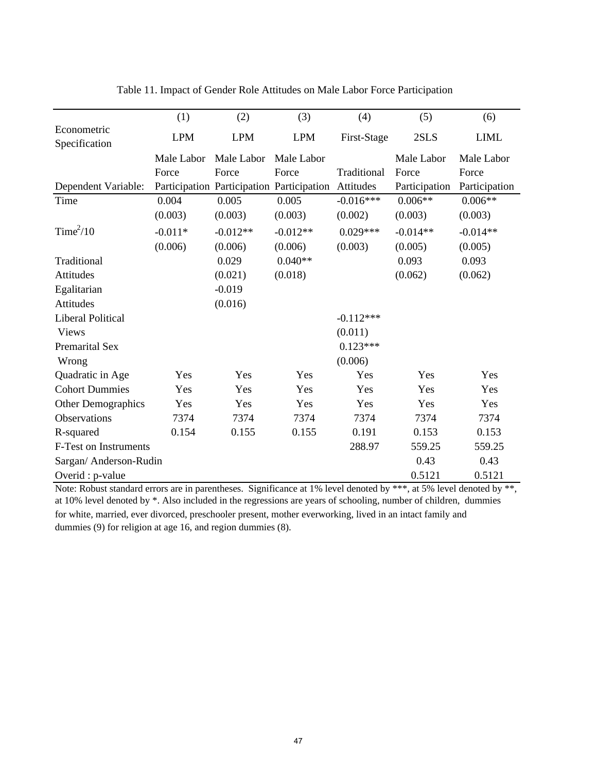|                              | (1)        | (2)        | (3)                                       | (4)         | (5)           | (6)           |
|------------------------------|------------|------------|-------------------------------------------|-------------|---------------|---------------|
| Econometric<br>Specification | <b>LPM</b> | <b>LPM</b> | <b>LPM</b>                                | First-Stage | 2SLS          | <b>LIML</b>   |
|                              | Male Labor | Male Labor | Male Labor                                |             | Male Labor    | Male Labor    |
|                              | Force      | Force      | Force                                     | Traditional | Force         | Force         |
| Dependent Variable:          |            |            | Participation Participation Participation | Attitudes   | Participation | Participation |
| Time                         | 0.004      | 0.005      | 0.005                                     | $-0.016***$ | $0.006**$     | $0.006**$     |
|                              | (0.003)    | (0.003)    | (0.003)                                   | (0.002)     | (0.003)       | (0.003)       |
| Time <sup>2</sup> /10        | $-0.011*$  | $-0.012**$ | $-0.012**$                                | $0.029***$  | $-0.014**$    | $-0.014**$    |
|                              | (0.006)    | (0.006)    | (0.006)                                   | (0.003)     | (0.005)       | (0.005)       |
| Traditional                  |            | 0.029      | $0.040**$                                 |             | 0.093         | 0.093         |
| Attitudes                    |            | (0.021)    | (0.018)                                   |             | (0.062)       | (0.062)       |
| Egalitarian                  |            | $-0.019$   |                                           |             |               |               |
| Attitudes                    |            | (0.016)    |                                           |             |               |               |
| <b>Liberal Political</b>     |            |            |                                           | $-0.112***$ |               |               |
| <b>Views</b>                 |            |            |                                           | (0.011)     |               |               |
| <b>Premarital Sex</b>        |            |            |                                           | $0.123***$  |               |               |
| Wrong                        |            |            |                                           | (0.006)     |               |               |
| Quadratic in Age             | Yes        | Yes        | Yes                                       | Yes         | Yes           | Yes           |
| <b>Cohort Dummies</b>        | Yes        | Yes        | Yes                                       | Yes         | Yes           | Yes           |
| <b>Other Demographics</b>    | Yes        | Yes        | Yes                                       | Yes         | Yes           | Yes           |
| Observations                 | 7374       | 7374       | 7374                                      | 7374        | 7374          | 7374          |
| R-squared                    | 0.154      | 0.155      | 0.155                                     | 0.191       | 0.153         | 0.153         |
| F-Test on Instruments        |            |            |                                           | 288.97      | 559.25        | 559.25        |
| Sargan/ Anderson-Rudin       |            |            |                                           |             | 0.43          | 0.43          |
| Overid : p-value             |            |            |                                           |             | 0.5121        | 0.5121        |

Table 11. Impact of Gender Role Attitudes on Male Labor Force Participation

Note: Robust standard errors are in parentheses. Significance at 1% level denoted by \*\*\*, at 5% level denoted by \*\*, at 10% level denoted by \*. Also included in the regressions are years of schooling, number of children, dummies for white, married, ever divorced, preschooler present, mother everworking, lived in an intact family and dummies (9) for religion at age 16, and region dummies (8).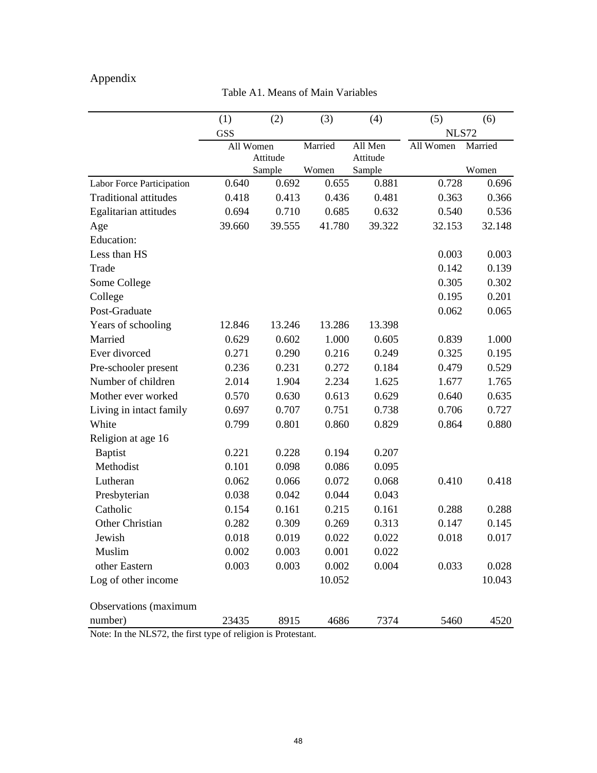# Appendix

Table A1. Means of Main Variables

|                              | (1)        | (2)                | (3)     | (4)                | (5)          | (6)     |
|------------------------------|------------|--------------------|---------|--------------------|--------------|---------|
|                              | <b>GSS</b> |                    |         |                    | <b>NLS72</b> |         |
|                              |            | All Women          | Married | All Men            | All Women    | Married |
|                              |            | Attitude<br>Sample | Women   | Attitude<br>Sample |              | Women   |
| Labor Force Participation    | 0.640      | 0.692              | 0.655   | 0.881              | 0.728        | 0.696   |
| <b>Traditional attitudes</b> | 0.418      | 0.413              | 0.436   | 0.481              | 0.363        | 0.366   |
| Egalitarian attitudes        | 0.694      | 0.710              | 0.685   | 0.632              | 0.540        | 0.536   |
| Age                          | 39.660     | 39.555             | 41.780  | 39.322             | 32.153       | 32.148  |
| <b>Education:</b>            |            |                    |         |                    |              |         |
| Less than HS                 |            |                    |         |                    | 0.003        | 0.003   |
| Trade                        |            |                    |         |                    | 0.142        | 0.139   |
| Some College                 |            |                    |         |                    | 0.305        | 0.302   |
| College                      |            |                    |         |                    | 0.195        | 0.201   |
| Post-Graduate                |            |                    |         |                    | 0.062        | 0.065   |
| Years of schooling           | 12.846     | 13.246             | 13.286  | 13.398             |              |         |
| Married                      | 0.629      | 0.602              | 1.000   | 0.605              | 0.839        | 1.000   |
| Ever divorced                | 0.271      | 0.290              | 0.216   | 0.249              | 0.325        | 0.195   |
| Pre-schooler present         | 0.236      | 0.231              | 0.272   | 0.184              | 0.479        | 0.529   |
| Number of children           | 2.014      | 1.904              | 2.234   | 1.625              | 1.677        | 1.765   |
| Mother ever worked           | 0.570      | 0.630              | 0.613   | 0.629              | 0.640        | 0.635   |
| Living in intact family      | 0.697      | 0.707              | 0.751   | 0.738              | 0.706        | 0.727   |
| White                        | 0.799      | 0.801              | 0.860   | 0.829              | 0.864        | 0.880   |
| Religion at age 16           |            |                    |         |                    |              |         |
| <b>Baptist</b>               | 0.221      | 0.228              | 0.194   | 0.207              |              |         |
| Methodist                    | 0.101      | 0.098              | 0.086   | 0.095              |              |         |
| Lutheran                     | 0.062      | 0.066              | 0.072   | 0.068              | 0.410        | 0.418   |
| Presbyterian                 | 0.038      | 0.042              | 0.044   | 0.043              |              |         |
| Catholic                     | 0.154      | 0.161              | 0.215   | 0.161              | 0.288        | 0.288   |
| Other Christian              | 0.282      | 0.309              | 0.269   | 0.313              | 0.147        | 0.145   |
| Jewish                       | 0.018      | 0.019              | 0.022   | 0.022              | 0.018        | 0.017   |
| Muslim                       | 0.002      | 0.003              | 0.001   | 0.022              |              |         |
| other Eastern                | 0.003      | 0.003              | 0.002   | 0.004              | 0.033        | 0.028   |
| Log of other income          |            |                    | 10.052  |                    |              | 10.043  |
| Observations (maximum        |            |                    |         |                    |              |         |
| number)                      | 23435      | 8915               | 4686    | 7374               | 5460         | 4520    |

Note: In the NLS72, the first type of religion is Protestant.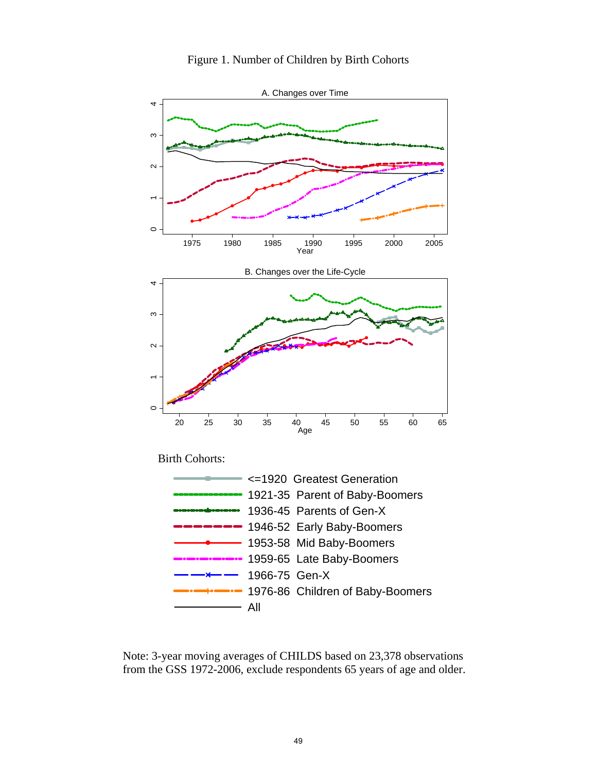

Figure 1. Number of Children by Birth Cohorts

Note: 3-year moving averages of CHILDS based on 23,378 observations from the GSS 1972-2006, exclude respondents 65 years of age and older.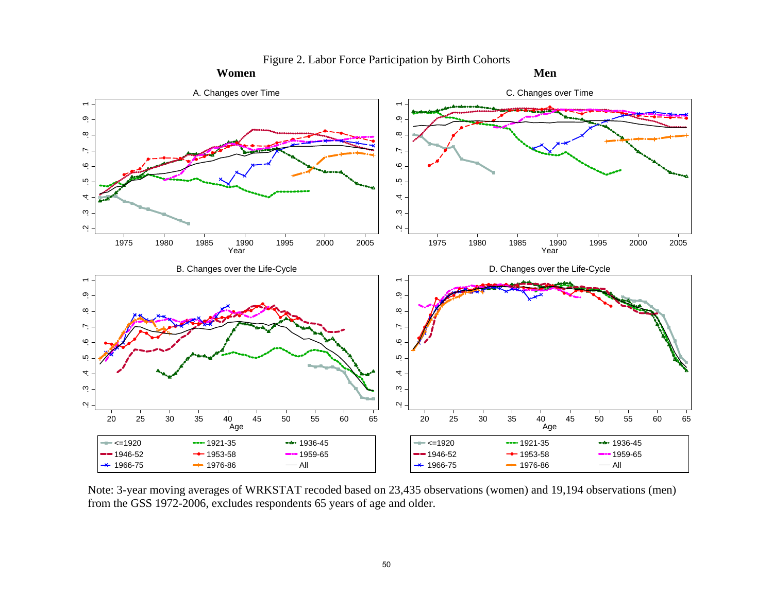

Figure 2. Labor Force Participation by Birth Cohorts

Note: 3-year moving averages of WRKSTAT recoded based on 23,435 observations (women) and 19,194 observations (men) from the GSS 1972-2006, excludes respondents 65 years of age and older.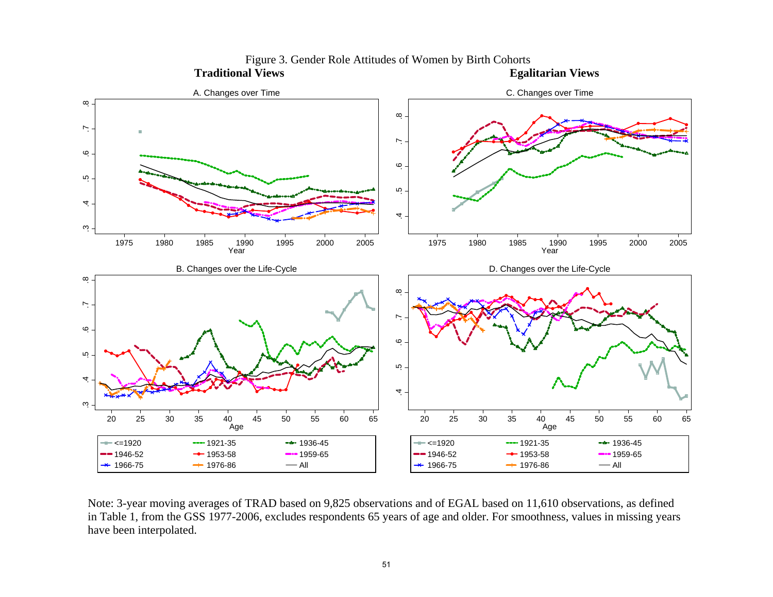

Figure 3. Gender Role Attitudes of Women by Birth Cohorts<br>al Views<br>Egalitarian Views  **Traditional Views** 

Note: 3-year moving averages of TRAD based on 9,825 observations and of EGAL based on 11,610 observations, as defined in Table 1, from the GSS 1977-2006, excludes respondents 65 years of age and older. For smoothness, values in missing years have been interpolated.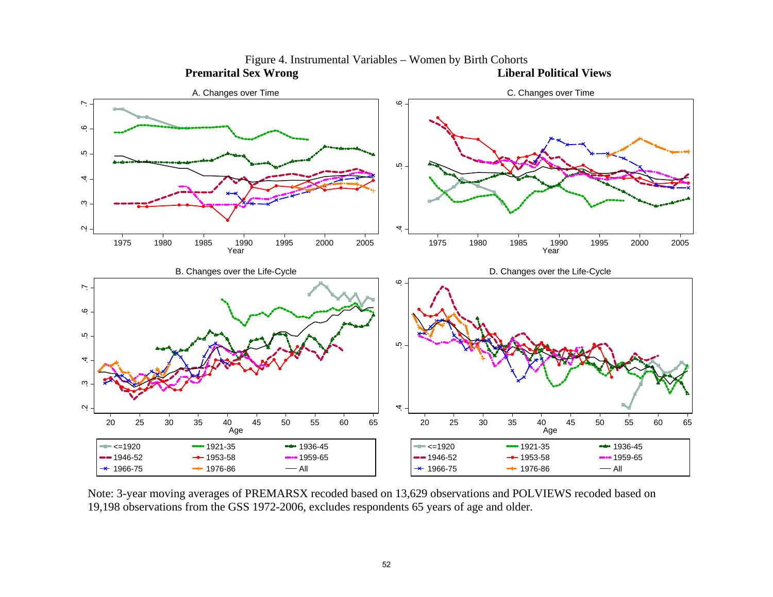

Figure 4. Instrumental Variables – Women by Birth Cohorts<br>Sex Wrong<br>Liberal Political Views **Premarital Sex Wrong** 

Note: 3-year moving averages of PREMARSX recoded based on 13,629 observations and POLVIEWS recoded based on 19,198 observations from the GSS 1972-2006, excludes respondents 65 years of age and older.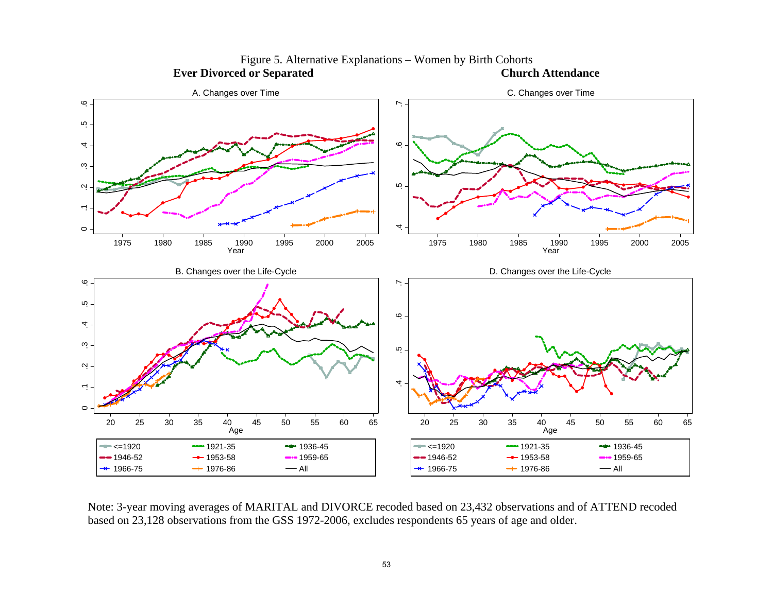

Figure 5. Alternative Explanations – Women by Birth Cohorts<br> **Church Attendance**<br> **Church Attendance Ever Divorced or Separated** 

Note: 3-year moving averages of MARITAL and DIVORCE recoded based on 23,432 observations and of ATTEND recoded based on 23,128 observations from the GSS 1972-2006, excludes respondents 65 years of age and older.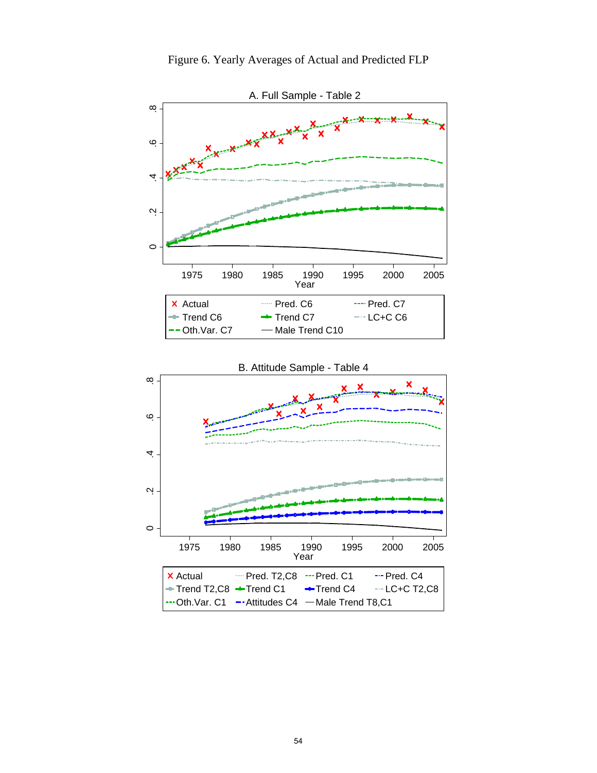





B. Attitude Sample - Table 4